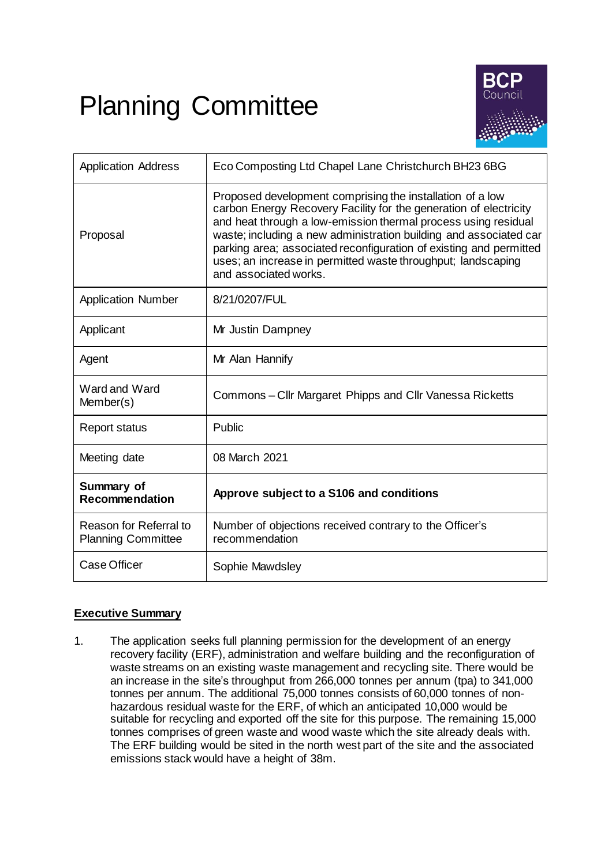# Planning Committee



| <b>Application Address</b>                          | Eco Composting Ltd Chapel Lane Christchurch BH23 6BG                                                                                                                                                                                                                                                                                                                                                                                 |
|-----------------------------------------------------|--------------------------------------------------------------------------------------------------------------------------------------------------------------------------------------------------------------------------------------------------------------------------------------------------------------------------------------------------------------------------------------------------------------------------------------|
| Proposal                                            | Proposed development comprising the installation of a low<br>carbon Energy Recovery Facility for the generation of electricity<br>and heat through a low-emission thermal process using residual<br>waste; including a new administration building and associated car<br>parking area; associated reconfiguration of existing and permitted<br>uses; an increase in permitted waste throughput; landscaping<br>and associated works. |
| <b>Application Number</b>                           | 8/21/0207/FUL                                                                                                                                                                                                                                                                                                                                                                                                                        |
| Applicant                                           | Mr Justin Dampney                                                                                                                                                                                                                                                                                                                                                                                                                    |
| Agent                                               | Mr Alan Hannify                                                                                                                                                                                                                                                                                                                                                                                                                      |
| Ward and Ward<br>Member(s)                          | Commons - Cllr Margaret Phipps and Cllr Vanessa Ricketts                                                                                                                                                                                                                                                                                                                                                                             |
| <b>Report status</b>                                | Public                                                                                                                                                                                                                                                                                                                                                                                                                               |
| Meeting date                                        | 08 March 2021                                                                                                                                                                                                                                                                                                                                                                                                                        |
| Summary of<br><b>Recommendation</b>                 | Approve subject to a S106 and conditions                                                                                                                                                                                                                                                                                                                                                                                             |
| Reason for Referral to<br><b>Planning Committee</b> | Number of objections received contrary to the Officer's<br>recommendation                                                                                                                                                                                                                                                                                                                                                            |
| Case Officer                                        | Sophie Mawdsley                                                                                                                                                                                                                                                                                                                                                                                                                      |

# **Executive Summary**

1. The application seeks full planning permission for the development of an energy recovery facility (ERF), administration and welfare building and the reconfiguration of waste streams on an existing waste management and recycling site. There would be an increase in the site's throughput from 266,000 tonnes per annum (tpa) to 341,000 tonnes per annum. The additional 75,000 tonnes consists of 60,000 tonnes of nonhazardous residual waste for the ERF, of which an anticipated 10,000 would be suitable for recycling and exported off the site for this purpose. The remaining 15,000 tonnes comprises of green waste and wood waste which the site already deals with. The ERF building would be sited in the north west part of the site and the associated emissions stack would have a height of 38m.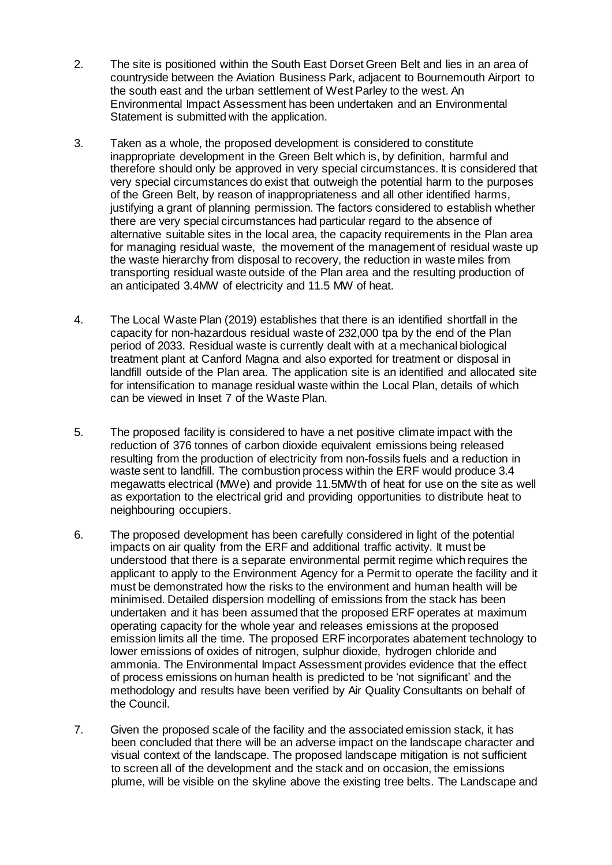- 2. The site is positioned within the South East Dorset Green Belt and lies in an area of countryside between the Aviation Business Park, adjacent to Bournemouth Airport to the south east and the urban settlement of West Parley to the west. An Environmental Impact Assessment has been undertaken and an Environmental Statement is submitted with the application.
- 3. Taken as a whole, the proposed development is considered to constitute inappropriate development in the Green Belt which is, by definition, harmful and therefore should only be approved in very special circumstances. It is considered that very special circumstances do exist that outweigh the potential harm to the purposes of the Green Belt, by reason of inappropriateness and all other identified harms, justifying a grant of planning permission. The factors considered to establish whether there are very special circumstances had particular regard to the absence of alternative suitable sites in the local area, the capacity requirements in the Plan area for managing residual waste, the movement of the management of residual waste up the waste hierarchy from disposal to recovery, the reduction in waste miles from transporting residual waste outside of the Plan area and the resulting production of an anticipated 3.4MW of electricity and 11.5 MW of heat.
- 4. The Local Waste Plan (2019) establishes that there is an identified shortfall in the capacity for non-hazardous residual waste of 232,000 tpa by the end of the Plan period of 2033. Residual waste is currently dealt with at a mechanical biological treatment plant at Canford Magna and also exported for treatment or disposal in landfill outside of the Plan area. The application site is an identified and allocated site for intensification to manage residual waste within the Local Plan, details of which can be viewed in Inset 7 of the Waste Plan.
- 5. The proposed facility is considered to have a net positive climate impact with the reduction of 376 tonnes of carbon dioxide equivalent emissions being released resulting from the production of electricity from non-fossils fuels and a reduction in waste sent to landfill. The combustion process within the ERF would produce 3.4 megawatts electrical (MWe) and provide 11.5MWth of heat for use on the site as well as exportation to the electrical grid and providing opportunities to distribute heat to neighbouring occupiers.
- 6. The proposed development has been carefully considered in light of the potential impacts on air quality from the ERF and additional traffic activity. It must be understood that there is a separate environmental permit regime which requires the applicant to apply to the Environment Agency for a Permit to operate the facility and it must be demonstrated how the risks to the environment and human health will be minimised. Detailed dispersion modelling of emissions from the stack has been undertaken and it has been assumed that the proposed ERF operates at maximum operating capacity for the whole year and releases emissions at the proposed emission limits all the time. The proposed ERF incorporates abatement technology to lower emissions of oxides of nitrogen, sulphur dioxide, hydrogen chloride and ammonia. The Environmental Impact Assessment provides evidence that the effect of process emissions on human health is predicted to be 'not significant' and the methodology and results have been verified by Air Quality Consultants on behalf of the Council.
- 7. Given the proposed scale of the facility and the associated emission stack, it has been concluded that there will be an adverse impact on the landscape character and visual context of the landscape. The proposed landscape mitigation is not sufficient to screen all of the development and the stack and on occasion, the emissions plume, will be visible on the skyline above the existing tree belts. The Landscape and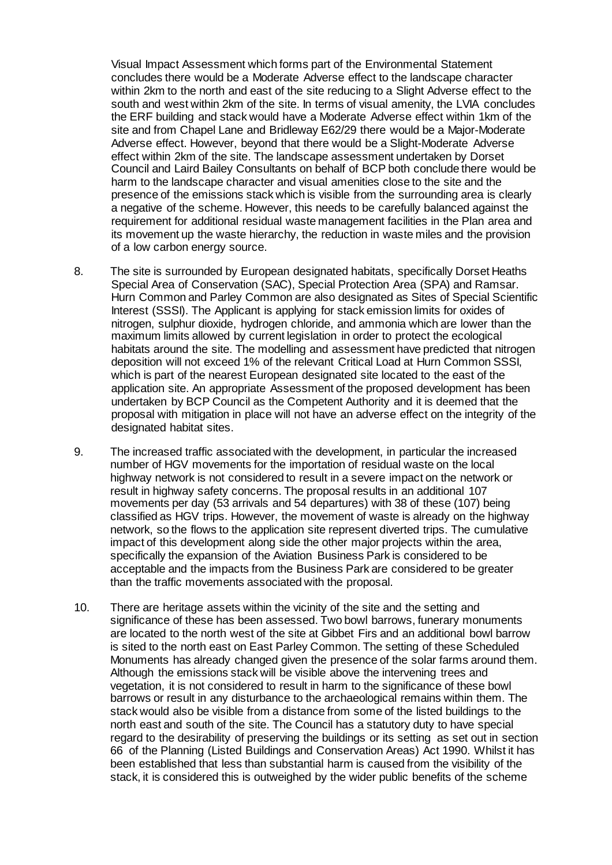Visual Impact Assessment which forms part of the Environmental Statement concludes there would be a Moderate Adverse effect to the landscape character within 2km to the north and east of the site reducing to a Slight Adverse effect to the south and west within 2km of the site. In terms of visual amenity, the LVIA concludes the ERF building and stack would have a Moderate Adverse effect within 1km of the site and from Chapel Lane and Bridleway E62/29 there would be a Major-Moderate Adverse effect. However, beyond that there would be a Slight-Moderate Adverse effect within 2km of the site. The landscape assessment undertaken by Dorset Council and Laird Bailey Consultants on behalf of BCP both conclude there would be harm to the landscape character and visual amenities close to the site and the presence of the emissions stack which is visible from the surrounding area is clearly a negative of the scheme. However, this needs to be carefully balanced against the requirement for additional residual waste management facilities in the Plan area and its movement up the waste hierarchy, the reduction in waste miles and the provision of a low carbon energy source.

- 8. The site is surrounded by European designated habitats, specifically Dorset Heaths Special Area of Conservation (SAC), Special Protection Area (SPA) and Ramsar. Hurn Common and Parley Common are also designated as Sites of Special Scientific Interest (SSSI). The Applicant is applying for stack emission limits for oxides of nitrogen, sulphur dioxide, hydrogen chloride, and ammonia which are lower than the maximum limits allowed by current legislation in order to protect the ecological habitats around the site. The modelling and assessment have predicted that nitrogen deposition will not exceed 1% of the relevant Critical Load at Hurn Common SSSI, which is part of the nearest European designated site located to the east of the application site. An appropriate Assessment of the proposed development has been undertaken by BCP Council as the Competent Authority and it is deemed that the proposal with mitigation in place will not have an adverse effect on the integrity of the designated habitat sites.
- 9. The increased traffic associated with the development, in particular the increased number of HGV movements for the importation of residual waste on the local highway network is not considered to result in a severe impact on the network or result in highway safety concerns. The proposal results in an additional 107 movements per day (53 arrivals and 54 departures) with 38 of these (107) being classified as HGV trips. However, the movement of waste is already on the highway network, so the flows to the application site represent diverted trips. The cumulative impact of this development along side the other major projects within the area, specifically the expansion of the Aviation Business Park is considered to be acceptable and the impacts from the Business Park are considered to be greater than the traffic movements associated with the proposal.
- 10. There are heritage assets within the vicinity of the site and the setting and significance of these has been assessed. Two bowl barrows, funerary monuments are located to the north west of the site at Gibbet Firs and an additional bowl barrow is sited to the north east on East Parley Common. The setting of these Scheduled Monuments has already changed given the presence of the solar farms around them. Although the emissions stack will be visible above the intervening trees and vegetation, it is not considered to result in harm to the significance of these bowl barrows or result in any disturbance to the archaeological remains within them. The stack would also be visible from a distance from some of the listed buildings to the north east and south of the site. The Council has a statutory duty to have special regard to the desirability of preserving the buildings or its setting as set out in section 66 of the Planning (Listed Buildings and Conservation Areas) Act 1990. Whilst it has been established that less than substantial harm is caused from the visibility of the stack, it is considered this is outweighed by the wider public benefits of the scheme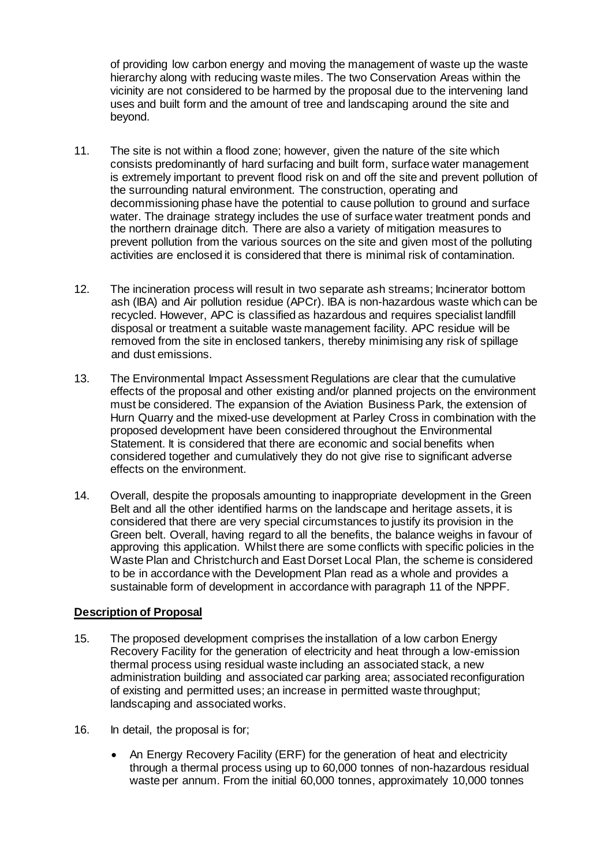of providing low carbon energy and moving the management of waste up the waste hierarchy along with reducing waste miles. The two Conservation Areas within the vicinity are not considered to be harmed by the proposal due to the intervening land uses and built form and the amount of tree and landscaping around the site and beyond.

- 11. The site is not within a flood zone; however, given the nature of the site which consists predominantly of hard surfacing and built form, surface water management is extremely important to prevent flood risk on and off the site and prevent pollution of the surrounding natural environment. The construction, operating and decommissioning phase have the potential to cause pollution to ground and surface water. The drainage strategy includes the use of surface water treatment ponds and the northern drainage ditch. There are also a variety of mitigation measures to prevent pollution from the various sources on the site and given most of the polluting activities are enclosed it is considered that there is minimal risk of contamination.
- 12. The incineration process will result in two separate ash streams; Incinerator bottom ash (IBA) and Air pollution residue (APCr). IBA is non-hazardous waste which can be recycled. However, APC is classified as hazardous and requires specialist landfill disposal or treatment a suitable waste management facility. APC residue will be removed from the site in enclosed tankers, thereby minimising any risk of spillage and dust emissions.
- 13. The Environmental Impact Assessment Regulations are clear that the cumulative effects of the proposal and other existing and/or planned projects on the environment must be considered. The expansion of the Aviation Business Park, the extension of Hurn Quarry and the mixed-use development at Parley Cross in combination with the proposed development have been considered throughout the Environmental Statement. It is considered that there are economic and social benefits when considered together and cumulatively they do not give rise to significant adverse effects on the environment.
- 14. Overall, despite the proposals amounting to inappropriate development in the Green Belt and all the other identified harms on the landscape and heritage assets, it is considered that there are very special circumstances to justify its provision in the Green belt. Overall, having regard to all the benefits, the balance weighs in favour of approving this application. Whilst there are some conflicts with specific policies in the Waste Plan and Christchurch and East Dorset Local Plan, the scheme is considered to be in accordance with the Development Plan read as a whole and provides a sustainable form of development in accordance with paragraph 11 of the NPPF.

## **Description of Proposal**

- 15. The proposed development comprises the installation of a low carbon Energy Recovery Facility for the generation of electricity and heat through a low-emission thermal process using residual waste including an associated stack, a new administration building and associated car parking area; associated reconfiguration of existing and permitted uses; an increase in permitted waste throughput; landscaping and associated works.
- 16. In detail, the proposal is for;
	- An Energy Recovery Facility (ERF) for the generation of heat and electricity through a thermal process using up to 60,000 tonnes of non-hazardous residual waste per annum. From the initial 60,000 tonnes, approximately 10,000 tonnes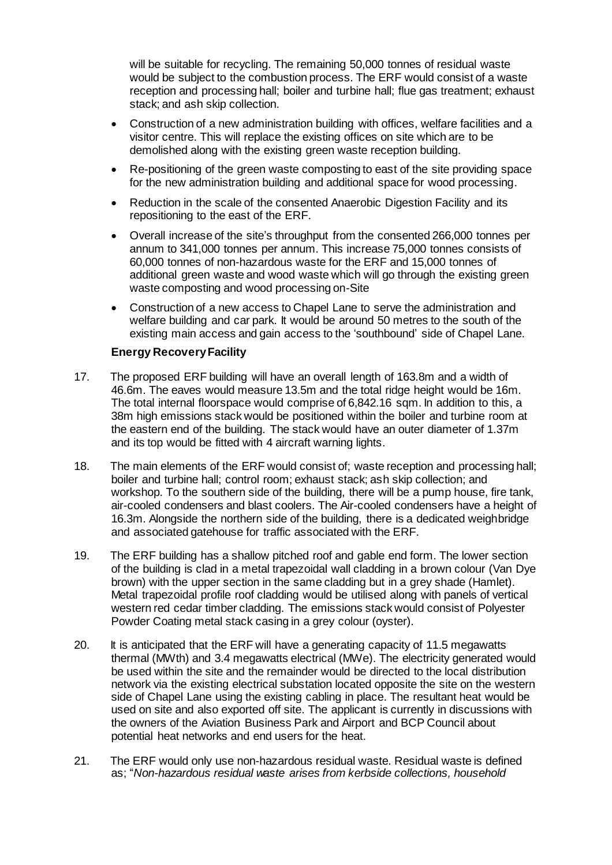will be suitable for recycling. The remaining 50,000 tonnes of residual waste would be subject to the combustion process. The ERF would consist of a waste reception and processing hall; boiler and turbine hall; flue gas treatment; exhaust stack; and ash skip collection.

- Construction of a new administration building with offices, welfare facilities and a visitor centre. This will replace the existing offices on site which are to be demolished along with the existing green waste reception building.
- Re-positioning of the green waste composting to east of the site providing space for the new administration building and additional space for wood processing.
- Reduction in the scale of the consented Anaerobic Digestion Facility and its repositioning to the east of the ERF.
- Overall increase of the site's throughput from the consented 266,000 tonnes per annum to 341,000 tonnes per annum. This increase 75,000 tonnes consists of 60,000 tonnes of non-hazardous waste for the ERF and 15,000 tonnes of additional green waste and wood waste which will go through the existing green waste composting and wood processing on-Site
- Construction of a new access to Chapel Lane to serve the administration and welfare building and car park. It would be around 50 metres to the south of the existing main access and gain access to the 'southbound' side of Chapel Lane.

## **Energy Recovery Facility**

- 17. The proposed ERF building will have an overall length of 163.8m and a width of 46.6m. The eaves would measure 13.5m and the total ridge height would be 16m. The total internal floorspace would comprise of 6,842.16 sqm. In addition to this, a 38m high emissions stack would be positioned within the boiler and turbine room at the eastern end of the building. The stack would have an outer diameter of 1.37m and its top would be fitted with 4 aircraft warning lights.
- 18. The main elements of the ERF would consist of; waste reception and processing hall; boiler and turbine hall; control room; exhaust stack; ash skip collection; and workshop. To the southern side of the building, there will be a pump house, fire tank, air-cooled condensers and blast coolers. The Air-cooled condensers have a height of 16.3m. Alongside the northern side of the building, there is a dedicated weighbridge and associated gatehouse for traffic associated with the ERF.
- 19. The ERF building has a shallow pitched roof and gable end form. The lower section of the building is clad in a metal trapezoidal wall cladding in a brown colour (Van Dye brown) with the upper section in the same cladding but in a grey shade (Hamlet). Metal trapezoidal profile roof cladding would be utilised along with panels of vertical western red cedar timber cladding. The emissions stack would consist of Polyester Powder Coating metal stack casing in a grey colour (oyster).
- 20. It is anticipated that the ERF will have a generating capacity of 11.5 megawatts thermal (MWth) and 3.4 megawatts electrical (MWe). The electricity generated would be used within the site and the remainder would be directed to the local distribution network via the existing electrical substation located opposite the site on the western side of Chapel Lane using the existing cabling in place. The resultant heat would be used on site and also exported off site. The applicant is currently in discussions with the owners of the Aviation Business Park and Airport and BCP Council about potential heat networks and end users for the heat.
- 21. The ERF would only use non-hazardous residual waste. Residual waste is defined as; "*Non-hazardous residual waste arises from kerbside collections, household*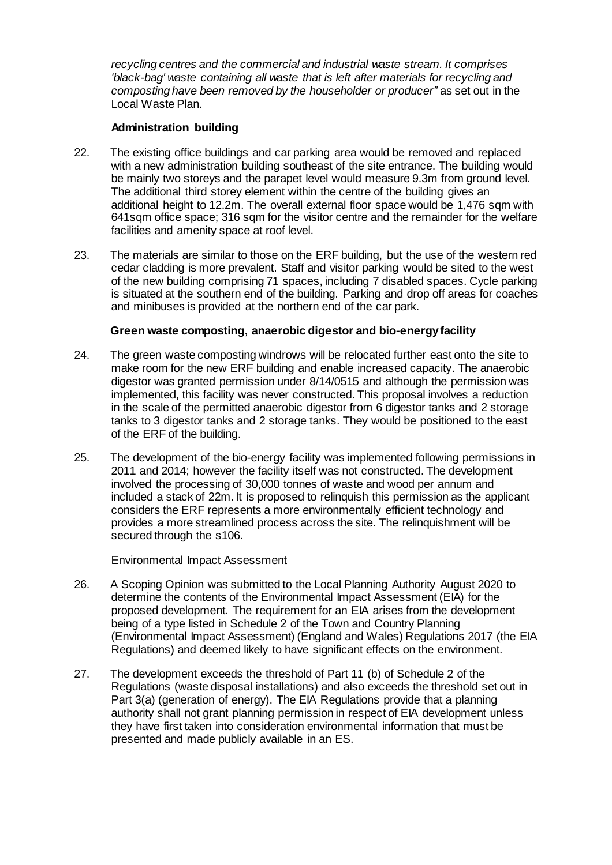*recycling centres and the commercial and industrial waste stream. It comprises 'black-bag' waste containing all waste that is left after materials for recycling and composting have been removed by the householder or producer"* as set out in the Local Waste Plan.

## **Administration building**

- 22. The existing office buildings and car parking area would be removed and replaced with a new administration building southeast of the site entrance. The building would be mainly two storeys and the parapet level would measure 9.3m from ground level. The additional third storey element within the centre of the building gives an additional height to 12.2m. The overall external floor space would be 1.476 sqm with 641sqm office space; 316 sqm for the visitor centre and the remainder for the welfare facilities and amenity space at roof level.
- 23. The materials are similar to those on the ERF building, but the use of the western red cedar cladding is more prevalent. Staff and visitor parking would be sited to the west of the new building comprising 71 spaces, including 7 disabled spaces. Cycle parking is situated at the southern end of the building. Parking and drop off areas for coaches and minibuses is provided at the northern end of the car park.

## **Green waste composting, anaerobic digestor and bio-energyfacility**

- 24. The green waste composting windrows will be relocated further east onto the site to make room for the new ERF building and enable increased capacity. The anaerobic digestor was granted permission under 8/14/0515 and although the permission was implemented, this facility was never constructed. This proposal involves a reduction in the scale of the permitted anaerobic digestor from 6 digestor tanks and 2 storage tanks to 3 digestor tanks and 2 storage tanks. They would be positioned to the east of the ERF of the building.
- 25. The development of the bio-energy facility was implemented following permissions in 2011 and 2014; however the facility itself was not constructed. The development involved the processing of 30,000 tonnes of waste and wood per annum and included a stack of 22m. It is proposed to relinquish this permission as the applicant considers the ERF represents a more environmentally efficient technology and provides a more streamlined process across the site. The relinquishment will be secured through the s106.

Environmental Impact Assessment

- 26. A Scoping Opinion was submitted to the Local Planning Authority August 2020 to determine the contents of the Environmental Impact Assessment (EIA) for the proposed development. The requirement for an EIA arises from the development being of a type listed in Schedule 2 of the Town and Country Planning (Environmental Impact Assessment) (England and Wales) Regulations 2017 (the EIA Regulations) and deemed likely to have significant effects on the environment.
- 27. The development exceeds the threshold of Part 11 (b) of Schedule 2 of the Regulations (waste disposal installations) and also exceeds the threshold set out in Part 3(a) (generation of energy). The EIA Regulations provide that a planning authority shall not grant planning permission in respect of EIA development unless they have first taken into consideration environmental information that must be presented and made publicly available in an ES.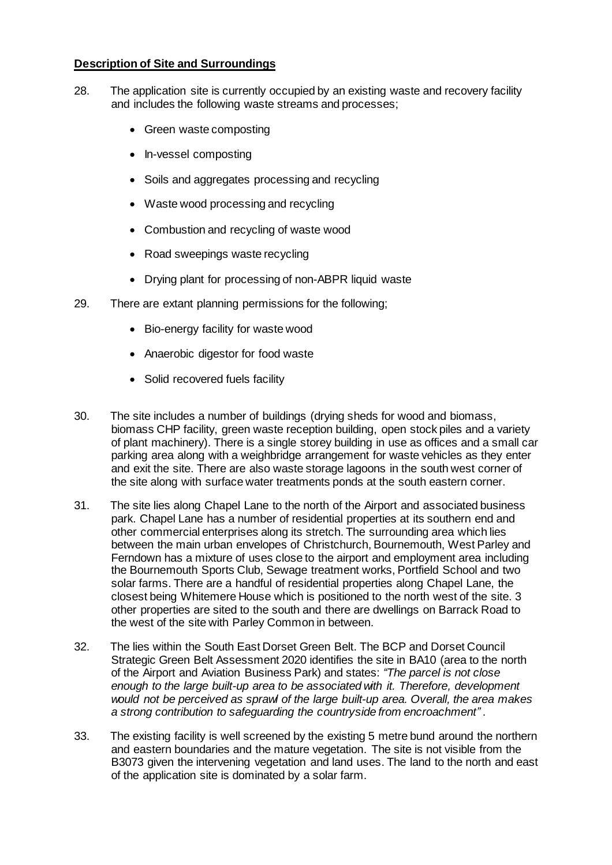## **Description of Site and Surroundings**

- 28. The application site is currently occupied by an existing waste and recovery facility and includes the following waste streams and processes;
	- Green waste composting
	- In-vessel composting
	- Soils and aggregates processing and recycling
	- Waste wood processing and recycling
	- Combustion and recycling of waste wood
	- Road sweepings waste recycling
	- Drying plant for processing of non-ABPR liquid waste
- 29. There are extant planning permissions for the following;
	- Bio-energy facility for waste wood
	- Anaerobic digestor for food waste
	- Solid recovered fuels facility
- 30. The site includes a number of buildings (drying sheds for wood and biomass, biomass CHP facility, green waste reception building, open stock piles and a variety of plant machinery). There is a single storey building in use as offices and a small car parking area along with a weighbridge arrangement for waste vehicles as they enter and exit the site. There are also waste storage lagoons in the south west corner of the site along with surface water treatments ponds at the south eastern corner.
- 31. The site lies along Chapel Lane to the north of the Airport and associated business park. Chapel Lane has a number of residential properties at its southern end and other commercial enterprises along its stretch. The surrounding area which lies between the main urban envelopes of Christchurch, Bournemouth, West Parley and Ferndown has a mixture of uses close to the airport and employment area including the Bournemouth Sports Club, Sewage treatment works, Portfield School and two solar farms. There are a handful of residential properties along Chapel Lane, the closest being Whitemere House which is positioned to the north west of the site. 3 other properties are sited to the south and there are dwellings on Barrack Road to the west of the site with Parley Common in between.
- 32. The lies within the South East Dorset Green Belt. The BCP and Dorset Council Strategic Green Belt Assessment 2020 identifies the site in BA10 (area to the north of the Airport and Aviation Business Park) and states: *"The parcel is not close enough to the large built-up area to be associated with it. Therefore, development would not be perceived as sprawl of the large built-up area. Overall, the area makes a strong contribution to safeguarding the countryside from encroachment"* .
- 33. The existing facility is well screened by the existing 5 metre bund around the northern and eastern boundaries and the mature vegetation. The site is not visible from the B3073 given the intervening vegetation and land uses. The land to the north and east of the application site is dominated by a solar farm.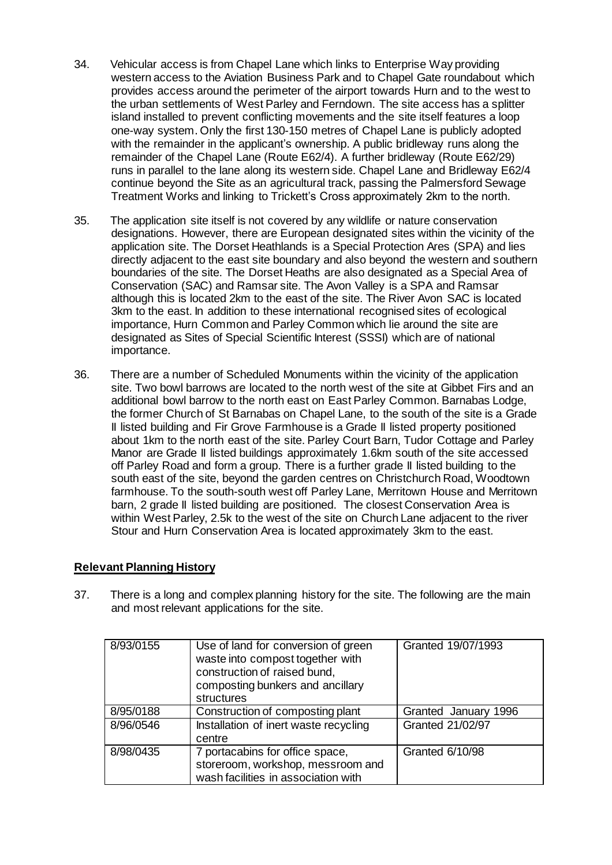- 34. Vehicular access is from Chapel Lane which links to Enterprise Way providing western access to the Aviation Business Park and to Chapel Gate roundabout which provides access around the perimeter of the airport towards Hurn and to the west to the urban settlements of West Parley and Ferndown. The site access has a splitter island installed to prevent conflicting movements and the site itself features a loop one-way system. Only the first 130-150 metres of Chapel Lane is publicly adopted with the remainder in the applicant's ownership. A public bridleway runs along the remainder of the Chapel Lane (Route E62/4). A further bridleway (Route E62/29) runs in parallel to the lane along its western side. Chapel Lane and Bridleway E62/4 continue beyond the Site as an agricultural track, passing the Palmersford Sewage Treatment Works and linking to Trickett's Cross approximately 2km to the north.
- 35. The application site itself is not covered by any wildlife or nature conservation designations. However, there are European designated sites within the vicinity of the application site. The Dorset Heathlands is a Special Protection Ares (SPA) and lies directly adjacent to the east site boundary and also beyond the western and southern boundaries of the site. The Dorset Heaths are also designated as a Special Area of Conservation (SAC) and Ramsar site. The Avon Valley is a SPA and Ramsar although this is located 2km to the east of the site. The River Avon SAC is located 3km to the east. In addition to these international recognised sites of ecological importance, Hurn Common and Parley Common which lie around the site are designated as Sites of Special Scientific Interest (SSSI) which are of national importance.
- 36. There are a number of Scheduled Monuments within the vicinity of the application site. Two bowl barrows are located to the north west of the site at Gibbet Firs and an additional bowl barrow to the north east on East Parley Common. Barnabas Lodge, the former Church of St Barnabas on Chapel Lane, to the south of the site is a Grade II listed building and Fir Grove Farmhouse is a Grade II listed property positioned about 1km to the north east of the site. Parley Court Barn, Tudor Cottage and Parley Manor are Grade II listed buildings approximately 1.6km south of the site accessed off Parley Road and form a group. There is a further grade II listed building to the south east of the site, beyond the garden centres on Christchurch Road, Woodtown farmhouse. To the south-south west off Parley Lane, Merritown House and Merritown barn, 2 grade II listed building are positioned. The closest Conservation Area is within West Parley, 2.5k to the west of the site on Church Lane adjacent to the river Stour and Hurn Conservation Area is located approximately 3km to the east.

## **Relevant Planning History**

37. There is a long and complex planning history for the site. The following are the main and most relevant applications for the site.

| 8/93/0155 | Use of land for conversion of green<br>waste into compost together with<br>construction of raised bund,<br>composting bunkers and ancillary<br>structures | Granted 19/07/1993   |
|-----------|-----------------------------------------------------------------------------------------------------------------------------------------------------------|----------------------|
| 8/95/0188 | Construction of composting plant                                                                                                                          | Granted January 1996 |
| 8/96/0546 | Installation of inert waste recycling<br>centre                                                                                                           | Granted 21/02/97     |
| 8/98/0435 | 7 portacabins for office space,<br>storeroom, workshop, messroom and<br>wash facilities in association with                                               | Granted 6/10/98      |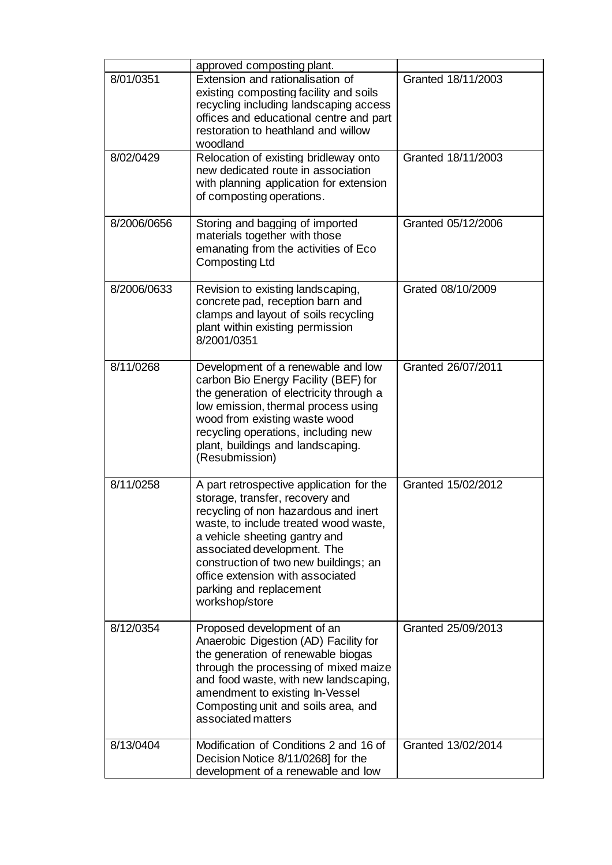| 8/01/0351   | approved composting plant.<br>Extension and rationalisation of<br>existing composting facility and soils<br>recycling including landscaping access<br>offices and educational centre and part<br>restoration to heathland and willow<br>woodland                                                                                                       | Granted 18/11/2003 |
|-------------|--------------------------------------------------------------------------------------------------------------------------------------------------------------------------------------------------------------------------------------------------------------------------------------------------------------------------------------------------------|--------------------|
| 8/02/0429   | Relocation of existing bridleway onto<br>new dedicated route in association<br>with planning application for extension<br>of composting operations.                                                                                                                                                                                                    | Granted 18/11/2003 |
| 8/2006/0656 | Storing and bagging of imported<br>materials together with those<br>emanating from the activities of Eco<br>Composting Ltd                                                                                                                                                                                                                             | Granted 05/12/2006 |
| 8/2006/0633 | Revision to existing landscaping,<br>concrete pad, reception barn and<br>clamps and layout of soils recycling<br>plant within existing permission<br>8/2001/0351                                                                                                                                                                                       | Grated 08/10/2009  |
| 8/11/0268   | Development of a renewable and low<br>carbon Bio Energy Facility (BEF) for<br>the generation of electricity through a<br>low emission, thermal process using<br>wood from existing waste wood<br>recycling operations, including new<br>plant, buildings and landscaping.<br>(Resubmission)                                                            | Granted 26/07/2011 |
| 8/11/0258   | A part retrospective application for the<br>storage, transfer, recovery and<br>recycling of non hazardous and inert<br>waste, to include treated wood waste,<br>a vehicle sheeting gantry and<br>associated development. The<br>construction of two new buildings; an<br>office extension with associated<br>parking and replacement<br>workshop/store | Granted 15/02/2012 |
| 8/12/0354   | Proposed development of an<br>Anaerobic Digestion (AD) Facility for<br>the generation of renewable biogas<br>through the processing of mixed maize<br>and food waste, with new landscaping,<br>amendment to existing In-Vessel<br>Composting unit and soils area, and<br>associated matters                                                            | Granted 25/09/2013 |
| 8/13/0404   | Modification of Conditions 2 and 16 of<br>Decision Notice 8/11/0268] for the<br>development of a renewable and low                                                                                                                                                                                                                                     | Granted 13/02/2014 |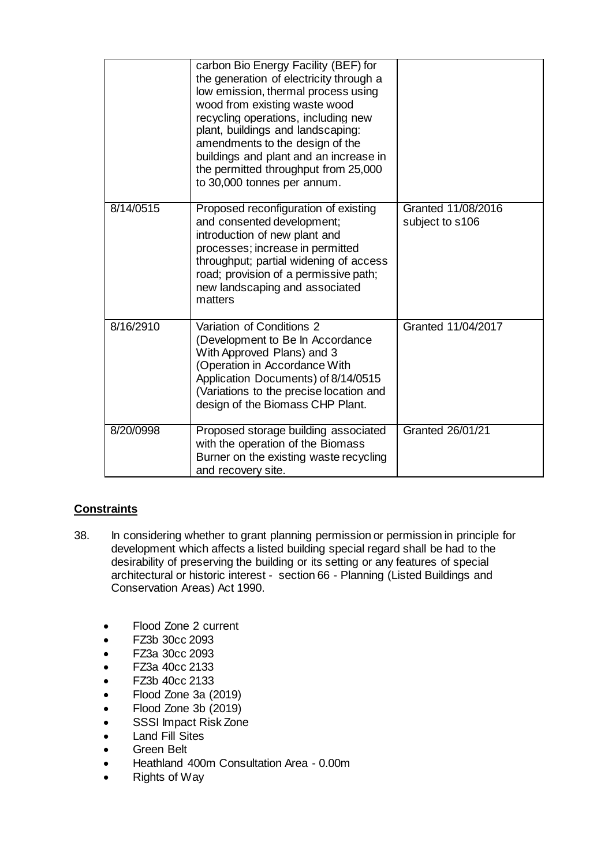|           | carbon Bio Energy Facility (BEF) for<br>the generation of electricity through a<br>low emission, thermal process using<br>wood from existing waste wood<br>recycling operations, including new<br>plant, buildings and landscaping:<br>amendments to the design of the<br>buildings and plant and an increase in<br>the permitted throughput from 25,000<br>to 30,000 tonnes per annum. |                                       |
|-----------|-----------------------------------------------------------------------------------------------------------------------------------------------------------------------------------------------------------------------------------------------------------------------------------------------------------------------------------------------------------------------------------------|---------------------------------------|
| 8/14/0515 | Proposed reconfiguration of existing<br>and consented development;<br>introduction of new plant and<br>processes; increase in permitted<br>throughput; partial widening of access<br>road; provision of a permissive path;<br>new landscaping and associated<br>matters                                                                                                                 | Granted 11/08/2016<br>subject to s106 |
| 8/16/2910 | Variation of Conditions 2<br>(Development to Be In Accordance<br>With Approved Plans) and 3<br>(Operation in Accordance With<br>Application Documents) of 8/14/0515<br>(Variations to the precise location and<br>design of the Biomass CHP Plant.                                                                                                                                      | Granted 11/04/2017                    |
| 8/20/0998 | Proposed storage building associated<br>with the operation of the Biomass<br>Burner on the existing waste recycling<br>and recovery site.                                                                                                                                                                                                                                               | Granted 26/01/21                      |

# **Constraints**

- 38. In considering whether to grant planning permission or permission in principle for development which affects a listed building special regard shall be had to the desirability of preserving the building or its setting or any features of special architectural or historic interest - section 66 - Planning (Listed Buildings and Conservation Areas) Act 1990.
	- Flood Zone 2 current
	- FZ3b 30cc 2093
	- FZ3a 30cc 2093
	- FZ3a 40cc 2133
	- FZ3b 40cc 2133
	- Flood Zone 3a (2019)
	- Flood Zone 3b (2019)
	- SSSI Impact Risk Zone
	- Land Fill Sites
	- Green Belt
	- Heathland 400m Consultation Area 0.00m
	- Rights of Way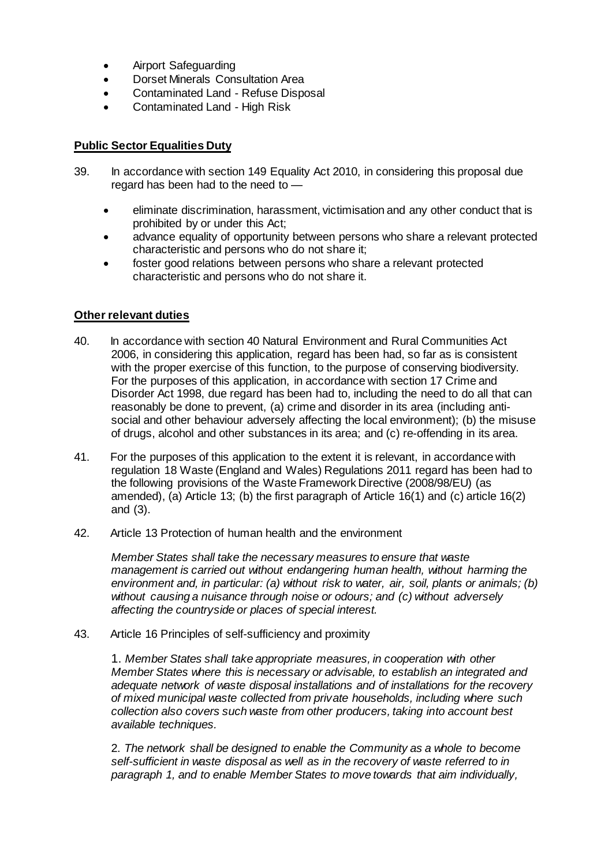- Airport Safeguarding
- Dorset Minerals Consultation Area
- Contaminated Land Refuse Disposal
- Contaminated Land High Risk

## **Public Sector Equalities Duty**

- 39. In accordance with section 149 Equality Act 2010, in considering this proposal due regard has been had to the need to
	- eliminate discrimination, harassment, victimisation and any other conduct that is prohibited by or under this Act;
	- advance equality of opportunity between persons who share a relevant protected characteristic and persons who do not share it;
	- foster good relations between persons who share a relevant protected characteristic and persons who do not share it.

## **Other relevant duties**

- 40. In accordance with section 40 Natural Environment and Rural Communities Act 2006, in considering this application, regard has been had, so far as is consistent with the proper exercise of this function, to the purpose of conserving biodiversity. For the purposes of this application, in accordance with section 17 Crime and Disorder Act 1998, due regard has been had to, including the need to do all that can reasonably be done to prevent, (a) crime and disorder in its area (including antisocial and other behaviour adversely affecting the local environment); (b) the misuse of drugs, alcohol and other substances in its area; and (c) re-offending in its area.
- 41. For the purposes of this application to the extent it is relevant, in accordance with regulation 18 Waste (England and Wales) Regulations 2011 regard has been had to the following provisions of the Waste Framework Directive (2008/98/EU) (as amended), (a) Article 13; (b) the first paragraph of Article 16(1) and (c) article 16(2) and (3).
- 42. Article 13 Protection of human health and the environment

*Member States shall take the necessary measures to ensure that waste management is carried out without endangering human health, without harming the environment and, in particular: (a) without risk to water, air, soil, plants or animals; (b) without causing a nuisance through noise or odours; and (c) without adversely affecting the countryside or places of special interest.*

43. Article 16 Principles of self-sufficiency and proximity

1. *Member States shall take appropriate measures, in cooperation with other Member States where this is necessary or advisable, to establish an integrated and adequate network of waste disposal installations and of installations for the recovery of mixed municipal waste collected from private households, including where such collection also covers such waste from other producers, taking into account best available techniques.*

2. *The network shall be designed to enable the Community as a whole to become self-sufficient in waste disposal as well as in the recovery of waste referred to in paragraph 1, and to enable Member States to move towards that aim individually,*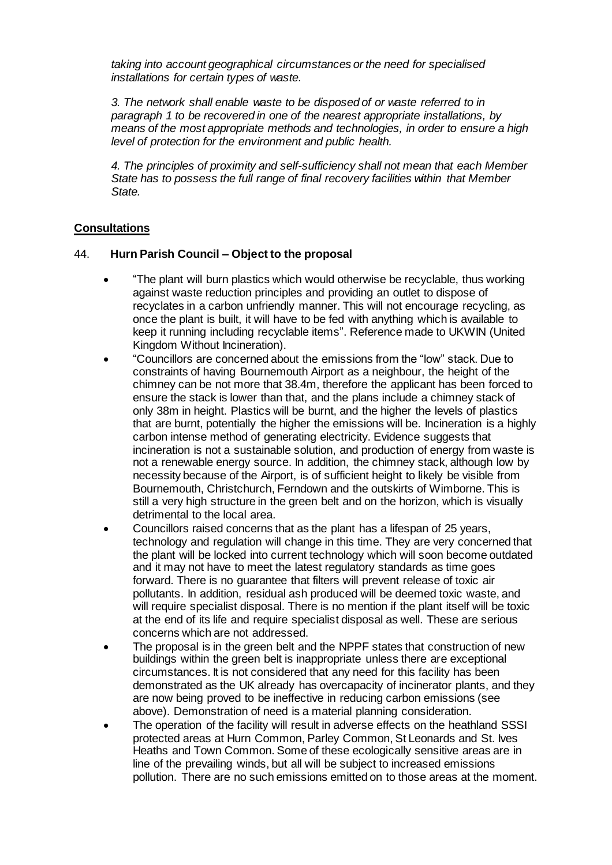*taking into account geographical circumstances or the need for specialised installations for certain types of waste.*

*3. The network shall enable waste to be disposed of or waste referred to in paragraph 1 to be recovered in one of the nearest appropriate installations, by means of the most appropriate methods and technologies, in order to ensure a high level of protection for the environment and public health.*

*4. The principles of proximity and self-sufficiency shall not mean that each Member State has to possess the full range of final recovery facilities within that Member State.*

## **Consultations**

#### 44. **Hurn Parish Council – Object to the proposal**

- "The plant will burn plastics which would otherwise be recyclable, thus working against waste reduction principles and providing an outlet to dispose of recyclates in a carbon unfriendly manner. This will not encourage recycling, as once the plant is built, it will have to be fed with anything which is available to keep it running including recyclable items". Reference made to UKWIN (United Kingdom Without Incineration).
- "Councillors are concerned about the emissions from the "low" stack. Due to constraints of having Bournemouth Airport as a neighbour, the height of the chimney can be not more that 38.4m, therefore the applicant has been forced to ensure the stack is lower than that, and the plans include a chimney stack of only 38m in height. Plastics will be burnt, and the higher the levels of plastics that are burnt, potentially the higher the emissions will be. Incineration is a highly carbon intense method of generating electricity. Evidence suggests that incineration is not a sustainable solution, and production of energy from waste is not a renewable energy source. In addition, the chimney stack, although low by necessity because of the Airport, is of sufficient height to likely be visible from Bournemouth, Christchurch, Ferndown and the outskirts of Wimborne. This is still a very high structure in the green belt and on the horizon, which is visually detrimental to the local area.
- Councillors raised concerns that as the plant has a lifespan of 25 years, technology and regulation will change in this time. They are very concerned that the plant will be locked into current technology which will soon become outdated and it may not have to meet the latest regulatory standards as time goes forward. There is no guarantee that filters will prevent release of toxic air pollutants. In addition, residual ash produced will be deemed toxic waste, and will require specialist disposal. There is no mention if the plant itself will be toxic at the end of its life and require specialist disposal as well. These are serious concerns which are not addressed.
- The proposal is in the green belt and the NPPF states that construction of new buildings within the green belt is inappropriate unless there are exceptional circumstances. It is not considered that any need for this facility has been demonstrated as the UK already has overcapacity of incinerator plants, and they are now being proved to be ineffective in reducing carbon emissions (see above). Demonstration of need is a material planning consideration.
- The operation of the facility will result in adverse effects on the heathland SSSI protected areas at Hurn Common, Parley Common, St Leonards and St. Ives Heaths and Town Common. Some of these ecologically sensitive areas are in line of the prevailing winds, but all will be subject to increased emissions pollution. There are no such emissions emitted on to those areas at the moment.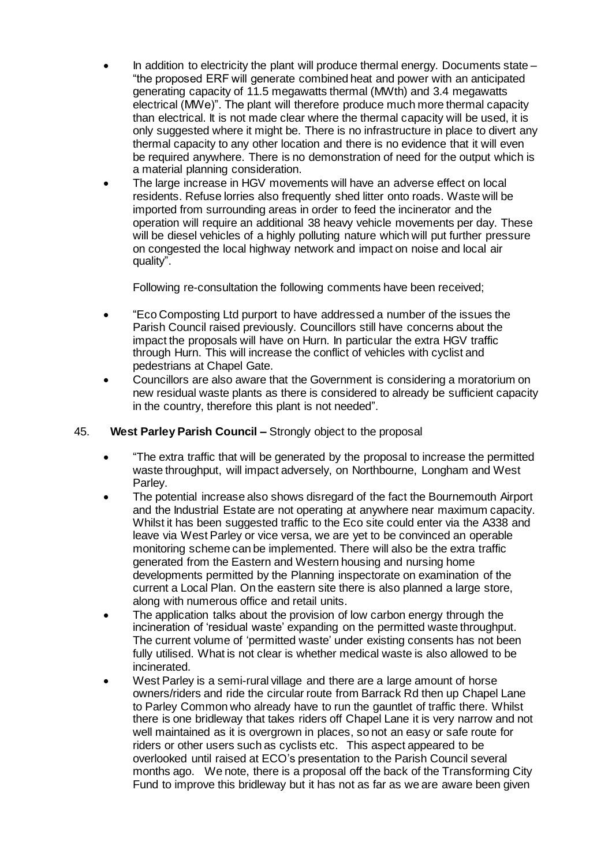- In addition to electricity the plant will produce thermal energy. Documents state "the proposed ERF will generate combined heat and power with an anticipated generating capacity of 11.5 megawatts thermal (MWth) and 3.4 megawatts electrical (MWe)". The plant will therefore produce much more thermal capacity than electrical. It is not made clear where the thermal capacity will be used, it is only suggested where it might be. There is no infrastructure in place to divert any thermal capacity to any other location and there is no evidence that it will even be required anywhere. There is no demonstration of need for the output which is a material planning consideration.
- The large increase in HGV movements will have an adverse effect on local residents. Refuse lorries also frequently shed litter onto roads. Waste will be imported from surrounding areas in order to feed the incinerator and the operation will require an additional 38 heavy vehicle movements per day. These will be diesel vehicles of a highly polluting nature which will put further pressure on congested the local highway network and impact on noise and local air quality".

Following re-consultation the following comments have been received;

- "Eco Composting Ltd purport to have addressed a number of the issues the Parish Council raised previously. Councillors still have concerns about the impact the proposals will have on Hurn. In particular the extra HGV traffic through Hurn. This will increase the conflict of vehicles with cyclist and pedestrians at Chapel Gate.
- Councillors are also aware that the Government is considering a moratorium on new residual waste plants as there is considered to already be sufficient capacity in the country, therefore this plant is not needed".

## 45. **West Parley Parish Council –** Strongly object to the proposal

- "The extra traffic that will be generated by the proposal to increase the permitted waste throughput, will impact adversely, on Northbourne, Longham and West Parley.
- The potential increase also shows disregard of the fact the Bournemouth Airport and the Industrial Estate are not operating at anywhere near maximum capacity. Whilst it has been suggested traffic to the Eco site could enter via the A338 and leave via West Parley or vice versa, we are yet to be convinced an operable monitoring scheme can be implemented. There will also be the extra traffic generated from the Eastern and Western housing and nursing home developments permitted by the Planning inspectorate on examination of the current a Local Plan. On the eastern site there is also planned a large store, along with numerous office and retail units.
- The application talks about the provision of low carbon energy through the incineration of 'residual waste' expanding on the permitted waste throughput. The current volume of 'permitted waste' under existing consents has not been fully utilised. What is not clear is whether medical waste is also allowed to be incinerated.
- West Parley is a semi-rural village and there are a large amount of horse owners/riders and ride the circular route from Barrack Rd then up Chapel Lane to Parley Common who already have to run the gauntlet of traffic there. Whilst there is one bridleway that takes riders off Chapel Lane it is very narrow and not well maintained as it is overgrown in places, so not an easy or safe route for riders or other users such as cyclists etc. This aspect appeared to be overlooked until raised at ECO's presentation to the Parish Council several months ago. We note, there is a proposal off the back of the Transforming City Fund to improve this bridleway but it has not as far as we are aware been given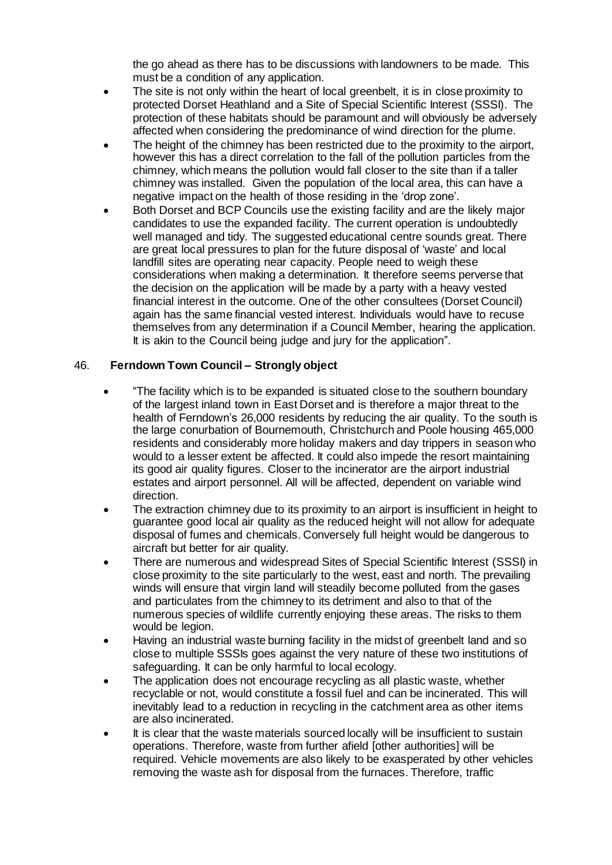the go ahead as there has to be discussions with landowners to be made. This must be a condition of any application.

- The site is not only within the heart of local greenbelt, it is in close proximity to protected Dorset Heathland and a Site of Special Scientific Interest (SSSI). The protection of these habitats should be paramount and will obviously be adversely affected when considering the predominance of wind direction for the plume.
- The height of the chimney has been restricted due to the proximity to the airport, however this has a direct correlation to the fall of the pollution particles from the chimney, which means the pollution would fall closer to the site than if a taller chimney was installed. Given the population of the local area, this can have a negative impact on the health of those residing in the 'drop zone'.
- Both Dorset and BCP Councils use the existing facility and are the likely major candidates to use the expanded facility. The current operation is undoubtedly well managed and tidy. The suggested educational centre sounds great. There are great local pressures to plan for the future disposal of 'waste' and local landfill sites are operating near capacity. People need to weigh these considerations when making a determination. It therefore seems perverse that the decision on the application will be made by a party with a heavy vested financial interest in the outcome. One of the other consultees (Dorset Council) again has the same financial vested interest. Individuals would have to recuse themselves from any determination if a Council Member, hearing the application. It is akin to the Council being judge and jury for the application".

## 46. **Ferndown Town Council – Strongly object**

- "The facility which is to be expanded is situated close to the southern boundary of the largest inland town in East Dorset and is therefore a major threat to the health of Ferndown's 26,000 residents by reducing the air quality. To the south is the large conurbation of Bournemouth, Christchurch and Poole housing 465,000 residents and considerably more holiday makers and day trippers in season who would to a lesser extent be affected. It could also impede the resort maintaining its good air quality figures. Closer to the incinerator are the airport industrial estates and airport personnel. All will be affected, dependent on variable wind direction.
- The extraction chimney due to its proximity to an airport is insufficient in height to guarantee good local air quality as the reduced height will not allow for adequate disposal of fumes and chemicals. Conversely full height would be dangerous to aircraft but better for air quality.
- There are numerous and widespread Sites of Special Scientific Interest (SSSI) in close proximity to the site particularly to the west, east and north. The prevailing winds will ensure that virgin land will steadily become polluted from the gases and particulates from the chimney to its detriment and also to that of the numerous species of wildlife currently enjoying these areas. The risks to them would be legion.
- Having an industrial waste burning facility in the midst of greenbelt land and so close to multiple SSSIs goes against the very nature of these two institutions of safeguarding. It can be only harmful to local ecology.
- The application does not encourage recycling as all plastic waste, whether recyclable or not, would constitute a fossil fuel and can be incinerated. This will inevitably lead to a reduction in recycling in the catchment area as other items are also incinerated.
- It is clear that the waste materials sourced locally will be insufficient to sustain operations. Therefore, waste from further afield [other authorities] will be required. Vehicle movements are also likely to be exasperated by other vehicles removing the waste ash for disposal from the furnaces. Therefore, traffic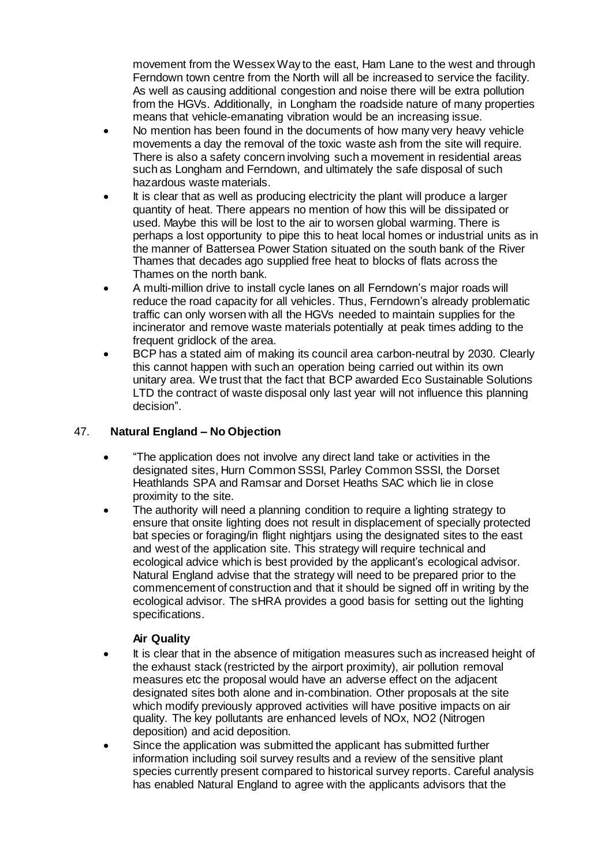movement from the Wessex Way to the east, Ham Lane to the west and through Ferndown town centre from the North will all be increased to service the facility. As well as causing additional congestion and noise there will be extra pollution from the HGVs. Additionally, in Longham the roadside nature of many properties means that vehicle-emanating vibration would be an increasing issue.

- No mention has been found in the documents of how many very heavy vehicle movements a day the removal of the toxic waste ash from the site will require. There is also a safety concern involving such a movement in residential areas such as Longham and Ferndown, and ultimately the safe disposal of such hazardous waste materials.
- It is clear that as well as producing electricity the plant will produce a larger quantity of heat. There appears no mention of how this will be dissipated or used. Maybe this will be lost to the air to worsen global warming. There is perhaps a lost opportunity to pipe this to heat local homes or industrial units as in the manner of Battersea Power Station situated on the south bank of the River Thames that decades ago supplied free heat to blocks of flats across the Thames on the north bank.
- A multi-million drive to install cycle lanes on all Ferndown's major roads will reduce the road capacity for all vehicles. Thus, Ferndown's already problematic traffic can only worsen with all the HGVs needed to maintain supplies for the incinerator and remove waste materials potentially at peak times adding to the frequent gridlock of the area.
- BCP has a stated aim of making its council area carbon-neutral by 2030. Clearly this cannot happen with such an operation being carried out within its own unitary area. We trust that the fact that BCP awarded Eco Sustainable Solutions LTD the contract of waste disposal only last year will not influence this planning decision".

# 47. **Natural England – No Objection**

- "The application does not involve any direct land take or activities in the designated sites, Hurn Common SSSI, Parley Common SSSI, the Dorset Heathlands SPA and Ramsar and Dorset Heaths SAC which lie in close proximity to the site.
- The authority will need a planning condition to require a lighting strategy to ensure that onsite lighting does not result in displacement of specially protected bat species or foraging/in flight nightiars using the designated sites to the east and west of the application site. This strategy will require technical and ecological advice which is best provided by the applicant's ecological advisor. Natural England advise that the strategy will need to be prepared prior to the commencement of construction and that it should be signed off in writing by the ecological advisor. The sHRA provides a good basis for setting out the lighting specifications.

## **Air Quality**

- It is clear that in the absence of mitigation measures such as increased height of the exhaust stack (restricted by the airport proximity), air pollution removal measures etc the proposal would have an adverse effect on the adjacent designated sites both alone and in-combination. Other proposals at the site which modify previously approved activities will have positive impacts on air quality. The key pollutants are enhanced levels of NOx, NO2 (Nitrogen deposition) and acid deposition.
- Since the application was submitted the applicant has submitted further information including soil survey results and a review of the sensitive plant species currently present compared to historical survey reports. Careful analysis has enabled Natural England to agree with the applicants advisors that the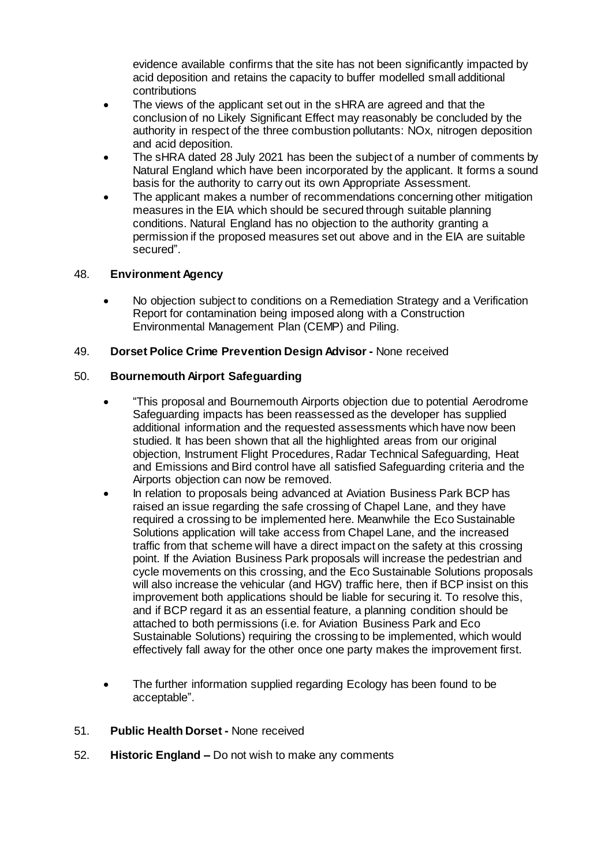evidence available confirms that the site has not been significantly impacted by acid deposition and retains the capacity to buffer modelled small additional contributions

- The views of the applicant set out in the sHRA are agreed and that the conclusion of no Likely Significant Effect may reasonably be concluded by the authority in respect of the three combustion pollutants: NOx, nitrogen deposition and acid deposition.
- The sHRA dated 28 July 2021 has been the subject of a number of comments by Natural England which have been incorporated by the applicant. It forms a sound basis for the authority to carry out its own Appropriate Assessment.
- The applicant makes a number of recommendations concerning other mitigation measures in the EIA which should be secured through suitable planning conditions. Natural England has no objection to the authority granting a permission if the proposed measures set out above and in the EIA are suitable secured".

## 48. **Environment Agency**

 No objection subject to conditions on a Remediation Strategy and a Verification Report for contamination being imposed along with a Construction Environmental Management Plan (CEMP) and Piling.

## 49. **Dorset Police Crime Prevention Design Advisor -** None received

## 50. **Bournemouth Airport Safeguarding**

- "This proposal and Bournemouth Airports objection due to potential Aerodrome Safeguarding impacts has been reassessed as the developer has supplied additional information and the requested assessments which have now been studied. It has been shown that all the highlighted areas from our original objection, Instrument Flight Procedures, Radar Technical Safeguarding, Heat and Emissions and Bird control have all satisfied Safeguarding criteria and the Airports objection can now be removed.
- In relation to proposals being advanced at Aviation Business Park BCP has raised an issue regarding the safe crossing of Chapel Lane, and they have required a crossing to be implemented here. Meanwhile the Eco Sustainable Solutions application will take access from Chapel Lane, and the increased traffic from that scheme will have a direct impact on the safety at this crossing point. If the Aviation Business Park proposals will increase the pedestrian and cycle movements on this crossing, and the Eco Sustainable Solutions proposals will also increase the vehicular (and HGV) traffic here, then if BCP insist on this improvement both applications should be liable for securing it. To resolve this, and if BCP regard it as an essential feature, a planning condition should be attached to both permissions (i.e. for Aviation Business Park and Eco Sustainable Solutions) requiring the crossing to be implemented, which would effectively fall away for the other once one party makes the improvement first.
- The further information supplied regarding Ecology has been found to be acceptable".
- 51. **Public Health Dorset -** None received
- 52. **Historic England –** Do not wish to make any comments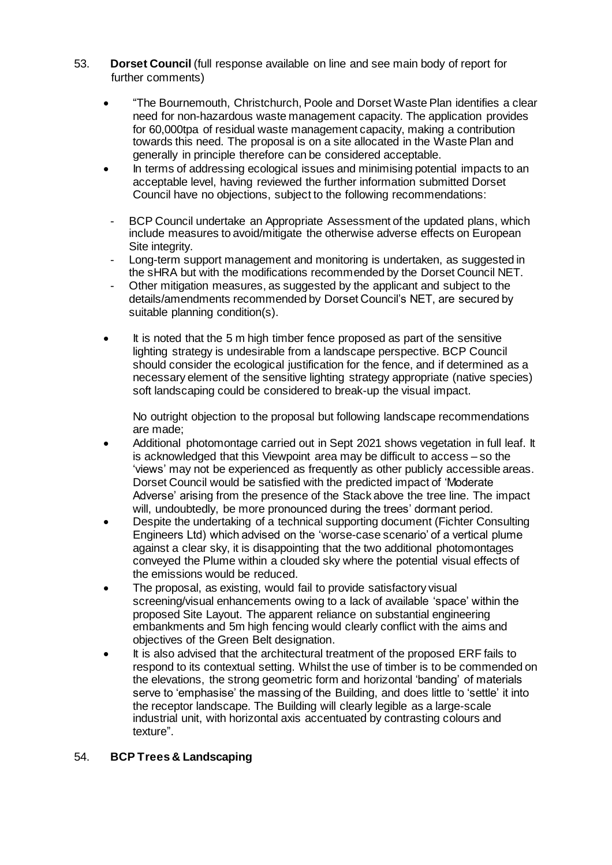- 53. **Dorset Council** (full response available on line and see main body of report for further comments)
	- "The Bournemouth, Christchurch, Poole and Dorset Waste Plan identifies a clear need for non-hazardous waste management capacity. The application provides for 60,000tpa of residual waste management capacity, making a contribution towards this need. The proposal is on a site allocated in the Waste Plan and generally in principle therefore can be considered acceptable.
	- In terms of addressing ecological issues and minimising potential impacts to an acceptable level, having reviewed the further information submitted Dorset Council have no objections, subject to the following recommendations:
	- BCP Council undertake an Appropriate Assessment of the updated plans, which include measures to avoid/mitigate the otherwise adverse effects on European Site integrity.
	- Long-term support management and monitoring is undertaken, as suggested in the sHRA but with the modifications recommended by the Dorset Council NET.
	- Other mitigation measures, as suggested by the applicant and subject to the details/amendments recommended by Dorset Council's NET, are secured by suitable planning condition(s).
	- It is noted that the 5 m high timber fence proposed as part of the sensitive lighting strategy is undesirable from a landscape perspective. BCP Council should consider the ecological justification for the fence, and if determined as a necessary element of the sensitive lighting strategy appropriate (native species) soft landscaping could be considered to break-up the visual impact.

No outright objection to the proposal but following landscape recommendations are made;

- Additional photomontage carried out in Sept 2021 shows vegetation in full leaf. It is acknowledged that this Viewpoint area may be difficult to access – so the 'views' may not be experienced as frequently as other publicly accessible areas. Dorset Council would be satisfied with the predicted impact of 'Moderate Adverse' arising from the presence of the Stack above the tree line. The impact will, undoubtedly, be more pronounced during the trees' dormant period.
- Despite the undertaking of a technical supporting document (Fichter Consulting Engineers Ltd) which advised on the 'worse-case scenario' of a vertical plume against a clear sky, it is disappointing that the two additional photomontages conveyed the Plume within a clouded sky where the potential visual effects of the emissions would be reduced.
- The proposal, as existing, would fail to provide satisfactory visual screening/visual enhancements owing to a lack of available 'space' within the proposed Site Layout. The apparent reliance on substantial engineering embankments and 5m high fencing would clearly conflict with the aims and objectives of the Green Belt designation.
- It is also advised that the architectural treatment of the proposed ERF fails to respond to its contextual setting. Whilst the use of timber is to be commended on the elevations, the strong geometric form and horizontal 'banding' of materials serve to 'emphasise' the massing of the Building, and does little to 'settle' it into the receptor landscape. The Building will clearly legible as a large-scale industrial unit, with horizontal axis accentuated by contrasting colours and texture".

## 54. **BCP Trees & Landscaping**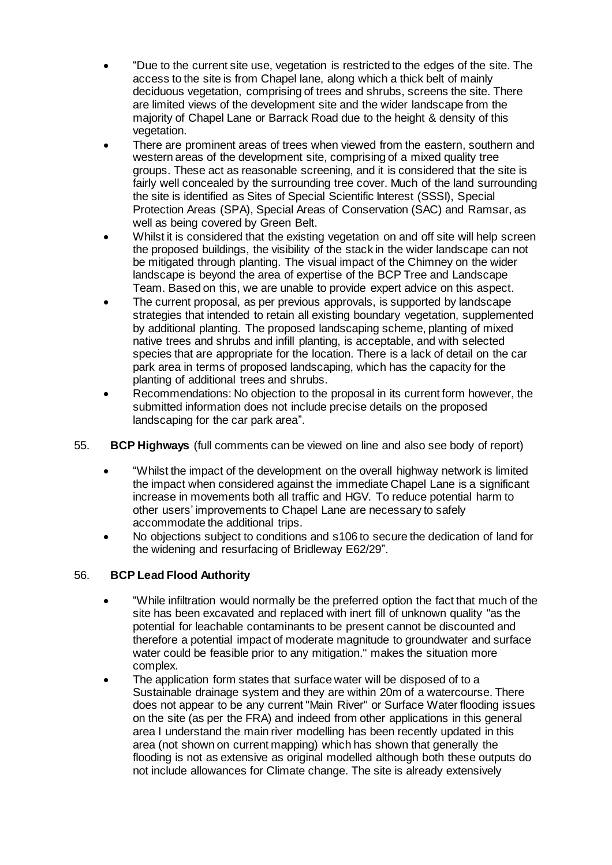- "Due to the current site use, vegetation is restricted to the edges of the site. The access to the site is from Chapel lane, along which a thick belt of mainly deciduous vegetation, comprising of trees and shrubs, screens the site. There are limited views of the development site and the wider landscape from the majority of Chapel Lane or Barrack Road due to the height & density of this vegetation.
- There are prominent areas of trees when viewed from the eastern, southern and western areas of the development site, comprising of a mixed quality tree groups. These act as reasonable screening, and it is considered that the site is fairly well concealed by the surrounding tree cover. Much of the land surrounding the site is identified as Sites of Special Scientific Interest (SSSI), Special Protection Areas (SPA), Special Areas of Conservation (SAC) and Ramsar, as well as being covered by Green Belt.
- Whilst it is considered that the existing vegetation on and off site will help screen the proposed buildings, the visibility of the stack in the wider landscape can not be mitigated through planting. The visual impact of the Chimney on the wider landscape is beyond the area of expertise of the BCP Tree and Landscape Team. Based on this, we are unable to provide expert advice on this aspect.
- The current proposal, as per previous approvals, is supported by landscape strategies that intended to retain all existing boundary vegetation, supplemented by additional planting. The proposed landscaping scheme, planting of mixed native trees and shrubs and infill planting, is acceptable, and with selected species that are appropriate for the location. There is a lack of detail on the car park area in terms of proposed landscaping, which has the capacity for the planting of additional trees and shrubs.
- Recommendations: No objection to the proposal in its current form however, the submitted information does not include precise details on the proposed landscaping for the car park area".
- 55. **BCP Highways** (full comments can be viewed on line and also see body of report)
	- "Whilst the impact of the development on the overall highway network is limited the impact when considered against the immediate Chapel Lane is a significant increase in movements both all traffic and HGV. To reduce potential harm to other users' improvements to Chapel Lane are necessary to safely accommodate the additional trips.
	- No objections subject to conditions and s106 to secure the dedication of land for the widening and resurfacing of Bridleway E62/29".

# 56. **BCP Lead Flood Authority**

- "While infiltration would normally be the preferred option the fact that much of the site has been excavated and replaced with inert fill of unknown quality "as the potential for leachable contaminants to be present cannot be discounted and therefore a potential impact of moderate magnitude to groundwater and surface water could be feasible prior to any mitigation." makes the situation more complex.
- The application form states that surface water will be disposed of to a Sustainable drainage system and they are within 20m of a watercourse. There does not appear to be any current "Main River" or Surface Water flooding issues on the site (as per the FRA) and indeed from other applications in this general area I understand the main river modelling has been recently updated in this area (not shown on current mapping) which has shown that generally the flooding is not as extensive as original modelled although both these outputs do not include allowances for Climate change. The site is already extensively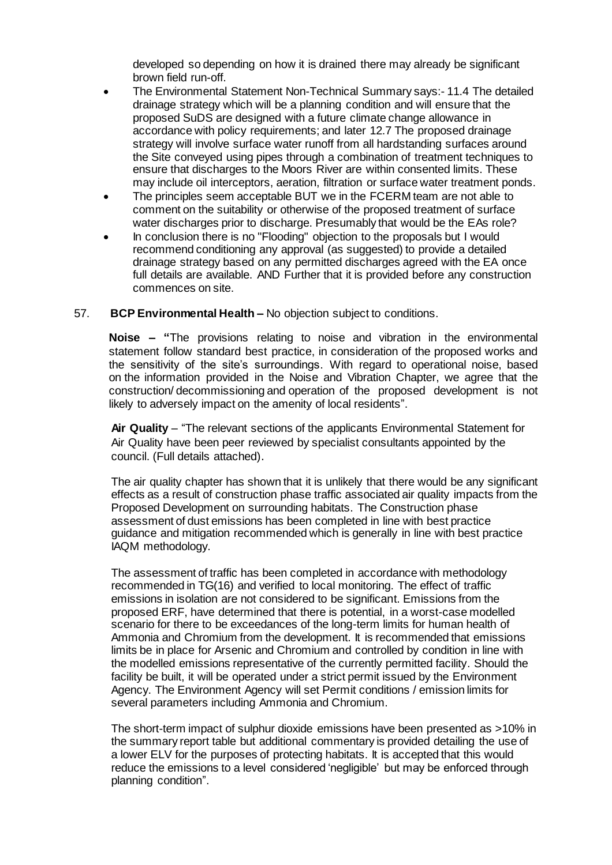developed so depending on how it is drained there may already be significant brown field run-off.

- The Environmental Statement Non-Technical Summary says:- 11.4 The detailed drainage strategy which will be a planning condition and will ensure that the proposed SuDS are designed with a future climate change allowance in accordance with policy requirements; and later 12.7 The proposed drainage strategy will involve surface water runoff from all hardstanding surfaces around the Site conveyed using pipes through a combination of treatment techniques to ensure that discharges to the Moors River are within consented limits. These may include oil interceptors, aeration, filtration or surface water treatment ponds.
- The principles seem acceptable BUT we in the FCERM team are not able to comment on the suitability or otherwise of the proposed treatment of surface water discharges prior to discharge. Presumably that would be the EAs role?
- In conclusion there is no "Flooding" objection to the proposals but I would recommend conditioning any approval (as suggested) to provide a detailed drainage strategy based on any permitted discharges agreed with the EA once full details are available. AND Further that it is provided before any construction commences on site.

## 57. **BCP Environmental Health –** No objection subject to conditions.

**Noise – "**The provisions relating to noise and vibration in the environmental statement follow standard best practice, in consideration of the proposed works and the sensitivity of the site's surroundings. With regard to operational noise, based on the information provided in the Noise and Vibration Chapter, we agree that the construction/ decommissioning and operation of the proposed development is not likely to adversely impact on the amenity of local residents".

**Air Quality** – "The relevant sections of the applicants Environmental Statement for Air Quality have been peer reviewed by specialist consultants appointed by the council. (Full details attached).

The air quality chapter has shown that it is unlikely that there would be any significant effects as a result of construction phase traffic associated air quality impacts from the Proposed Development on surrounding habitats. The Construction phase assessment of dust emissions has been completed in line with best practice guidance and mitigation recommended which is generally in line with best practice IAQM methodology.

The assessment of traffic has been completed in accordance with methodology recommended in TG(16) and verified to local monitoring. The effect of traffic emissions in isolation are not considered to be significant. Emissions from the proposed ERF, have determined that there is potential, in a worst-case modelled scenario for there to be exceedances of the long-term limits for human health of Ammonia and Chromium from the development. It is recommended that emissions limits be in place for Arsenic and Chromium and controlled by condition in line with the modelled emissions representative of the currently permitted facility. Should the facility be built, it will be operated under a strict permit issued by the Environment Agency. The Environment Agency will set Permit conditions / emission limits for several parameters including Ammonia and Chromium.

The short-term impact of sulphur dioxide emissions have been presented as >10% in the summary report table but additional commentary is provided detailing the use of a lower ELV for the purposes of protecting habitats. It is accepted that this would reduce the emissions to a level considered 'negligible' but may be enforced through planning condition".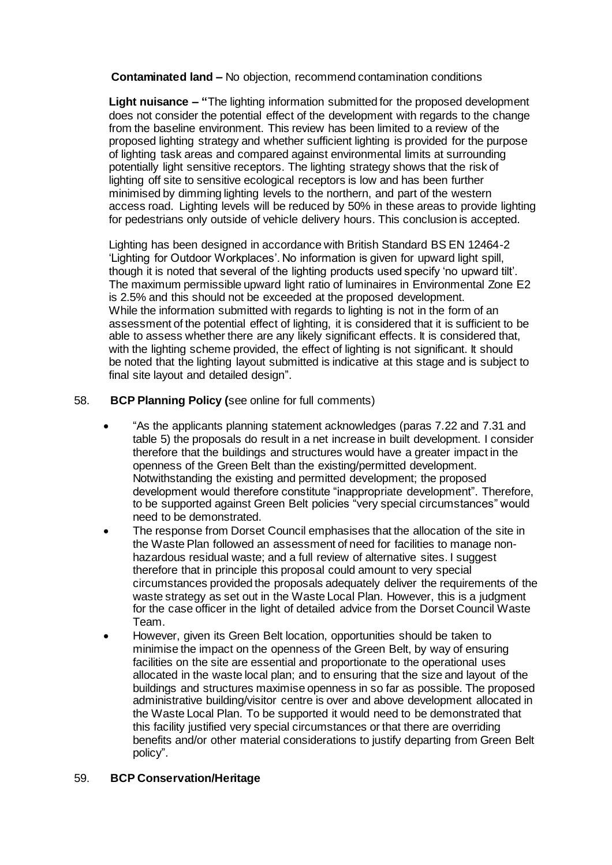**Contaminated land –** No objection, recommend contamination conditions

**Light nuisance – "**The lighting information submitted for the proposed development does not consider the potential effect of the development with regards to the change from the baseline environment. This review has been limited to a review of the proposed lighting strategy and whether sufficient lighting is provided for the purpose of lighting task areas and compared against environmental limits at surrounding potentially light sensitive receptors. The lighting strategy shows that the risk of lighting off site to sensitive ecological receptors is low and has been further minimised by dimming lighting levels to the northern, and part of the western access road. Lighting levels will be reduced by 50% in these areas to provide lighting for pedestrians only outside of vehicle delivery hours. This conclusion is accepted.

Lighting has been designed in accordance with British Standard BS EN 12464-2 'Lighting for Outdoor Workplaces'. No information is given for upward light spill, though it is noted that several of the lighting products used specify 'no upward tilt'. The maximum permissible upward light ratio of luminaires in Environmental Zone E2 is 2.5% and this should not be exceeded at the proposed development. While the information submitted with regards to lighting is not in the form of an assessment of the potential effect of lighting, it is considered that it is sufficient to be able to assess whether there are any likely significant effects. It is considered that, with the lighting scheme provided, the effect of lighting is not significant. It should be noted that the lighting layout submitted is indicative at this stage and is subject to final site layout and detailed design".

# 58. **BCP Planning Policy (**see online for full comments)

- "As the applicants planning statement acknowledges (paras 7.22 and 7.31 and table 5) the proposals do result in a net increase in built development. I consider therefore that the buildings and structures would have a greater impact in the openness of the Green Belt than the existing/permitted development. Notwithstanding the existing and permitted development; the proposed development would therefore constitute "inappropriate development". Therefore, to be supported against Green Belt policies "very special circumstances" would need to be demonstrated.
- The response from Dorset Council emphasises that the allocation of the site in the Waste Plan followed an assessment of need for facilities to manage nonhazardous residual waste; and a full review of alternative sites. I suggest therefore that in principle this proposal could amount to very special circumstances provided the proposals adequately deliver the requirements of the waste strategy as set out in the Waste Local Plan. However, this is a judgment for the case officer in the light of detailed advice from the Dorset Council Waste Team.
- However, given its Green Belt location, opportunities should be taken to minimise the impact on the openness of the Green Belt, by way of ensuring facilities on the site are essential and proportionate to the operational uses allocated in the waste local plan; and to ensuring that the size and layout of the buildings and structures maximise openness in so far as possible. The proposed administrative building/visitor centre is over and above development allocated in the Waste Local Plan. To be supported it would need to be demonstrated that this facility justified very special circumstances or that there are overriding benefits and/or other material considerations to justify departing from Green Belt policy".

## 59. **BCP Conservation/Heritage**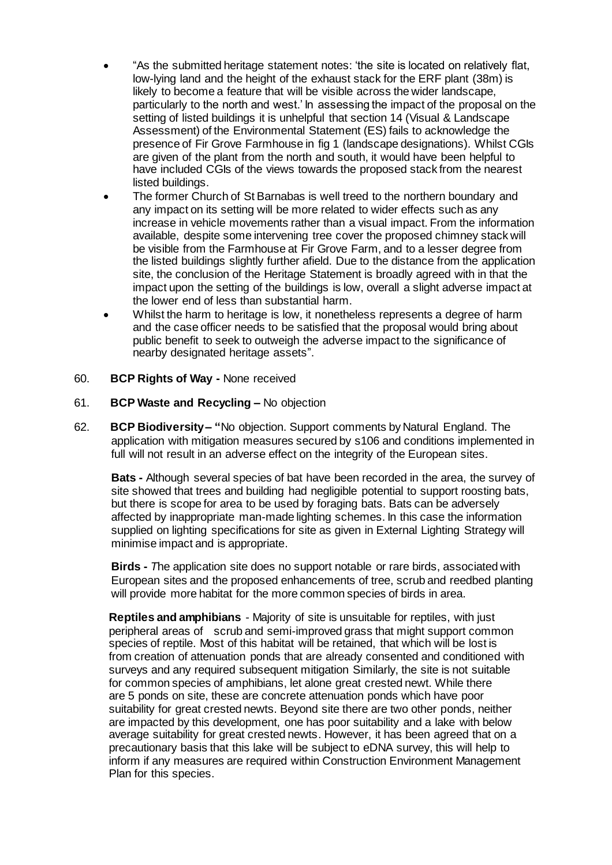- "As the submitted heritage statement notes: 'the site is located on relatively flat, low-lying land and the height of the exhaust stack for the ERF plant (38m) is likely to become a feature that will be visible across the wider landscape, particularly to the north and west.' In assessing the impact of the proposal on the setting of listed buildings it is unhelpful that section 14 (Visual & Landscape Assessment) of the Environmental Statement (ES) fails to acknowledge the presence of Fir Grove Farmhouse in fig 1 (landscape designations). Whilst CGIs are given of the plant from the north and south, it would have been helpful to have included CGIs of the views towards the proposed stack from the nearest listed buildings.
- The former Church of St Barnabas is well treed to the northern boundary and any impact on its setting will be more related to wider effects such as any increase in vehicle movements rather than a visual impact. From the information available, despite some intervening tree cover the proposed chimney stack will be visible from the Farmhouse at Fir Grove Farm, and to a lesser degree from the listed buildings slightly further afield. Due to the distance from the application site, the conclusion of the Heritage Statement is broadly agreed with in that the impact upon the setting of the buildings is low, overall a slight adverse impact at the lower end of less than substantial harm.
- Whilst the harm to heritage is low, it nonetheless represents a degree of harm and the case officer needs to be satisfied that the proposal would bring about public benefit to seek to outweigh the adverse impact to the significance of nearby designated heritage assets".
- 60. **BCP Rights of Way -** None received
- 61. **BCP Waste and Recycling –** No objection
- 62. **BCP Biodiversity– "**No objection. Support comments by Natural England. The application with mitigation measures secured by s106 and conditions implemented in full will not result in an adverse effect on the integrity of the European sites.

**Bats -** Although several species of bat have been recorded in the area, the survey of site showed that trees and building had negligible potential to support roosting bats, but there is scope for area to be used by foraging bats. Bats can be adversely affected by inappropriate man-made lighting schemes. In this case the information supplied on lighting specifications for site as given in External Lighting Strategy will minimise impact and is appropriate.

**Birds -** *T*he application site does no support notable or rare birds, associated with European sites and the proposed enhancements of tree, scrub and reedbed planting will provide more habitat for the more common species of birds in area.

**Reptiles and amphibians** - Majority of site is unsuitable for reptiles, with just peripheral areas of scrub and semi-improved grass that might support common species of reptile. Most of this habitat will be retained, that which will be lost is from creation of attenuation ponds that are already consented and conditioned with surveys and any required subsequent mitigation Similarly, the site is not suitable for common species of amphibians, let alone great crested newt. While there are 5 ponds on site, these are concrete attenuation ponds which have poor suitability for great crested newts. Beyond site there are two other ponds, neither are impacted by this development, one has poor suitability and a lake with below average suitability for great crested newts. However, it has been agreed that on a precautionary basis that this lake will be subject to eDNA survey, this will help to inform if any measures are required within Construction Environment Management Plan for this species.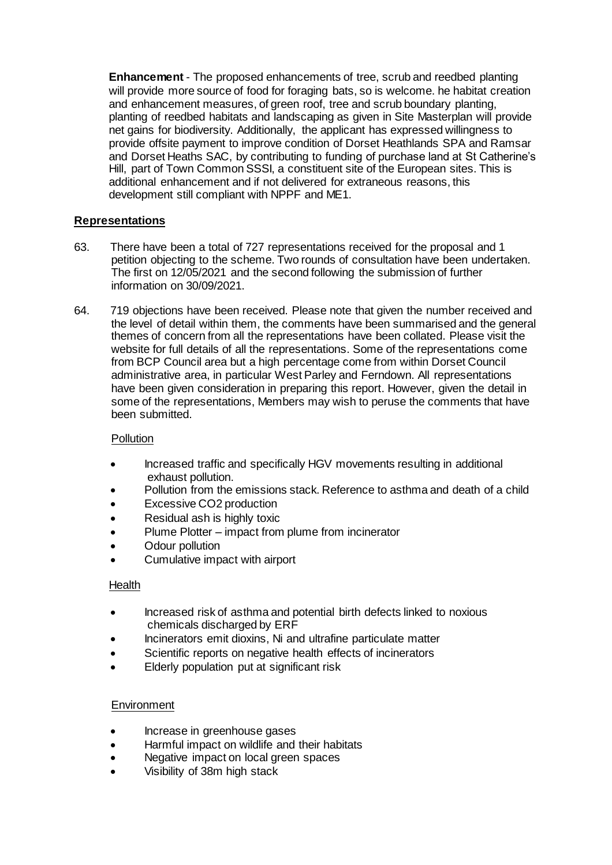**Enhancement** - The proposed enhancements of tree, scrub and reedbed planting will provide more source of food for foraging bats, so is welcome. he habitat creation and enhancement measures, of green roof, tree and scrub boundary planting, planting of reedbed habitats and landscaping as given in Site Masterplan will provide net gains for biodiversity. Additionally, the applicant has expressed willingness to provide offsite payment to improve condition of Dorset Heathlands SPA and Ramsar and Dorset Heaths SAC, by contributing to funding of purchase land at St Catherine's Hill, part of Town Common SSSI, a constituent site of the European sites. This is additional enhancement and if not delivered for extraneous reasons, this development still compliant with NPPF and ME1.

## **Representations**

- 63. There have been a total of 727 representations received for the proposal and 1 petition objecting to the scheme. Two rounds of consultation have been undertaken. The first on 12/05/2021 and the second following the submission of further information on 30/09/2021.
- 64. 719 objections have been received. Please note that given the number received and the level of detail within them, the comments have been summarised and the general themes of concern from all the representations have been collated. Please visit the website for full details of all the representations. Some of the representations come from BCP Council area but a high percentage come from within Dorset Council administrative area, in particular West Parley and Ferndown. All representations have been given consideration in preparing this report. However, given the detail in some of the representations, Members may wish to peruse the comments that have been submitted.

## **Pollution**

- Increased traffic and specifically HGV movements resulting in additional exhaust pollution.
- Pollution from the emissions stack. Reference to asthma and death of a child
- Excessive CO2 production
- Residual ash is highly toxic
- Plume Plotter impact from plume from incinerator
- Odour pollution
- Cumulative impact with airport

## Health

- Increased risk of asthma and potential birth defects linked to noxious chemicals discharged by ERF
- Incinerators emit dioxins, Ni and ultrafine particulate matter
- Scientific reports on negative health effects of incinerators
- Elderly population put at significant risk

## **Environment**

- Increase in greenhouse gases
- Harmful impact on wildlife and their habitats
- Negative impact on local green spaces
- Visibility of 38m high stack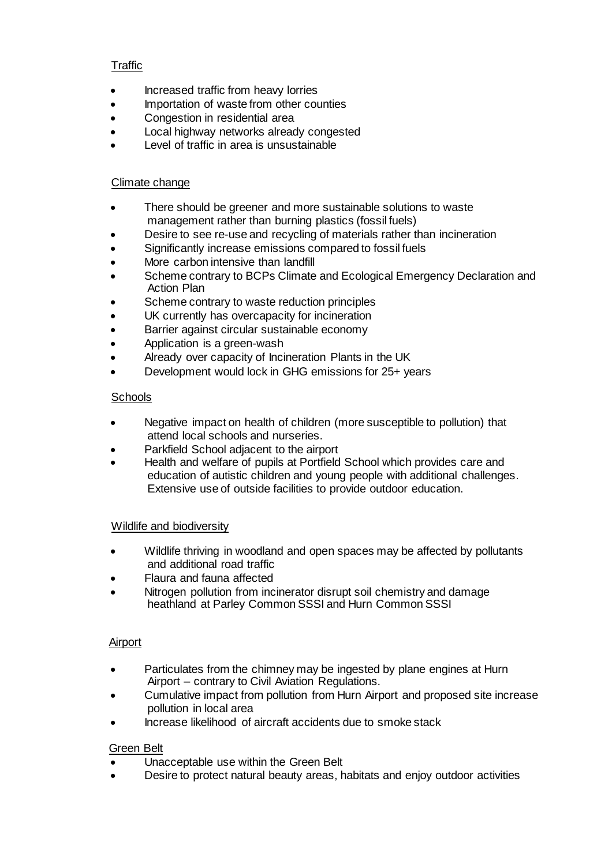## **Traffic**

- Increased traffic from heavy lorries
- Importation of waste from other counties
- Congestion in residential area
- Local highway networks already congested
- Level of traffic in area is unsustainable

## Climate change

- There should be greener and more sustainable solutions to waste management rather than burning plastics (fossil fuels)
- Desire to see re-use and recycling of materials rather than incineration
- Significantly increase emissions compared to fossil fuels
- More carbon intensive than landfill
- Scheme contrary to BCPs Climate and Ecological Emergency Declaration and Action Plan
- Scheme contrary to waste reduction principles
- UK currently has overcapacity for incineration
- Barrier against circular sustainable economy
- Application is a green-wash
- Already over capacity of Incineration Plants in the UK
- Development would lock in GHG emissions for 25+ years

## **Schools**

- Negative impact on health of children (more susceptible to pollution) that attend local schools and nurseries.
- Parkfield School adjacent to the airport
- Health and welfare of pupils at Portfield School which provides care and education of autistic children and young people with additional challenges. Extensive use of outside facilities to provide outdoor education.

## Wildlife and biodiversity

- Wildlife thriving in woodland and open spaces may be affected by pollutants and additional road traffic
- Flaura and fauna affected
- Nitrogen pollution from incinerator disrupt soil chemistry and damage heathland at Parley Common SSSI and Hurn Common SSSI

## **Airport**

- Particulates from the chimney may be ingested by plane engines at Hurn Airport – contrary to Civil Aviation Regulations.
- Cumulative impact from pollution from Hurn Airport and proposed site increase pollution in local area
- Increase likelihood of aircraft accidents due to smoke stack

## Green Belt

- Unacceptable use within the Green Belt
- Desire to protect natural beauty areas, habitats and enjoy outdoor activities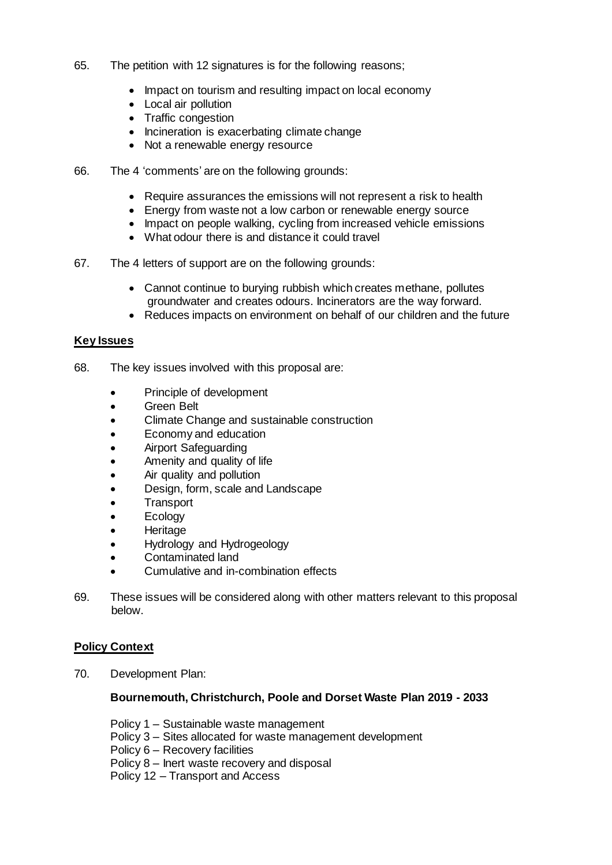- 65. The petition with 12 signatures is for the following reasons;
	- Impact on tourism and resulting impact on local economy
	- Local air pollution
	- Traffic congestion
	- Incineration is exacerbating climate change
	- Not a renewable energy resource
- 66. The 4 'comments' are on the following grounds:
	- Require assurances the emissions will not represent a risk to health
	- Energy from waste not a low carbon or renewable energy source
	- Impact on people walking, cycling from increased vehicle emissions
	- What odour there is and distance it could travel
- 67. The 4 letters of support are on the following grounds:
	- Cannot continue to burying rubbish which creates methane, pollutes groundwater and creates odours. Incinerators are the way forward.
	- Reduces impacts on environment on behalf of our children and the future

## **Key Issues**

- 68. The key issues involved with this proposal are:
	- Principle of development
	- Green Belt
	- Climate Change and sustainable construction
	- Economy and education
	- Airport Safeguarding
	- Amenity and quality of life
	- Air quality and pollution
	- Design, form, scale and Landscape
	- **Transport**
	- Ecology
	- Heritage
	- Hydrology and Hydrogeology
	- Contaminated land
	- Cumulative and in-combination effects
- 69. These issues will be considered along with other matters relevant to this proposal below.

## **Policy Context**

70. Development Plan:

## **Bournemouth, Christchurch, Poole and Dorset Waste Plan 2019 - 2033**

- Policy 1 Sustainable waste management
- Policy 3 Sites allocated for waste management development
- Policy 6 Recovery facilities
- Policy 8 Inert waste recovery and disposal

Policy 12 – Transport and Access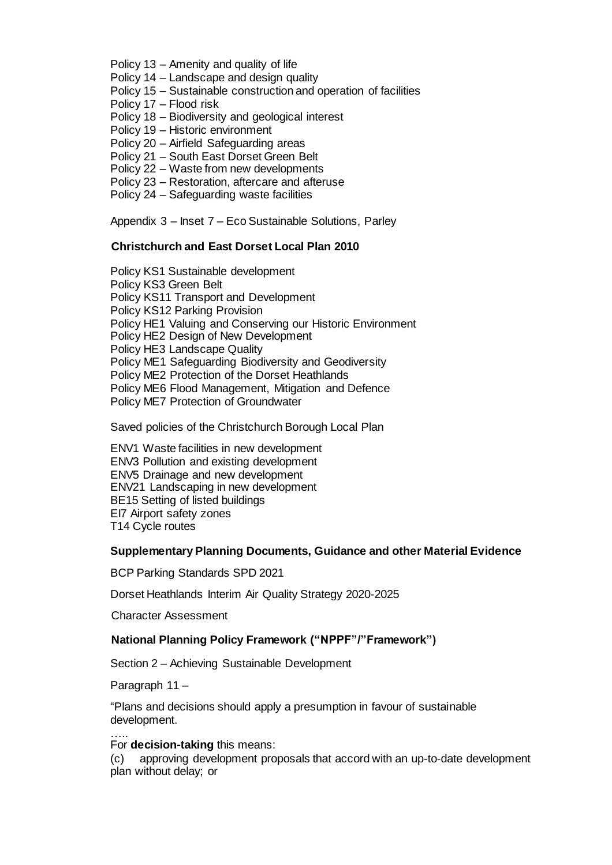Policy 13 – Amenity and quality of life

- Policy 14 Landscape and design quality
- Policy 15 Sustainable construction and operation of facilities
- Policy 17 Flood risk
- Policy 18 Biodiversity and geological interest
- Policy 19 Historic environment
- Policy 20 Airfield Safeguarding areas
- Policy 21 South East Dorset Green Belt
- Policy 22 Waste from new developments
- Policy 23 Restoration, aftercare and afteruse
- Policy 24 Safeguarding waste facilities

Appendix 3 – Inset 7 – Eco Sustainable Solutions, Parley

#### **Christchurch and East Dorset Local Plan 2010**

Policy KS1 Sustainable development Policy KS3 Green Belt Policy KS11 Transport and Development Policy KS12 Parking Provision Policy HE1 Valuing and Conserving our Historic Environment Policy HE2 Design of New Development Policy HE3 Landscape Quality Policy ME1 Safeguarding Biodiversity and Geodiversity Policy ME2 Protection of the Dorset Heathlands Policy ME6 Flood Management, Mitigation and Defence Policy ME7 Protection of Groundwater

Saved policies of the Christchurch Borough Local Plan

ENV1 Waste facilities in new development ENV3 Pollution and existing development ENV5 Drainage and new development ENV21 Landscaping in new development BE15 Setting of listed buildings EI7 Airport safety zones T14 Cycle routes

#### **Supplementary Planning Documents, Guidance and other Material Evidence**

BCP Parking Standards SPD 2021

Dorset Heathlands Interim Air Quality Strategy 2020-2025

Character Assessment

## **National Planning Policy Framework ("NPPF"/"Framework")**

Section 2 – Achieving Sustainable Development

Paragraph 11 –

"Plans and decisions should apply a presumption in favour of sustainable development.

#### ….. For **decision-taking** this means:

(c) approving development proposals that accord with an up-to-date development plan without delay; or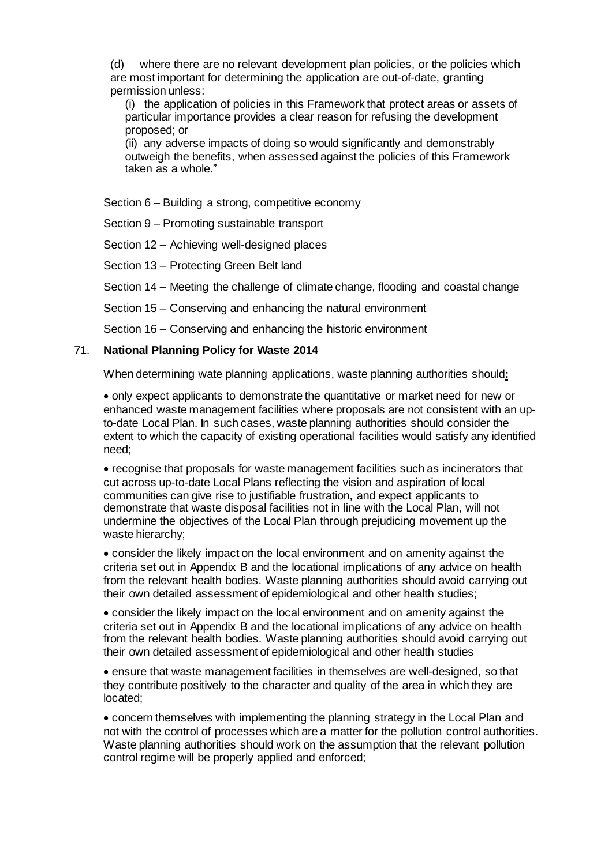(d) where there are no relevant development plan policies, or the policies which are most important for determining the application are out-of-date, granting permission unless:

(i) the application of policies in this Framework that protect areas or assets of particular importance provides a clear reason for refusing the development proposed; or

(ii) any adverse impacts of doing so would significantly and demonstrably outweigh the benefits, when assessed against the policies of this Framework taken as a whole."

Section 6 – Building a strong, competitive economy

Section 9 – Promoting sustainable transport

Section 12 – Achieving well-designed places

Section 13 – Protecting Green Belt land

Section 14 – Meeting the challenge of climate change, flooding and coastal change

Section 15 – Conserving and enhancing the natural environment

Section 16 – Conserving and enhancing the historic environment

#### 71. **National Planning Policy for Waste 2014**

When determining wate planning applications, waste planning authorities should**:**

 only expect applicants to demonstrate the quantitative or market need for new or enhanced waste management facilities where proposals are not consistent with an upto-date Local Plan. In such cases, waste planning authorities should consider the extent to which the capacity of existing operational facilities would satisfy any identified need;

 recognise that proposals for waste management facilities such as incinerators that cut across up-to-date Local Plans reflecting the vision and aspiration of local communities can give rise to justifiable frustration, and expect applicants to demonstrate that waste disposal facilities not in line with the Local Plan, will not undermine the objectives of the Local Plan through prejudicing movement up the waste hierarchy;

 consider the likely impact on the local environment and on amenity against the criteria set out in Appendix B and the locational implications of any advice on health from the relevant health bodies. Waste planning authorities should avoid carrying out their own detailed assessment of epidemiological and other health studies;

 consider the likely impact on the local environment and on amenity against the criteria set out in Appendix B and the locational implications of any advice on health from the relevant health bodies. Waste planning authorities should avoid carrying out their own detailed assessment of epidemiological and other health studies

 ensure that waste management facilities in themselves are well-designed, so that they contribute positively to the character and quality of the area in which they are located;

 concern themselves with implementing the planning strategy in the Local Plan and not with the control of processes which are a matter for the pollution control authorities. Waste planning authorities should work on the assumption that the relevant pollution control regime will be properly applied and enforced;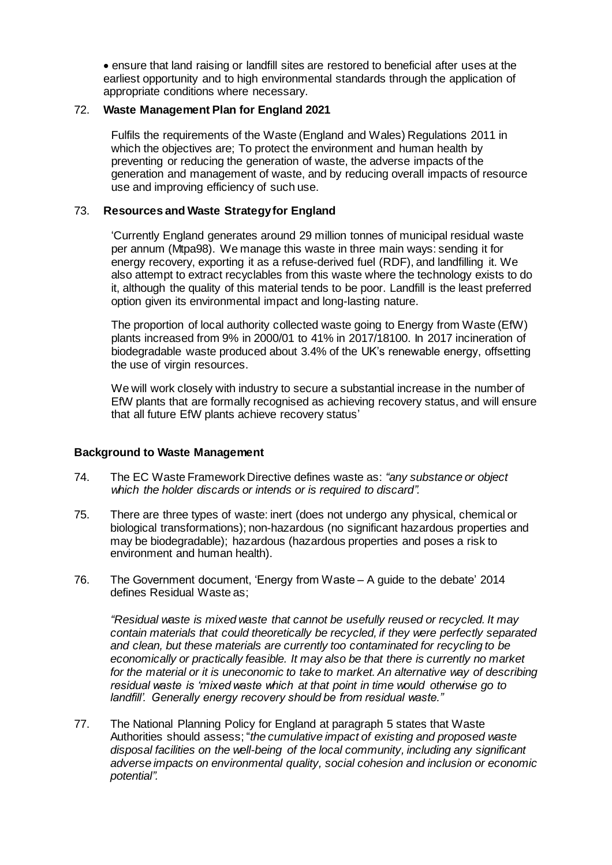ensure that land raising or landfill sites are restored to beneficial after uses at the earliest opportunity and to high environmental standards through the application of appropriate conditions where necessary.

#### 72. **Waste Management Plan for England 2021**

Fulfils the requirements of the Waste (England and Wales) Regulations 2011 in which the objectives are; To protect the environment and human health by preventing or reducing the generation of waste, the adverse impacts of the generation and management of waste, and by reducing overall impacts of resource use and improving efficiency of such use.

## 73. **Resources and Waste Strategy for England**

'Currently England generates around 29 million tonnes of municipal residual waste per annum (Mtpa98). We manage this waste in three main ways: sending it for energy recovery, exporting it as a refuse-derived fuel (RDF), and landfilling it. We also attempt to extract recyclables from this waste where the technology exists to do it, although the quality of this material tends to be poor. Landfill is the least preferred option given its environmental impact and long-lasting nature.

The proportion of local authority collected waste going to Energy from Waste (EfW) plants increased from 9% in 2000/01 to 41% in 2017/18100. In 2017 incineration of biodegradable waste produced about 3.4% of the UK's renewable energy, offsetting the use of virgin resources.

We will work closely with industry to secure a substantial increase in the number of EfW plants that are formally recognised as achieving recovery status, and will ensure that all future EfW plants achieve recovery status'

## **Background to Waste Management**

- 74. The EC Waste Framework Directive defines waste as: *"any substance or object which the holder discards or intends or is required to discard".*
- 75. There are three types of waste: inert (does not undergo any physical, chemical or biological transformations); non-hazardous (no significant hazardous properties and may be biodegradable); hazardous (hazardous properties and poses a risk to environment and human health).
- 76. The Government document, 'Energy from Waste A guide to the debate' 2014 defines Residual Waste as;

*"Residual waste is mixed waste that cannot be usefully reused or recycled. It may contain materials that could theoretically be recycled, if they were perfectly separated and clean, but these materials are currently too contaminated for recycling to be economically or practically feasible. It may also be that there is currently no market for the material or it is uneconomic to take to market. An alternative way of describing residual waste is 'mixed waste which at that point in time would otherwise go to landfill'. Generally energy recovery should be from residual waste."*

77. The National Planning Policy for England at paragraph 5 states that Waste Authorities should assess; "*the cumulative impact of existing and proposed waste disposal facilities on the well-being of the local community, including any significant adverse impacts on environmental quality, social cohesion and inclusion or economic potential".*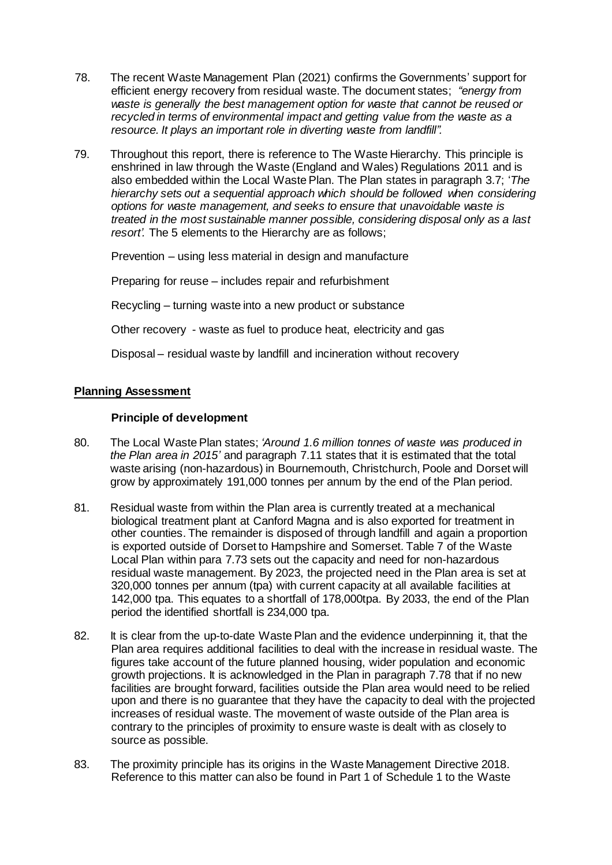- 78. The recent Waste Management Plan (2021) confirms the Governments' support for efficient energy recovery from residual waste. The document states; *"energy from waste is generally the best management option for waste that cannot be reused or*  recycled in terms of environmental impact and getting value from the waste as a *resource. It plays an important role in diverting waste from landfill".*
- 79. Throughout this report, there is reference to The Waste Hierarchy. This principle is enshrined in law through the Waste (England and Wales) Regulations 2011 and is also embedded within the Local Waste Plan. The Plan states in paragraph 3.7; '*The hierarchy sets out a sequential approach which should be followed when considering options for waste management, and seeks to ensure that unavoidable waste is treated in the most sustainable manner possible, considering disposal only as a last resort'.* The 5 elements to the Hierarchy are as follows;

Prevention – using less material in design and manufacture

Preparing for reuse – includes repair and refurbishment

Recycling – turning waste into a new product or substance

Other recovery - waste as fuel to produce heat, electricity and gas

Disposal – residual waste by landfill and incineration without recovery

## **Planning Assessment**

#### **Principle of development**

- 80. The Local Waste Plan states; *'Around 1.6 million tonnes of waste was produced in the Plan area in 2015'* and paragraph 7.11 states that it is estimated that the total waste arising (non-hazardous) in Bournemouth, Christchurch, Poole and Dorset will grow by approximately 191,000 tonnes per annum by the end of the Plan period.
- 81. Residual waste from within the Plan area is currently treated at a mechanical biological treatment plant at Canford Magna and is also exported for treatment in other counties. The remainder is disposed of through landfill and again a proportion is exported outside of Dorset to Hampshire and Somerset. Table 7 of the Waste Local Plan within para 7.73 sets out the capacity and need for non-hazardous residual waste management. By 2023, the projected need in the Plan area is set at 320,000 tonnes per annum (tpa) with current capacity at all available facilities at 142,000 tpa. This equates to a shortfall of 178,000tpa. By 2033, the end of the Plan period the identified shortfall is 234,000 tpa.
- 82. It is clear from the up-to-date Waste Plan and the evidence underpinning it, that the Plan area requires additional facilities to deal with the increase in residual waste. The figures take account of the future planned housing, wider population and economic growth projections. It is acknowledged in the Plan in paragraph 7.78 that if no new facilities are brought forward, facilities outside the Plan area would need to be relied upon and there is no guarantee that they have the capacity to deal with the projected increases of residual waste. The movement of waste outside of the Plan area is contrary to the principles of proximity to ensure waste is dealt with as closely to source as possible.
- 83. The proximity principle has its origins in the Waste Management Directive 2018. Reference to this matter can also be found in Part 1 of Schedule 1 to the Waste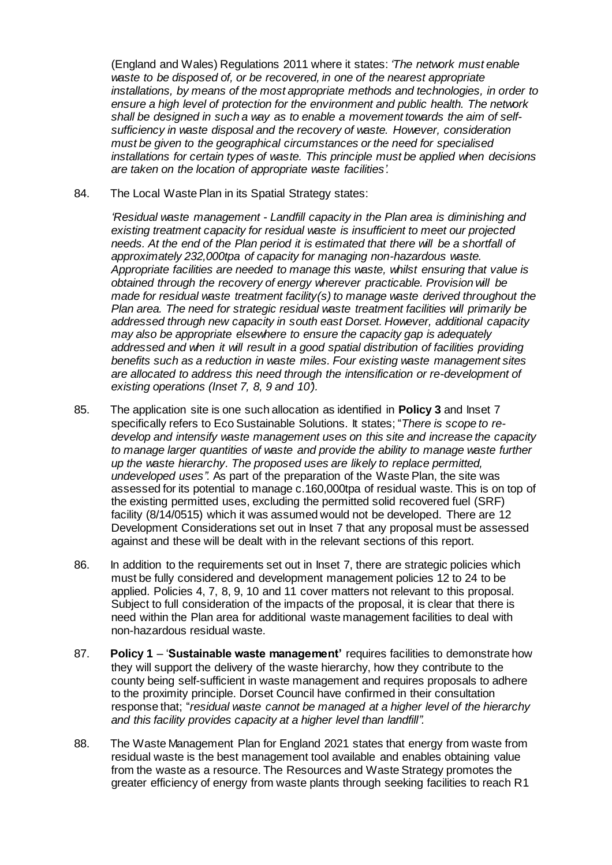(England and Wales) Regulations 2011 where it states: *'The network must enable waste to be disposed of, or be recovered, in one of the nearest appropriate installations, by means of the most appropriate methods and technologies, in order to ensure a high level of protection for the environment and public health. The network shall be designed in such a way as to enable a movement towards the aim of selfsufficiency in waste disposal and the recovery of waste. However, consideration must be given to the geographical circumstances or the need for specialised installations for certain types of waste. This principle must be applied when decisions are taken on the location of appropriate waste facilities'.*

84. The Local Waste Plan in its Spatial Strategy states:

*'Residual waste management - Landfill capacity in the Plan area is diminishing and existing treatment capacity for residual waste is insufficient to meet our projected needs. At the end of the Plan period it is estimated that there will be a shortfall of approximately 232,000tpa of capacity for managing non-hazardous waste. Appropriate facilities are needed to manage this waste, whilst ensuring that value is obtained through the recovery of energy wherever practicable. Provision will be made for residual waste treatment facility(s) to manage waste derived throughout the Plan area. The need for strategic residual waste treatment facilities will primarily be addressed through new capacity in south east Dorset. However, additional capacity may also be appropriate elsewhere to ensure the capacity gap is adequately addressed and when it will result in a good spatial distribution of facilities providing benefits such as a reduction in waste miles. Four existing waste management sites are allocated to address this need through the intensification or re-development of existing operations (Inset 7, 8, 9 and 10').*

- 85. The application site is one such allocation as identified in **Policy 3** and Inset 7 specifically refers to Eco Sustainable Solutions. It states; "*There is scope to redevelop and intensify waste management uses on this site and increase the capacity to manage larger quantities of waste and provide the ability to manage waste further up the waste hierarchy. The proposed uses are likely to replace permitted, undeveloped uses".* As part of the preparation of the Waste Plan, the site was assessed for its potential to manage c.160,000tpa of residual waste. This is on top of the existing permitted uses, excluding the permitted solid recovered fuel (SRF) facility (8/14/0515) which it was assumed would not be developed. There are 12 Development Considerations set out in Inset 7 that any proposal must be assessed against and these will be dealt with in the relevant sections of this report.
- 86. In addition to the requirements set out in Inset 7, there are strategic policies which must be fully considered and development management policies 12 to 24 to be applied. Policies 4, 7, 8, 9, 10 and 11 cover matters not relevant to this proposal. Subject to full consideration of the impacts of the proposal, it is clear that there is need within the Plan area for additional waste management facilities to deal with non-hazardous residual waste.
- 87. **Policy 1** '**Sustainable waste management'** requires facilities to demonstrate how they will support the delivery of the waste hierarchy, how they contribute to the county being self-sufficient in waste management and requires proposals to adhere to the proximity principle. Dorset Council have confirmed in their consultation response that; "*residual waste cannot be managed at a higher level of the hierarchy and this facility provides capacity at a higher level than landfill".*
- 88. The Waste Management Plan for England 2021 states that energy from waste from residual waste is the best management tool available and enables obtaining value from the waste as a resource. The Resources and Waste Strategy promotes the greater efficiency of energy from waste plants through seeking facilities to reach R1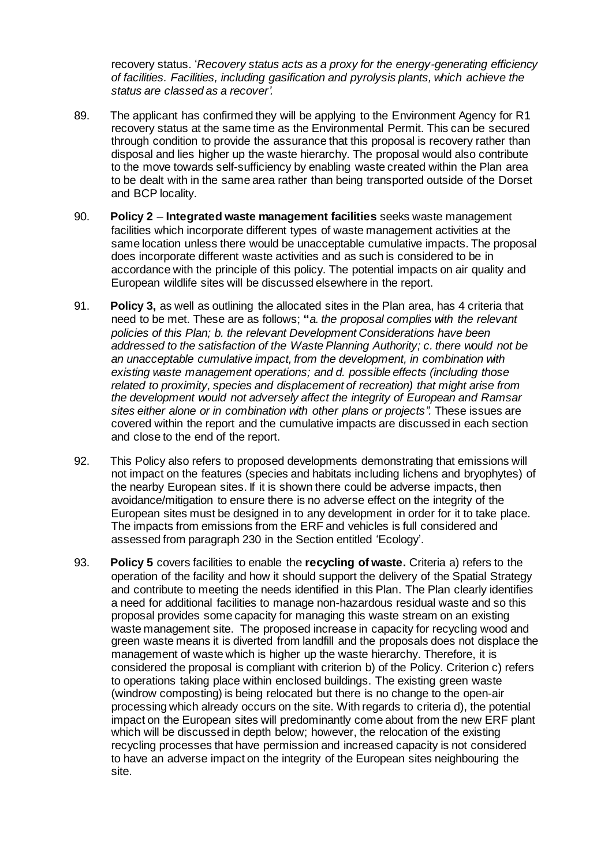recovery status. '*Recovery status acts as a proxy for the energy-generating efficiency of facilities. Facilities, including gasification and pyrolysis plants, which achieve the status are classed as a recover'.*

- 89. The applicant has confirmed they will be applying to the Environment Agency for R1 recovery status at the same time as the Environmental Permit. This can be secured through condition to provide the assurance that this proposal is recovery rather than disposal and lies higher up the waste hierarchy. The proposal would also contribute to the move towards self-sufficiency by enabling waste created within the Plan area to be dealt with in the same area rather than being transported outside of the Dorset and BCP locality.
- 90. **Policy 2 Integrated waste management facilities** seeks waste management facilities which incorporate different types of waste management activities at the same location unless there would be unacceptable cumulative impacts. The proposal does incorporate different waste activities and as such is considered to be in accordance with the principle of this policy. The potential impacts on air quality and European wildlife sites will be discussed elsewhere in the report.
- 91. **Policy 3,** as well as outlining the allocated sites in the Plan area, has 4 criteria that need to be met. These are as follows; **"***a. the proposal complies with the relevant policies of this Plan; b. the relevant Development Considerations have been addressed to the satisfaction of the Waste Planning Authority; c. there would not be an unacceptable cumulative impact, from the development, in combination with existing waste management operations; and d. possible effects (including those related to proximity, species and displacement of recreation) that might arise from the development would not adversely affect the integrity of European and Ramsar sites either alone or in combination with other plans or projects".* These issues are covered within the report and the cumulative impacts are discussed in each section and close to the end of the report.
- 92. This Policy also refers to proposed developments demonstrating that emissions will not impact on the features (species and habitats including lichens and bryophytes) of the nearby European sites. If it is shown there could be adverse impacts, then avoidance/mitigation to ensure there is no adverse effect on the integrity of the European sites must be designed in to any development in order for it to take place. The impacts from emissions from the ERF and vehicles is full considered and assessed from paragraph 230 in the Section entitled 'Ecology'.
- 93. **Policy 5** covers facilities to enable the **recycling of waste.** Criteria a) refers to the operation of the facility and how it should support the delivery of the Spatial Strategy and contribute to meeting the needs identified in this Plan. The Plan clearly identifies a need for additional facilities to manage non-hazardous residual waste and so this proposal provides some capacity for managing this waste stream on an existing waste management site. The proposed increase in capacity for recycling wood and green waste means it is diverted from landfill and the proposals does not displace the management of waste which is higher up the waste hierarchy. Therefore, it is considered the proposal is compliant with criterion b) of the Policy. Criterion c) refers to operations taking place within enclosed buildings. The existing green waste (windrow composting) is being relocated but there is no change to the open-air processing which already occurs on the site. With regards to criteria d), the potential impact on the European sites will predominantly come about from the new ERF plant which will be discussed in depth below; however, the relocation of the existing recycling processes that have permission and increased capacity is not considered to have an adverse impact on the integrity of the European sites neighbouring the site.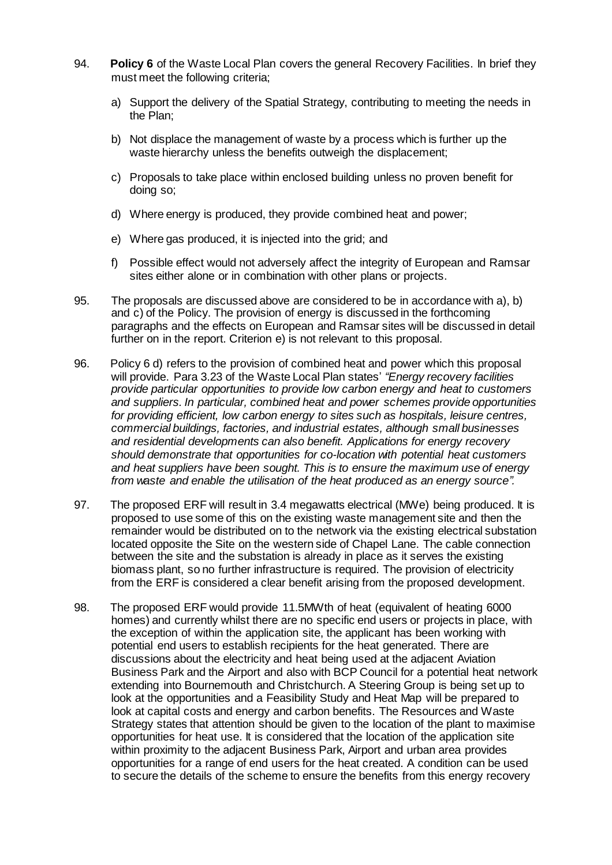- 94. **Policy 6** of the Waste Local Plan covers the general Recovery Facilities. In brief they must meet the following criteria;
	- a) Support the delivery of the Spatial Strategy, contributing to meeting the needs in the Plan;
	- b) Not displace the management of waste by a process which is further up the waste hierarchy unless the benefits outweigh the displacement;
	- c) Proposals to take place within enclosed building unless no proven benefit for doing so;
	- d) Where energy is produced, they provide combined heat and power;
	- e) Where gas produced, it is injected into the grid; and
	- f) Possible effect would not adversely affect the integrity of European and Ramsar sites either alone or in combination with other plans or projects.
- 95. The proposals are discussed above are considered to be in accordance with a), b) and c) of the Policy. The provision of energy is discussed in the forthcoming paragraphs and the effects on European and Ramsar sites will be discussed in detail further on in the report. Criterion e) is not relevant to this proposal.
- 96. Policy 6 d) refers to the provision of combined heat and power which this proposal will provide. Para 3.23 of the Waste Local Plan states' *"Energy recovery facilities provide particular opportunities to provide low carbon energy and heat to customers and suppliers. In particular, combined heat and power schemes provide opportunities for providing efficient, low carbon energy to sites such as hospitals, leisure centres, commercial buildings, factories, and industrial estates, although small businesses and residential developments can also benefit. Applications for energy recovery should demonstrate that opportunities for co-location with potential heat customers and heat suppliers have been sought. This is to ensure the maximum use of energy from waste and enable the utilisation of the heat produced as an energy source".*
- 97. The proposed ERF will result in 3.4 megawatts electrical (MWe) being produced. It is proposed to use some of this on the existing waste management site and then the remainder would be distributed on to the network via the existing electrical substation located opposite the Site on the western side of Chapel Lane. The cable connection between the site and the substation is already in place as it serves the existing biomass plant, so no further infrastructure is required. The provision of electricity from the ERF is considered a clear benefit arising from the proposed development.
- 98. The proposed ERF would provide 11.5MWth of heat (equivalent of heating 6000 homes) and currently whilst there are no specific end users or projects in place, with the exception of within the application site, the applicant has been working with potential end users to establish recipients for the heat generated. There are discussions about the electricity and heat being used at the adjacent Aviation Business Park and the Airport and also with BCP Council for a potential heat network extending into Bournemouth and Christchurch. A Steering Group is being set up to look at the opportunities and a Feasibility Study and Heat Map will be prepared to look at capital costs and energy and carbon benefits. The Resources and Waste Strategy states that attention should be given to the location of the plant to maximise opportunities for heat use. It is considered that the location of the application site within proximity to the adjacent Business Park, Airport and urban area provides opportunities for a range of end users for the heat created. A condition can be used to secure the details of the scheme to ensure the benefits from this energy recovery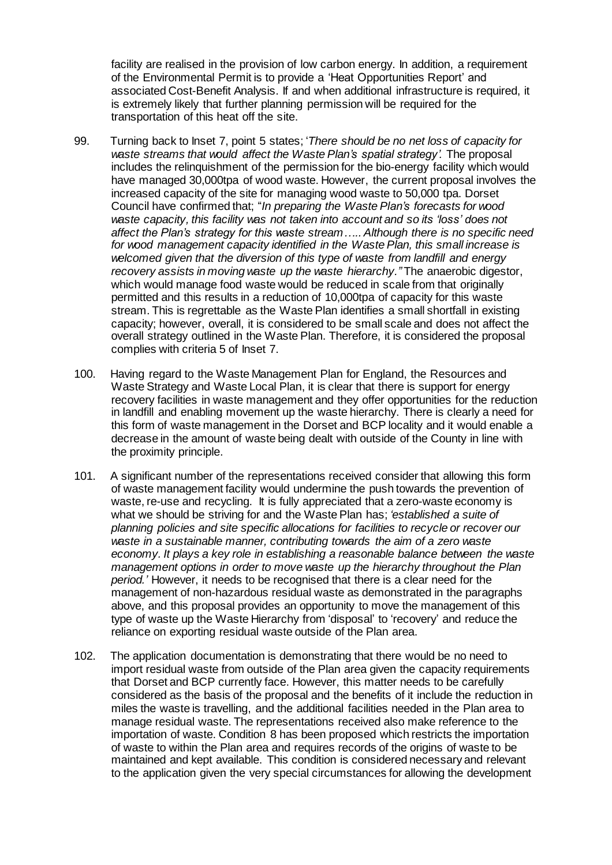facility are realised in the provision of low carbon energy. In addition, a requirement of the Environmental Permit is to provide a 'Heat Opportunities Report' and associated Cost-Benefit Analysis. If and when additional infrastructure is required, it is extremely likely that further planning permission will be required for the transportation of this heat off the site.

- 99. Turning back to Inset 7, point 5 states; '*There should be no net loss of capacity for waste streams that would affect the Waste Plan's spatial strategy'.* The proposal includes the relinquishment of the permission for the bio-energy facility which would have managed 30,000tpa of wood waste. However, the current proposal involves the increased capacity of the site for managing wood waste to 50,000 tpa. Dorset Council have confirmed that; "*In preparing the Waste Plan's forecasts for wood waste capacity, this facility was not taken into account and so its 'loss' does not affect the Plan's strategy for this waste stream….. Although there is no specific need for wood management capacity identified in the Waste Plan, this small increase is welcomed given that the diversion of this type of waste from landfill and energy recovery assists in moving waste up the waste hierarchy."* The anaerobic digestor, which would manage food waste would be reduced in scale from that originally permitted and this results in a reduction of 10,000tpa of capacity for this waste stream. This is regrettable as the Waste Plan identifies a small shortfall in existing capacity; however, overall, it is considered to be small scale and does not affect the overall strategy outlined in the Waste Plan. Therefore, it is considered the proposal complies with criteria 5 of Inset 7.
- 100. Having regard to the Waste Management Plan for England, the Resources and Waste Strategy and Waste Local Plan, it is clear that there is support for energy recovery facilities in waste management and they offer opportunities for the reduction in landfill and enabling movement up the waste hierarchy. There is clearly a need for this form of waste management in the Dorset and BCP locality and it would enable a decrease in the amount of waste being dealt with outside of the County in line with the proximity principle.
- 101. A significant number of the representations received consider that allowing this form of waste management facility would undermine the push towards the prevention of waste, re-use and recycling. It is fully appreciated that a zero-waste economy is what we should be striving for and the Waste Plan has; *'established a suite of planning policies and site specific allocations for facilities to recycle or recover our waste in a sustainable manner, contributing towards the aim of a zero waste economy. It plays a key role in establishing a reasonable balance between the waste management options in order to move waste up the hierarchy throughout the Plan period.'* However, it needs to be recognised that there is a clear need for the management of non-hazardous residual waste as demonstrated in the paragraphs above, and this proposal provides an opportunity to move the management of this type of waste up the Waste Hierarchy from 'disposal' to 'recovery' and reduce the reliance on exporting residual waste outside of the Plan area.
- 102. The application documentation is demonstrating that there would be no need to import residual waste from outside of the Plan area given the capacity requirements that Dorset and BCP currently face. However, this matter needs to be carefully considered as the basis of the proposal and the benefits of it include the reduction in miles the waste is travelling, and the additional facilities needed in the Plan area to manage residual waste. The representations received also make reference to the importation of waste. Condition 8 has been proposed which restricts the importation of waste to within the Plan area and requires records of the origins of waste to be maintained and kept available. This condition is considered necessary and relevant to the application given the very special circumstances for allowing the development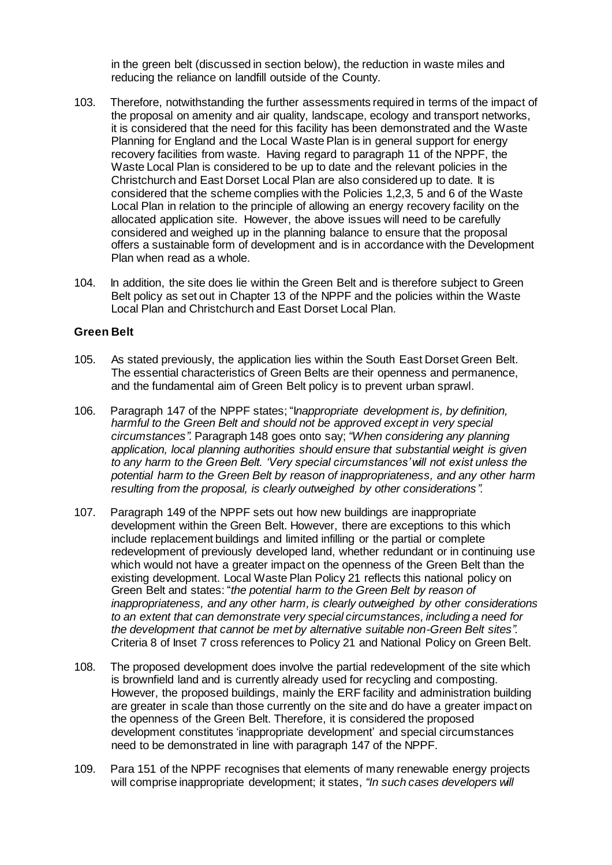in the green belt (discussed in section below), the reduction in waste miles and reducing the reliance on landfill outside of the County.

- 103. Therefore, notwithstanding the further assessments required in terms of the impact of the proposal on amenity and air quality, landscape, ecology and transport networks, it is considered that the need for this facility has been demonstrated and the Waste Planning for England and the Local Waste Plan is in general support for energy recovery facilities from waste. Having regard to paragraph 11 of the NPPF, the Waste Local Plan is considered to be up to date and the relevant policies in the Christchurch and East Dorset Local Plan are also considered up to date. It is considered that the scheme complies with the Policies 1,2,3, 5 and 6 of the Waste Local Plan in relation to the principle of allowing an energy recovery facility on the allocated application site. However, the above issues will need to be carefully considered and weighed up in the planning balance to ensure that the proposal offers a sustainable form of development and is in accordance with the Development Plan when read as a whole.
- 104. In addition, the site does lie within the Green Belt and is therefore subject to Green Belt policy as set out in Chapter 13 of the NPPF and the policies within the Waste Local Plan and Christchurch and East Dorset Local Plan.

#### **Green Belt**

- 105. As stated previously, the application lies within the South East Dorset Green Belt. The essential characteristics of Green Belts are their openness and permanence, and the fundamental aim of Green Belt policy is to prevent urban sprawl.
- 106. Paragraph 147 of the NPPF states; "I*nappropriate development is, by definition, harmful to the Green Belt and should not be approved except in very special circumstances".* Paragraph 148 goes onto say; *"When considering any planning application, local planning authorities should ensure that substantial weight is given to any harm to the Green Belt. 'Very special circumstances' will not exist unless the potential harm to the Green Belt by reason of inappropriateness, and any other harm resulting from the proposal, is clearly outweighed by other considerations".*
- 107. Paragraph 149 of the NPPF sets out how new buildings are inappropriate development within the Green Belt. However, there are exceptions to this which include replacement buildings and limited infilling or the partial or complete redevelopment of previously developed land, whether redundant or in continuing use which would not have a greater impact on the openness of the Green Belt than the existing development. Local Waste Plan Policy 21 reflects this national policy on Green Belt and states: "*the potential harm to the Green Belt by reason of inappropriateness, and any other harm, is clearly outweighed by other considerations to an extent that can demonstrate very special circumstances, including a need for the development that cannot be met by alternative suitable non-Green Belt sites".* Criteria 8 of Inset 7 cross references to Policy 21 and National Policy on Green Belt.
- 108. The proposed development does involve the partial redevelopment of the site which is brownfield land and is currently already used for recycling and composting. However, the proposed buildings, mainly the ERF facility and administration building are greater in scale than those currently on the site and do have a greater impact on the openness of the Green Belt. Therefore, it is considered the proposed development constitutes 'inappropriate development' and special circumstances need to be demonstrated in line with paragraph 147 of the NPPF.
- 109. Para 151 of the NPPF recognises that elements of many renewable energy projects will comprise inappropriate development; it states, *"In such cases developers will*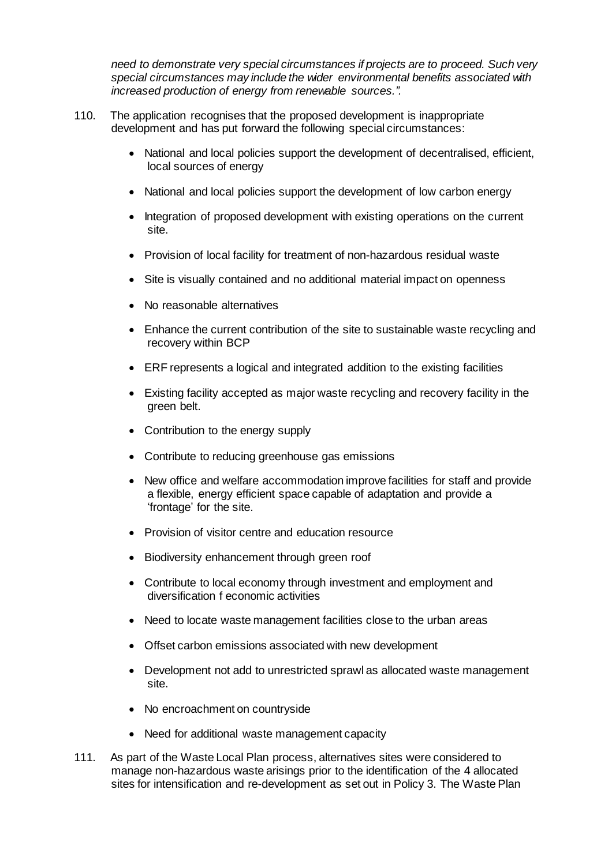*need to demonstrate very special circumstances if projects are to proceed. Such very special circumstances may include the wider environmental benefits associated with increased production of energy from renewable sources.".* 

- 110. The application recognises that the proposed development is inappropriate development and has put forward the following special circumstances:
	- National and local policies support the development of decentralised, efficient, local sources of energy
	- National and local policies support the development of low carbon energy
	- Integration of proposed development with existing operations on the current site.
	- Provision of local facility for treatment of non-hazardous residual waste
	- Site is visually contained and no additional material impact on openness
	- No reasonable alternatives
	- Enhance the current contribution of the site to sustainable waste recycling and recovery within BCP
	- ERF represents a logical and integrated addition to the existing facilities
	- Existing facility accepted as major waste recycling and recovery facility in the green belt.
	- Contribution to the energy supply
	- Contribute to reducing greenhouse gas emissions
	- New office and welfare accommodation improve facilities for staff and provide a flexible, energy efficient space capable of adaptation and provide a 'frontage' for the site.
	- Provision of visitor centre and education resource
	- Biodiversity enhancement through green roof
	- Contribute to local economy through investment and employment and diversification f economic activities
	- Need to locate waste management facilities close to the urban areas
	- Offset carbon emissions associated with new development
	- Development not add to unrestricted sprawl as allocated waste management site.
	- No encroachment on countryside
	- Need for additional waste management capacity
- 111. As part of the Waste Local Plan process, alternatives sites were considered to manage non-hazardous waste arisings prior to the identification of the 4 allocated sites for intensification and re-development as set out in Policy 3. The Waste Plan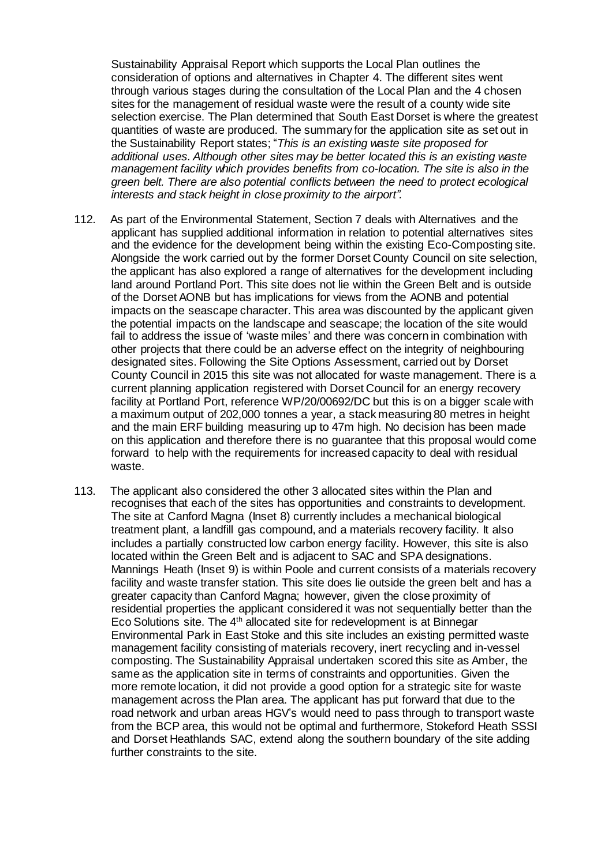Sustainability Appraisal Report which supports the Local Plan outlines the consideration of options and alternatives in Chapter 4. The different sites went through various stages during the consultation of the Local Plan and the 4 chosen sites for the management of residual waste were the result of a county wide site selection exercise. The Plan determined that South East Dorset is where the greatest quantities of waste are produced. The summary for the application site as set out in the Sustainability Report states; "*This is an existing waste site proposed for additional uses. Although other sites may be better located this is an existing waste management facility which provides benefits from co-location. The site is also in the green belt. There are also potential conflicts between the need to protect ecological interests and stack height in close proximity to the airport".*

- 112. As part of the Environmental Statement, Section 7 deals with Alternatives and the applicant has supplied additional information in relation to potential alternatives sites and the evidence for the development being within the existing Eco-Composting site. Alongside the work carried out by the former Dorset County Council on site selection, the applicant has also explored a range of alternatives for the development including land around Portland Port. This site does not lie within the Green Belt and is outside of the Dorset AONB but has implications for views from the AONB and potential impacts on the seascape character. This area was discounted by the applicant given the potential impacts on the landscape and seascape; the location of the site would fail to address the issue of 'waste miles' and there was concern in combination with other projects that there could be an adverse effect on the integrity of neighbouring designated sites. Following the Site Options Assessment, carried out by Dorset County Council in 2015 this site was not allocated for waste management. There is a current planning application registered with Dorset Council for an energy recovery facility at Portland Port, reference WP/20/00692/DC but this is on a bigger scale with a maximum output of 202,000 tonnes a year, a stack measuring 80 metres in height and the main ERF building measuring up to 47m high. No decision has been made on this application and therefore there is no guarantee that this proposal would come forward to help with the requirements for increased capacity to deal with residual waste.
- 113. The applicant also considered the other 3 allocated sites within the Plan and recognises that each of the sites has opportunities and constraints to development. The site at Canford Magna (Inset 8) currently includes a mechanical biological treatment plant, a landfill gas compound, and a materials recovery facility. It also includes a partially constructed low carbon energy facility. However, this site is also located within the Green Belt and is adjacent to SAC and SPA designations. Mannings Heath (Inset 9) is within Poole and current consists of a materials recovery facility and waste transfer station. This site does lie outside the green belt and has a greater capacity than Canford Magna; however, given the close proximity of residential properties the applicant considered it was not sequentially better than the Eco Solutions site. The 4<sup>th</sup> allocated site for redevelopment is at Binnegar Environmental Park in East Stoke and this site includes an existing permitted waste management facility consisting of materials recovery, inert recycling and in-vessel composting. The Sustainability Appraisal undertaken scored this site as Amber, the same as the application site in terms of constraints and opportunities. Given the more remote location, it did not provide a good option for a strategic site for waste management across the Plan area. The applicant has put forward that due to the road network and urban areas HGV's would need to pass through to transport waste from the BCP area, this would not be optimal and furthermore, Stokeford Heath SSSI and Dorset Heathlands SAC, extend along the southern boundary of the site adding further constraints to the site.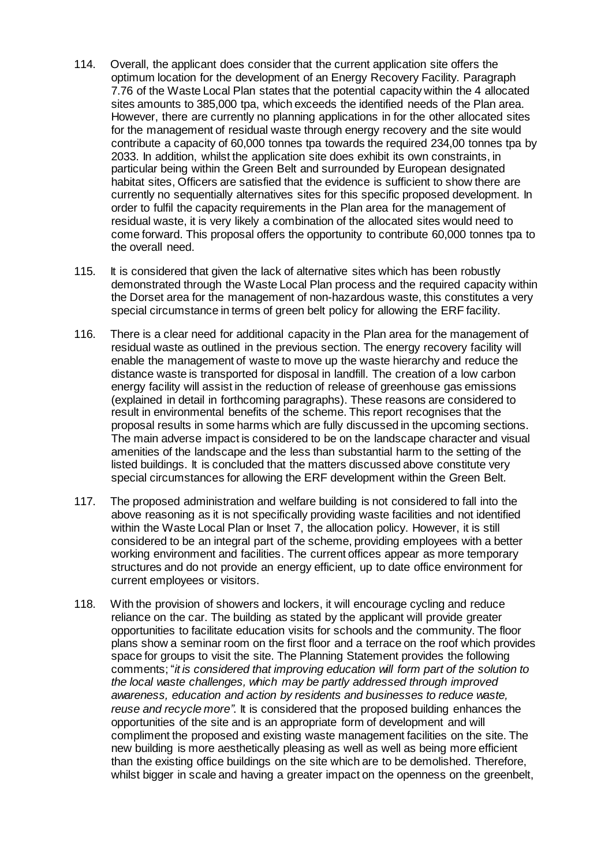- 114. Overall, the applicant does consider that the current application site offers the optimum location for the development of an Energy Recovery Facility. Paragraph 7.76 of the Waste Local Plan states that the potential capacity within the 4 allocated sites amounts to 385,000 tpa, which exceeds the identified needs of the Plan area. However, there are currently no planning applications in for the other allocated sites for the management of residual waste through energy recovery and the site would contribute a capacity of 60,000 tonnes tpa towards the required 234,00 tonnes tpa by 2033. In addition, whilst the application site does exhibit its own constraints, in particular being within the Green Belt and surrounded by European designated habitat sites, Officers are satisfied that the evidence is sufficient to show there are currently no sequentially alternatives sites for this specific proposed development. In order to fulfil the capacity requirements in the Plan area for the management of residual waste, it is very likely a combination of the allocated sites would need to come forward. This proposal offers the opportunity to contribute 60,000 tonnes tpa to the overall need.
- 115. It is considered that given the lack of alternative sites which has been robustly demonstrated through the Waste Local Plan process and the required capacity within the Dorset area for the management of non-hazardous waste, this constitutes a very special circumstance in terms of green belt policy for allowing the ERF facility.
- 116. There is a clear need for additional capacity in the Plan area for the management of residual waste as outlined in the previous section. The energy recovery facility will enable the management of waste to move up the waste hierarchy and reduce the distance waste is transported for disposal in landfill. The creation of a low carbon energy facility will assist in the reduction of release of greenhouse gas emissions (explained in detail in forthcoming paragraphs). These reasons are considered to result in environmental benefits of the scheme. This report recognises that the proposal results in some harms which are fully discussed in the upcoming sections. The main adverse impact is considered to be on the landscape character and visual amenities of the landscape and the less than substantial harm to the setting of the listed buildings. It is concluded that the matters discussed above constitute very special circumstances for allowing the ERF development within the Green Belt.
- 117. The proposed administration and welfare building is not considered to fall into the above reasoning as it is not specifically providing waste facilities and not identified within the Waste Local Plan or Inset 7, the allocation policy. However, it is still considered to be an integral part of the scheme, providing employees with a better working environment and facilities. The current offices appear as more temporary structures and do not provide an energy efficient, up to date office environment for current employees or visitors.
- 118. With the provision of showers and lockers, it will encourage cycling and reduce reliance on the car. The building as stated by the applicant will provide greater opportunities to facilitate education visits for schools and the community. The floor plans show a seminar room on the first floor and a terrace on the roof which provides space for groups to visit the site. The Planning Statement provides the following comments; "*it is considered that improving education will form part of the solution to the local waste challenges, which may be partly addressed through improved awareness, education and action by residents and businesses to reduce waste, reuse and recycle more"*. It is considered that the proposed building enhances the opportunities of the site and is an appropriate form of development and will compliment the proposed and existing waste management facilities on the site. The new building is more aesthetically pleasing as well as well as being more efficient than the existing office buildings on the site which are to be demolished. Therefore, whilst bigger in scale and having a greater impact on the openness on the greenbelt,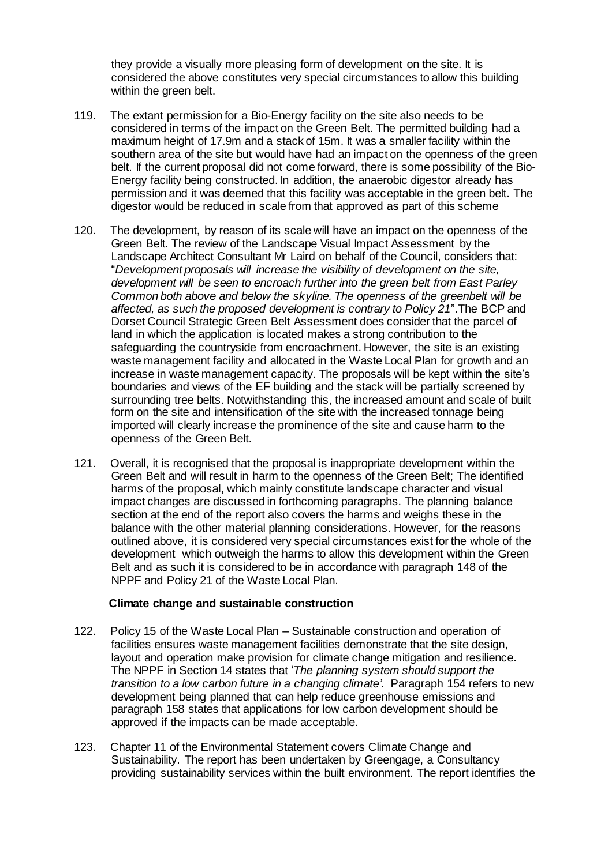they provide a visually more pleasing form of development on the site. It is considered the above constitutes very special circumstances to allow this building within the green belt.

- 119. The extant permission for a Bio-Energy facility on the site also needs to be considered in terms of the impact on the Green Belt. The permitted building had a maximum height of 17.9m and a stack of 15m. It was a smaller facility within the southern area of the site but would have had an impact on the openness of the green belt. If the current proposal did not come forward, there is some possibility of the Bio-Energy facility being constructed. In addition, the anaerobic digestor already has permission and it was deemed that this facility was acceptable in the green belt. The digestor would be reduced in scale from that approved as part of this scheme
- 120. The development, by reason of its scale will have an impact on the openness of the Green Belt. The review of the Landscape Visual Impact Assessment by the Landscape Architect Consultant Mr Laird on behalf of the Council, considers that: "*Development proposals will increase the visibility of development on the site, development will be seen to encroach further into the green belt from East Parley Common both above and below the skyline. The openness of the greenbelt will be affected, as such the proposed development is contrary to Policy 21*".The BCP and Dorset Council Strategic Green Belt Assessment does consider that the parcel of land in which the application is located makes a strong contribution to the safeguarding the countryside from encroachment. However, the site is an existing waste management facility and allocated in the Waste Local Plan for growth and an increase in waste management capacity. The proposals will be kept within the site's boundaries and views of the EF building and the stack will be partially screened by surrounding tree belts. Notwithstanding this, the increased amount and scale of built form on the site and intensification of the site with the increased tonnage being imported will clearly increase the prominence of the site and cause harm to the openness of the Green Belt.
- 121. Overall, it is recognised that the proposal is inappropriate development within the Green Belt and will result in harm to the openness of the Green Belt; The identified harms of the proposal, which mainly constitute landscape character and visual impact changes are discussed in forthcoming paragraphs. The planning balance section at the end of the report also covers the harms and weighs these in the balance with the other material planning considerations. However, for the reasons outlined above, it is considered very special circumstances exist for the whole of the development which outweigh the harms to allow this development within the Green Belt and as such it is considered to be in accordance with paragraph 148 of the NPPF and Policy 21 of the Waste Local Plan.

#### **Climate change and sustainable construction**

- 122. Policy 15 of the Waste Local Plan Sustainable construction and operation of facilities ensures waste management facilities demonstrate that the site design, layout and operation make provision for climate change mitigation and resilience. The NPPF in Section 14 states that '*The planning system should support the transition to a low carbon future in a changing climate'*. Paragraph 154 refers to new development being planned that can help reduce greenhouse emissions and paragraph 158 states that applications for low carbon development should be approved if the impacts can be made acceptable.
- 123. Chapter 11 of the Environmental Statement covers Climate Change and Sustainability. The report has been undertaken by Greengage, a Consultancy providing sustainability services within the built environment. The report identifies the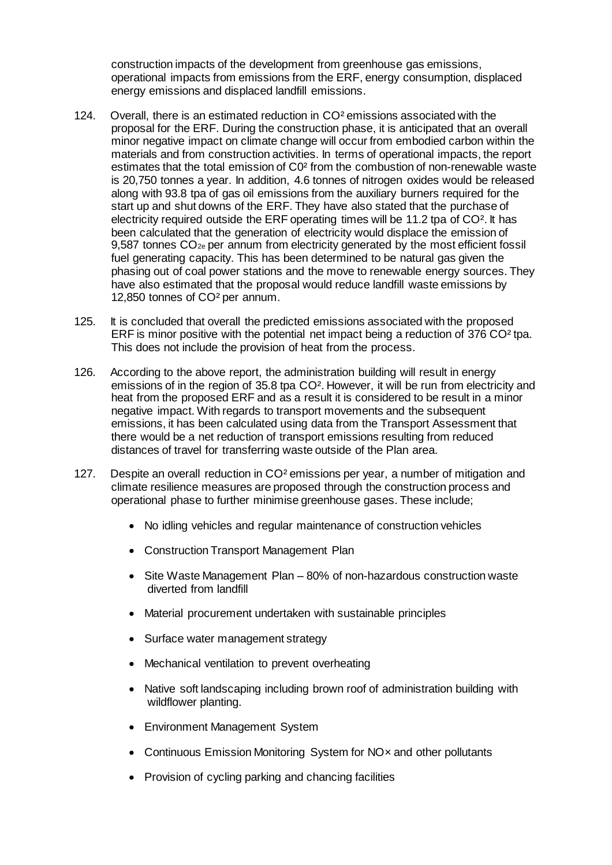construction impacts of the development from greenhouse gas emissions, operational impacts from emissions from the ERF, energy consumption, displaced energy emissions and displaced landfill emissions.

- 124. Overall, there is an estimated reduction in CO² emissions associated with the proposal for the ERF. During the construction phase, it is anticipated that an overall minor negative impact on climate change will occur from embodied carbon within the materials and from construction activities. In terms of operational impacts, the report estimates that the total emission of C0² from the combustion of non-renewable waste is 20,750 tonnes a year. In addition, 4.6 tonnes of nitrogen oxides would be released along with 93.8 tpa of gas oil emissions from the auxiliary burners required for the start up and shut downs of the ERF. They have also stated that the purchase of electricity required outside the ERF operating times will be 11.2 tpa of CO². It has been calculated that the generation of electricity would displace the emission of  $9.587$  tonnes  $CO_{2e}$  per annum from electricity generated by the most efficient fossil fuel generating capacity. This has been determined to be natural gas given the phasing out of coal power stations and the move to renewable energy sources. They have also estimated that the proposal would reduce landfill waste emissions by 12,850 tonnes of CO² per annum.
- 125. It is concluded that overall the predicted emissions associated with the proposed ERF is minor positive with the potential net impact being a reduction of 376 CO² tpa. This does not include the provision of heat from the process.
- 126. According to the above report, the administration building will result in energy emissions of in the region of 35.8 tpa CO². However, it will be run from electricity and heat from the proposed ERF and as a result it is considered to be result in a minor negative impact. With regards to transport movements and the subsequent emissions, it has been calculated using data from the Transport Assessment that there would be a net reduction of transport emissions resulting from reduced distances of travel for transferring waste outside of the Plan area.
- 127. Despite an overall reduction in CO² emissions per year, a number of mitigation and climate resilience measures are proposed through the construction process and operational phase to further minimise greenhouse gases. These include;
	- No idling vehicles and regular maintenance of construction vehicles
	- Construction Transport Management Plan
	- Site Waste Management Plan 80% of non-hazardous construction waste diverted from landfill
	- Material procurement undertaken with sustainable principles
	- Surface water management strategy
	- Mechanical ventilation to prevent overheating
	- Native soft landscaping including brown roof of administration building with wildflower planting.
	- Environment Management System
	- Continuous Emission Monitoring System for NO<sub>x</sub> and other pollutants
	- Provision of cycling parking and chancing facilities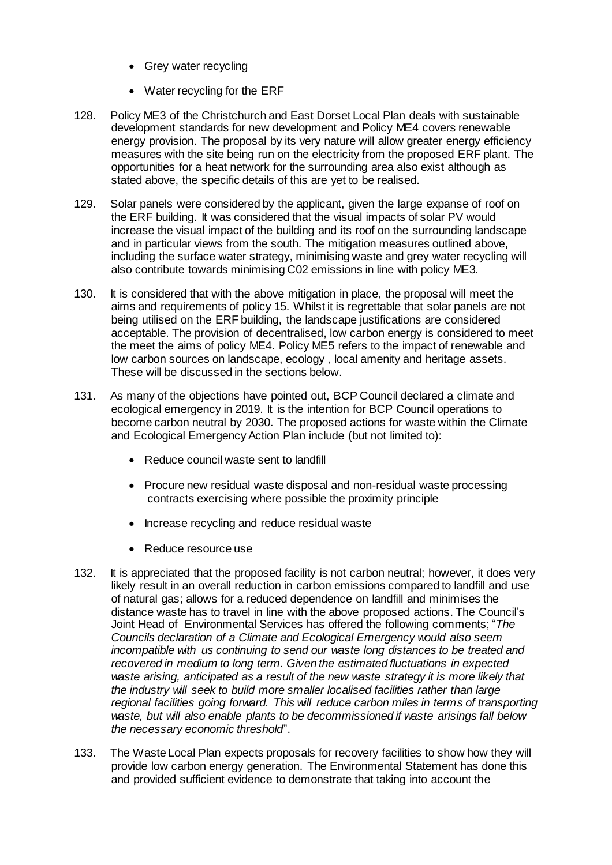- Grey water recycling
- Water recycling for the ERF
- 128. Policy ME3 of the Christchurch and East Dorset Local Plan deals with sustainable development standards for new development and Policy ME4 covers renewable energy provision. The proposal by its very nature will allow greater energy efficiency measures with the site being run on the electricity from the proposed ERF plant. The opportunities for a heat network for the surrounding area also exist although as stated above, the specific details of this are yet to be realised.
- 129. Solar panels were considered by the applicant, given the large expanse of roof on the ERF building. It was considered that the visual impacts of solar PV would increase the visual impact of the building and its roof on the surrounding landscape and in particular views from the south. The mitigation measures outlined above, including the surface water strategy, minimising waste and grey water recycling will also contribute towards minimising C02 emissions in line with policy ME3.
- 130. It is considered that with the above mitigation in place, the proposal will meet the aims and requirements of policy 15. Whilst it is regrettable that solar panels are not being utilised on the ERF building, the landscape justifications are considered acceptable. The provision of decentralised, low carbon energy is considered to meet the meet the aims of policy ME4. Policy ME5 refers to the impact of renewable and low carbon sources on landscape, ecology , local amenity and heritage assets. These will be discussed in the sections below.
- 131. As many of the objections have pointed out, BCP Council declared a climate and ecological emergency in 2019. It is the intention for BCP Council operations to become carbon neutral by 2030. The proposed actions for waste within the Climate and Ecological Emergency Action Plan include (but not limited to):
	- Reduce council waste sent to landfill
	- Procure new residual waste disposal and non-residual waste processing contracts exercising where possible the proximity principle
	- Increase recycling and reduce residual waste
	- Reduce resource use
- 132. It is appreciated that the proposed facility is not carbon neutral; however, it does very likely result in an overall reduction in carbon emissions compared to landfill and use of natural gas; allows for a reduced dependence on landfill and minimises the distance waste has to travel in line with the above proposed actions. The Council's Joint Head of Environmental Services has offered the following comments; "*The Councils declaration of a Climate and Ecological Emergency would also seem incompatible with us continuing to send our waste long distances to be treated and recovered in medium to long term. Given the estimated fluctuations in expected waste arising, anticipated as a result of the new waste strategy it is more likely that the industry will seek to build more smaller localised facilities rather than large regional facilities going forward. This will reduce carbon miles in terms of transporting waste, but will also enable plants to be decommissioned if waste arisings fall below the necessary economic threshold*".
- 133. The Waste Local Plan expects proposals for recovery facilities to show how they will provide low carbon energy generation. The Environmental Statement has done this and provided sufficient evidence to demonstrate that taking into account the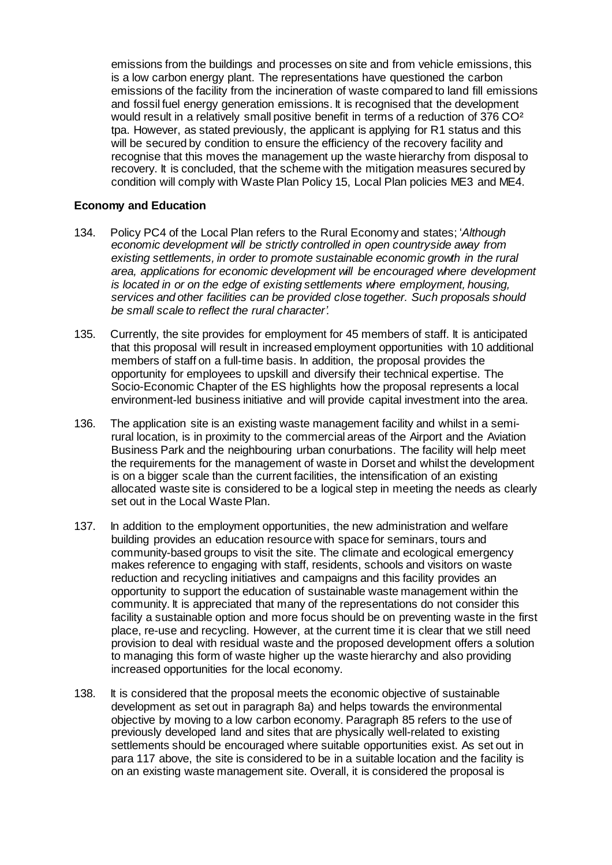emissions from the buildings and processes on site and from vehicle emissions, this is a low carbon energy plant. The representations have questioned the carbon emissions of the facility from the incineration of waste compared to land fill emissions and fossil fuel energy generation emissions. It is recognised that the development would result in a relatively small positive benefit in terms of a reduction of 376 CO<sup>2</sup> tpa. However, as stated previously, the applicant is applying for R1 status and this will be secured by condition to ensure the efficiency of the recovery facility and recognise that this moves the management up the waste hierarchy from disposal to recovery. It is concluded, that the scheme with the mitigation measures secured by condition will comply with Waste Plan Policy 15, Local Plan policies ME3 and ME4.

## **Economy and Education**

- 134. Policy PC4 of the Local Plan refers to the Rural Economy and states; '*Although economic development will be strictly controlled in open countryside away from existing settlements, in order to promote sustainable economic growth in the rural area, applications for economic development will be encouraged where development is located in or on the edge of existing settlements where employment, housing, services and other facilities can be provided close together. Such proposals should be small scale to reflect the rural character'.*
- 135. Currently, the site provides for employment for 45 members of staff. It is anticipated that this proposal will result in increased employment opportunities with 10 additional members of staff on a full-time basis. In addition, the proposal provides the opportunity for employees to upskill and diversify their technical expertise. The Socio-Economic Chapter of the ES highlights how the proposal represents a local environment-led business initiative and will provide capital investment into the area.
- 136. The application site is an existing waste management facility and whilst in a semirural location, is in proximity to the commercial areas of the Airport and the Aviation Business Park and the neighbouring urban conurbations. The facility will help meet the requirements for the management of waste in Dorset and whilst the development is on a bigger scale than the current facilities, the intensification of an existing allocated waste site is considered to be a logical step in meeting the needs as clearly set out in the Local Waste Plan.
- 137. In addition to the employment opportunities, the new administration and welfare building provides an education resource with space for seminars, tours and community-based groups to visit the site. The climate and ecological emergency makes reference to engaging with staff, residents, schools and visitors on waste reduction and recycling initiatives and campaigns and this facility provides an opportunity to support the education of sustainable waste management within the community. It is appreciated that many of the representations do not consider this facility a sustainable option and more focus should be on preventing waste in the first place, re-use and recycling. However, at the current time it is clear that we still need provision to deal with residual waste and the proposed development offers a solution to managing this form of waste higher up the waste hierarchy and also providing increased opportunities for the local economy.
- 138. It is considered that the proposal meets the economic objective of sustainable development as set out in paragraph 8a) and helps towards the environmental objective by moving to a low carbon economy. Paragraph 85 refers to the use of previously developed land and sites that are physically well-related to existing settlements should be encouraged where suitable opportunities exist. As set out in para 117 above, the site is considered to be in a suitable location and the facility is on an existing waste management site. Overall, it is considered the proposal is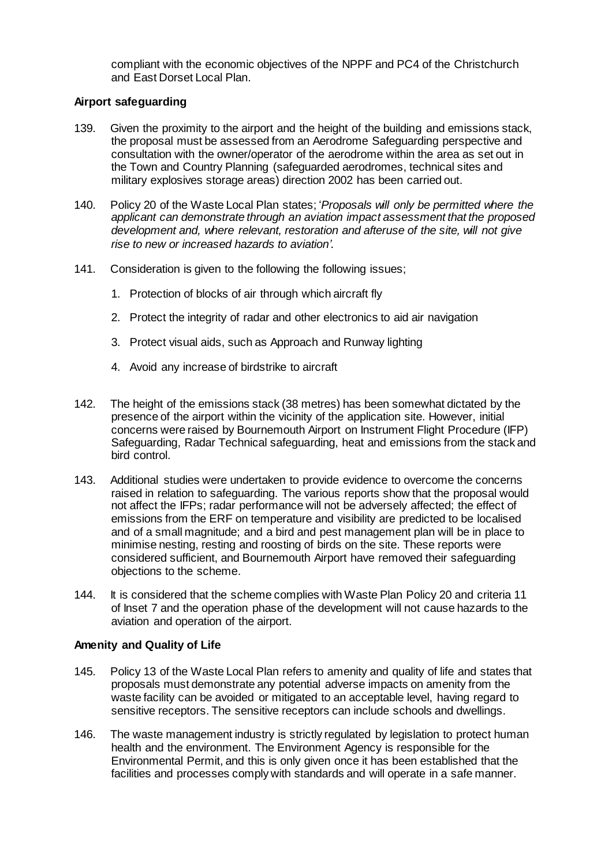compliant with the economic objectives of the NPPF and PC4 of the Christchurch and East Dorset Local Plan.

## **Airport safeguarding**

- 139. Given the proximity to the airport and the height of the building and emissions stack, the proposal must be assessed from an Aerodrome Safeguarding perspective and consultation with the owner/operator of the aerodrome within the area as set out in the Town and Country Planning (safeguarded aerodromes, technical sites and military explosives storage areas) direction 2002 has been carried out.
- 140. Policy 20 of the Waste Local Plan states; '*Proposals will only be permitted where the applicant can demonstrate through an aviation impact assessment that the proposed development and, where relevant, restoration and afteruse of the site, will not give rise to new or increased hazards to aviation'*.
- 141. Consideration is given to the following the following issues;
	- 1. Protection of blocks of air through which aircraft fly
	- 2. Protect the integrity of radar and other electronics to aid air navigation
	- 3. Protect visual aids, such as Approach and Runway lighting
	- 4. Avoid any increase of birdstrike to aircraft
- 142. The height of the emissions stack (38 metres) has been somewhat dictated by the presence of the airport within the vicinity of the application site. However, initial concerns were raised by Bournemouth Airport on Instrument Flight Procedure (IFP) Safeguarding, Radar Technical safeguarding, heat and emissions from the stack and bird control.
- 143. Additional studies were undertaken to provide evidence to overcome the concerns raised in relation to safeguarding. The various reports show that the proposal would not affect the IFPs; radar performance will not be adversely affected; the effect of emissions from the ERF on temperature and visibility are predicted to be localised and of a small magnitude; and a bird and pest management plan will be in place to minimise nesting, resting and roosting of birds on the site. These reports were considered sufficient, and Bournemouth Airport have removed their safeguarding objections to the scheme.
- 144. It is considered that the scheme complies with Waste Plan Policy 20 and criteria 11 of Inset 7 and the operation phase of the development will not cause hazards to the aviation and operation of the airport.

## **Amenity and Quality of Life**

- 145. Policy 13 of the Waste Local Plan refers to amenity and quality of life and states that proposals must demonstrate any potential adverse impacts on amenity from the waste facility can be avoided or mitigated to an acceptable level, having regard to sensitive receptors. The sensitive receptors can include schools and dwellings.
- 146. The waste management industry is strictly regulated by legislation to protect human health and the environment. The Environment Agency is responsible for the Environmental Permit, and this is only given once it has been established that the facilities and processes comply with standards and will operate in a safe manner.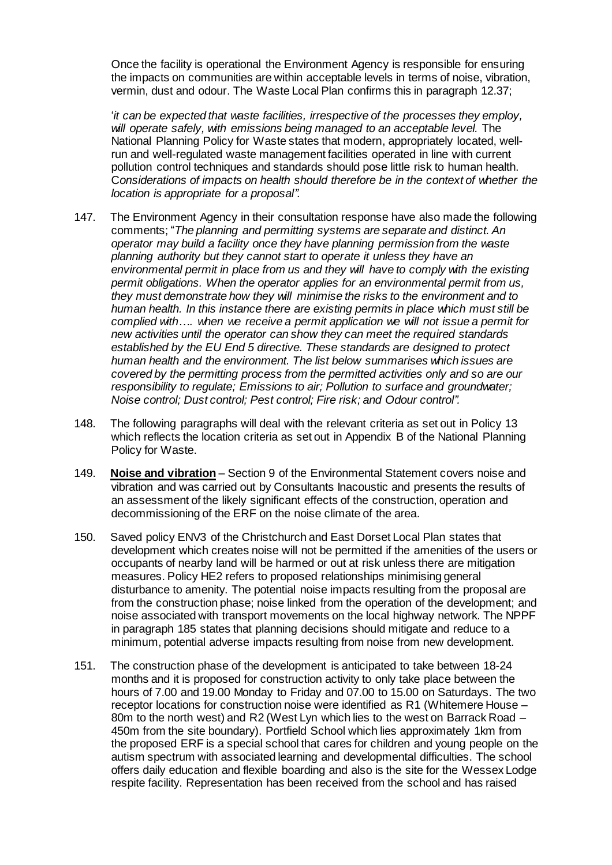Once the facility is operational the Environment Agency is responsible for ensuring the impacts on communities are within acceptable levels in terms of noise, vibration, vermin, dust and odour. The Waste Local Plan confirms this in paragraph 12.37;

'*it can be expected that waste facilities, irrespective of the processes they employ, will operate safely, with emissions being managed to an acceptable level.* The National Planning Policy for Waste states that modern, appropriately located, wellrun and well-regulated waste management facilities operated in line with current pollution control techniques and standards should pose little risk to human health. C*onsiderations of impacts on health should therefore be in the context of whether the location is appropriate for a proposal".* 

- 147. The Environment Agency in their consultation response have also made the following comments; "*The planning and permitting systems are separate and distinct. An operator may build a facility once they have planning permission from the waste planning authority but they cannot start to operate it unless they have an environmental permit in place from us and they will have to comply with the existing permit obligations. When the operator applies for an environmental permit from us, they must demonstrate how they will minimise the risks to the environment and to human health. In this instance there are existing permits in place which must still be complied with…. when we receive a permit application we will not issue a permit for new activities until the operator can show they can meet the required standards established by the EU End 5 directive. These standards are designed to protect human health and the environment. The list below summarises which issues are covered by the permitting process from the permitted activities only and so are our responsibility to regulate; Emissions to air; Pollution to surface and groundwater; Noise control; Dust control; Pest control; Fire risk; and Odour control".*
- 148. The following paragraphs will deal with the relevant criteria as set out in Policy 13 which reflects the location criteria as set out in Appendix B of the National Planning Policy for Waste.
- 149. **Noise and vibration** Section 9 of the Environmental Statement covers noise and vibration and was carried out by Consultants Inacoustic and presents the results of an assessment of the likely significant effects of the construction, operation and decommissioning of the ERF on the noise climate of the area.
- 150. Saved policy ENV3 of the Christchurch and East Dorset Local Plan states that development which creates noise will not be permitted if the amenities of the users or occupants of nearby land will be harmed or out at risk unless there are mitigation measures. Policy HE2 refers to proposed relationships minimising general disturbance to amenity. The potential noise impacts resulting from the proposal are from the construction phase; noise linked from the operation of the development; and noise associated with transport movements on the local highway network. The NPPF in paragraph 185 states that planning decisions should mitigate and reduce to a minimum, potential adverse impacts resulting from noise from new development.
- 151. The construction phase of the development is anticipated to take between 18-24 months and it is proposed for construction activity to only take place between the hours of 7.00 and 19.00 Monday to Friday and 07.00 to 15.00 on Saturdays. The two receptor locations for construction noise were identified as R1 (Whitemere House – 80m to the north west) and R2 (West Lyn which lies to the west on Barrack Road – 450m from the site boundary). Portfield School which lies approximately 1km from the proposed ERF is a special school that cares for children and young people on the autism spectrum with associated learning and developmental difficulties. The school offers daily education and flexible boarding and also is the site for the Wessex Lodge respite facility. Representation has been received from the school and has raised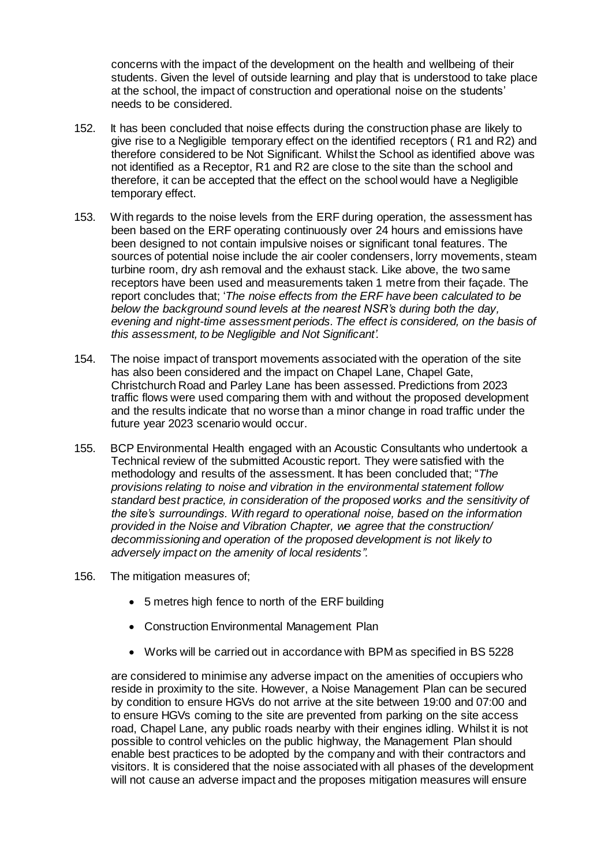concerns with the impact of the development on the health and wellbeing of their students. Given the level of outside learning and play that is understood to take place at the school, the impact of construction and operational noise on the students' needs to be considered.

- 152. It has been concluded that noise effects during the construction phase are likely to give rise to a Negligible temporary effect on the identified receptors ( R1 and R2) and therefore considered to be Not Significant. Whilst the School as identified above was not identified as a Receptor, R1 and R2 are close to the site than the school and therefore, it can be accepted that the effect on the school would have a Negligible temporary effect.
- 153. With regards to the noise levels from the ERF during operation, the assessment has been based on the ERF operating continuously over 24 hours and emissions have been designed to not contain impulsive noises or significant tonal features. The sources of potential noise include the air cooler condensers, lorry movements, steam turbine room, dry ash removal and the exhaust stack. Like above, the two same receptors have been used and measurements taken 1 metre from their façade. The report concludes that; '*The noise effects from the ERF have been calculated to be below the background sound levels at the nearest NSR's during both the day, evening and night-time assessment periods. The effect is considered, on the basis of this assessment, to be Negligible and Not Significant'.*
- 154. The noise impact of transport movements associated with the operation of the site has also been considered and the impact on Chapel Lane, Chapel Gate, Christchurch Road and Parley Lane has been assessed. Predictions from 2023 traffic flows were used comparing them with and without the proposed development and the results indicate that no worse than a minor change in road traffic under the future year 2023 scenario would occur.
- 155. BCP Environmental Health engaged with an Acoustic Consultants who undertook a Technical review of the submitted Acoustic report. They were satisfied with the methodology and results of the assessment. It has been concluded that; "*The provisions relating to noise and vibration in the environmental statement follow standard best practice, in consideration of the proposed works and the sensitivity of the site's surroundings. With regard to operational noise, based on the information provided in the Noise and Vibration Chapter, we agree that the construction/ decommissioning and operation of the proposed development is not likely to adversely impact on the amenity of local residents".*
- 156. The mitigation measures of;
	- 5 metres high fence to north of the ERF building
	- Construction Environmental Management Plan
	- Works will be carried out in accordance with BPM as specified in BS 5228

are considered to minimise any adverse impact on the amenities of occupiers who reside in proximity to the site. However, a Noise Management Plan can be secured by condition to ensure HGVs do not arrive at the site between 19:00 and 07:00 and to ensure HGVs coming to the site are prevented from parking on the site access road, Chapel Lane, any public roads nearby with their engines idling. Whilst it is not possible to control vehicles on the public highway, the Management Plan should enable best practices to be adopted by the company and with their contractors and visitors. It is considered that the noise associated with all phases of the development will not cause an adverse impact and the proposes mitigation measures will ensure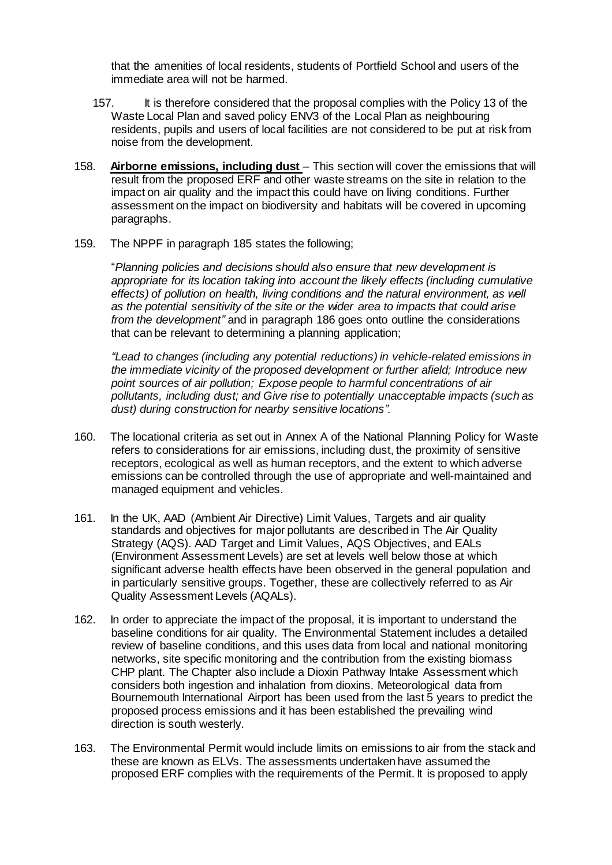that the amenities of local residents, students of Portfield School and users of the immediate area will not be harmed.

- 157. It is therefore considered that the proposal complies with the Policy 13 of the Waste Local Plan and saved policy ENV3 of the Local Plan as neighbouring residents, pupils and users of local facilities are not considered to be put at risk from noise from the development.
- 158. **Airborne emissions, including dust** This section will cover the emissions that will result from the proposed ERF and other waste streams on the site in relation to the impact on air quality and the impact this could have on living conditions. Further assessment on the impact on biodiversity and habitats will be covered in upcoming paragraphs.
- 159. The NPPF in paragraph 185 states the following;

"*Planning policies and decisions should also ensure that new development is appropriate for its location taking into account the likely effects (including cumulative effects) of pollution on health, living conditions and the natural environment, as well as the potential sensitivity of the site or the wider area to impacts that could arise from the development"* and in paragraph 186 goes onto outline the considerations that can be relevant to determining a planning application;

*"Lead to changes (including any potential reductions) in vehicle-related emissions in the immediate vicinity of the proposed development or further afield; Introduce new point sources of air pollution; Expose people to harmful concentrations of air pollutants, including dust; and Give rise to potentially unacceptable impacts (such as dust) during construction for nearby sensitive locations".* 

- 160. The locational criteria as set out in Annex A of the National Planning Policy for Waste refers to considerations for air emissions, including dust, the proximity of sensitive receptors, ecological as well as human receptors, and the extent to which adverse emissions can be controlled through the use of appropriate and well-maintained and managed equipment and vehicles.
- 161. In the UK, AAD (Ambient Air Directive) Limit Values, Targets and air quality standards and objectives for major pollutants are described in The Air Quality Strategy (AQS). AAD Target and Limit Values, AQS Objectives, and EALs (Environment Assessment Levels) are set at levels well below those at which significant adverse health effects have been observed in the general population and in particularly sensitive groups. Together, these are collectively referred to as Air Quality Assessment Levels (AQALs).
- 162. In order to appreciate the impact of the proposal, it is important to understand the baseline conditions for air quality. The Environmental Statement includes a detailed review of baseline conditions, and this uses data from local and national monitoring networks, site specific monitoring and the contribution from the existing biomass CHP plant. The Chapter also include a Dioxin Pathway Intake Assessment which considers both ingestion and inhalation from dioxins. Meteorological data from Bournemouth International Airport has been used from the last 5 years to predict the proposed process emissions and it has been established the prevailing wind direction is south westerly.
- 163. The Environmental Permit would include limits on emissions to air from the stack and these are known as ELVs. The assessments undertaken have assumed the proposed ERF complies with the requirements of the Permit. It is proposed to apply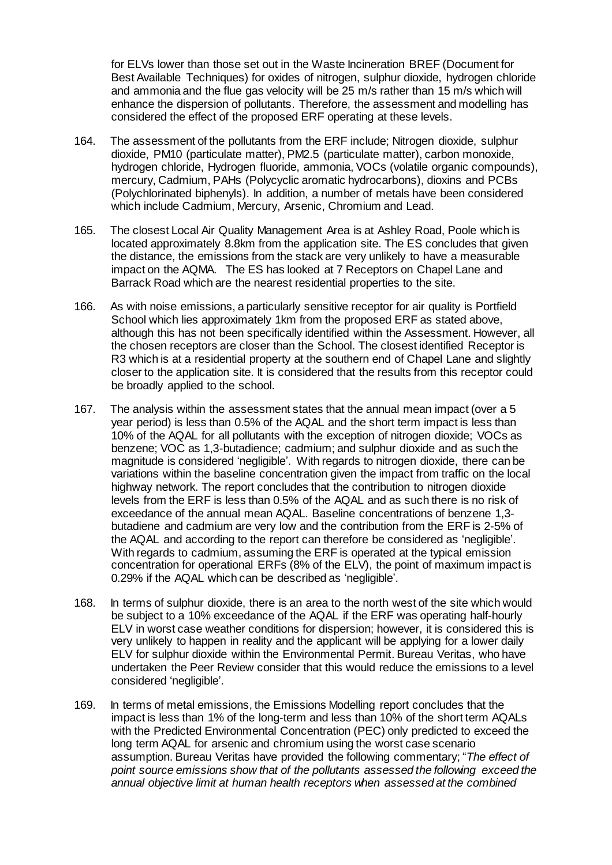for ELVs lower than those set out in the Waste Incineration BREF (Document for Best Available Techniques) for oxides of nitrogen, sulphur dioxide, hydrogen chloride and ammonia and the flue gas velocity will be 25 m/s rather than 15 m/s which will enhance the dispersion of pollutants. Therefore, the assessment and modelling has considered the effect of the proposed ERF operating at these levels.

- 164. The assessment of the pollutants from the ERF include; Nitrogen dioxide, sulphur dioxide, PM10 (particulate matter), PM2.5 (particulate matter), carbon monoxide, hydrogen chloride, Hydrogen fluoride, ammonia, VOCs (volatile organic compounds), mercury, Cadmium, PAHs (Polycyclic aromatic hydrocarbons), dioxins and PCBs (Polychlorinated biphenyls). In addition, a number of metals have been considered which include Cadmium, Mercury, Arsenic, Chromium and Lead.
- 165. The closest Local Air Quality Management Area is at Ashley Road, Poole which is located approximately 8.8km from the application site. The ES concludes that given the distance, the emissions from the stack are very unlikely to have a measurable impact on the AQMA. The ES has looked at 7 Receptors on Chapel Lane and Barrack Road which are the nearest residential properties to the site.
- 166. As with noise emissions, a particularly sensitive receptor for air quality is Portfield School which lies approximately 1km from the proposed ERF as stated above, although this has not been specifically identified within the Assessment. However, all the chosen receptors are closer than the School. The closest identified Receptor is R3 which is at a residential property at the southern end of Chapel Lane and slightly closer to the application site. It is considered that the results from this receptor could be broadly applied to the school.
- 167. The analysis within the assessment states that the annual mean impact (over a 5 year period) is less than 0.5% of the AQAL and the short term impact is less than 10% of the AQAL for all pollutants with the exception of nitrogen dioxide; VOCs as benzene; VOC as 1,3-butadience; cadmium; and sulphur dioxide and as such the magnitude is considered 'negligible'. With regards to nitrogen dioxide, there can be variations within the baseline concentration given the impact from traffic on the local highway network. The report concludes that the contribution to nitrogen dioxide levels from the ERF is less than 0.5% of the AQAL and as such there is no risk of exceedance of the annual mean AQAL. Baseline concentrations of benzene 1,3 butadiene and cadmium are very low and the contribution from the ERF is 2-5% of the AQAL and according to the report can therefore be considered as 'negligible'. With regards to cadmium, assuming the ERF is operated at the typical emission concentration for operational ERFs (8% of the ELV), the point of maximum impact is 0.29% if the AQAL which can be described as 'negligible'.
- 168. In terms of sulphur dioxide, there is an area to the north west of the site which would be subject to a 10% exceedance of the AQAL if the ERF was operating half-hourly ELV in worst case weather conditions for dispersion; however, it is considered this is very unlikely to happen in reality and the applicant will be applying for a lower daily ELV for sulphur dioxide within the Environmental Permit. Bureau Veritas, who have undertaken the Peer Review consider that this would reduce the emissions to a level considered 'negligible'.
- 169. In terms of metal emissions, the Emissions Modelling report concludes that the impact is less than 1% of the long-term and less than 10% of the short term AQALs with the Predicted Environmental Concentration (PEC) only predicted to exceed the long term AQAL for arsenic and chromium using the worst case scenario assumption. Bureau Veritas have provided the following commentary; "*The effect of point source emissions show that of the pollutants assessed the following exceed the annual objective limit at human health receptors when assessed at the combined*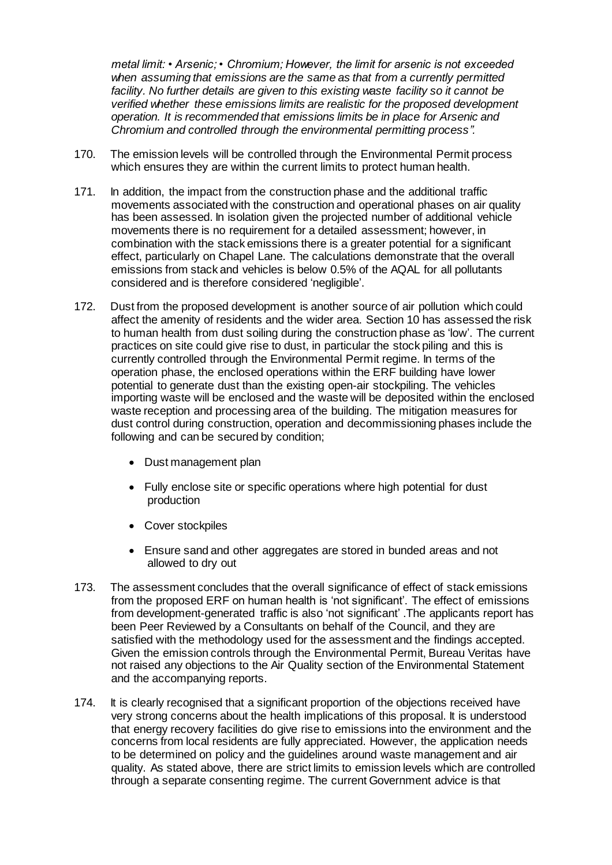*metal limit: • Arsenic; • Chromium; However, the limit for arsenic is not exceeded when assuming that emissions are the same as that from a currently permitted*  facility. No further details are given to this existing waste facility so it cannot be *verified whether these emissions limits are realistic for the proposed development operation. It is recommended that emissions limits be in place for Arsenic and Chromium and controlled through the environmental permitting process".*

- 170. The emission levels will be controlled through the Environmental Permit process which ensures they are within the current limits to protect human health.
- 171. In addition, the impact from the construction phase and the additional traffic movements associated with the construction and operational phases on air quality has been assessed. In isolation given the projected number of additional vehicle movements there is no requirement for a detailed assessment; however, in combination with the stack emissions there is a greater potential for a significant effect, particularly on Chapel Lane. The calculations demonstrate that the overall emissions from stack and vehicles is below 0.5% of the AQAL for all pollutants considered and is therefore considered 'negligible'.
- 172. Dust from the proposed development is another source of air pollution which could affect the amenity of residents and the wider area. Section 10 has assessed the risk to human health from dust soiling during the construction phase as 'low'. The current practices on site could give rise to dust, in particular the stock piling and this is currently controlled through the Environmental Permit regime. In terms of the operation phase, the enclosed operations within the ERF building have lower potential to generate dust than the existing open-air stockpiling. The vehicles importing waste will be enclosed and the waste will be deposited within the enclosed waste reception and processing area of the building. The mitigation measures for dust control during construction, operation and decommissioning phases include the following and can be secured by condition;
	- Dust management plan
	- Fully enclose site or specific operations where high potential for dust production
	- Cover stockpiles
	- Ensure sand and other aggregates are stored in bunded areas and not allowed to dry out
- 173. The assessment concludes that the overall significance of effect of stack emissions from the proposed ERF on human health is 'not significant'. The effect of emissions from development-generated traffic is also 'not significant' .The applicants report has been Peer Reviewed by a Consultants on behalf of the Council, and they are satisfied with the methodology used for the assessment and the findings accepted. Given the emission controls through the Environmental Permit, Bureau Veritas have not raised any objections to the Air Quality section of the Environmental Statement and the accompanying reports.
- 174. It is clearly recognised that a significant proportion of the objections received have very strong concerns about the health implications of this proposal. It is understood that energy recovery facilities do give rise to emissions into the environment and the concerns from local residents are fully appreciated. However, the application needs to be determined on policy and the guidelines around waste management and air quality. As stated above, there are strict limits to emission levels which are controlled through a separate consenting regime. The current Government advice is that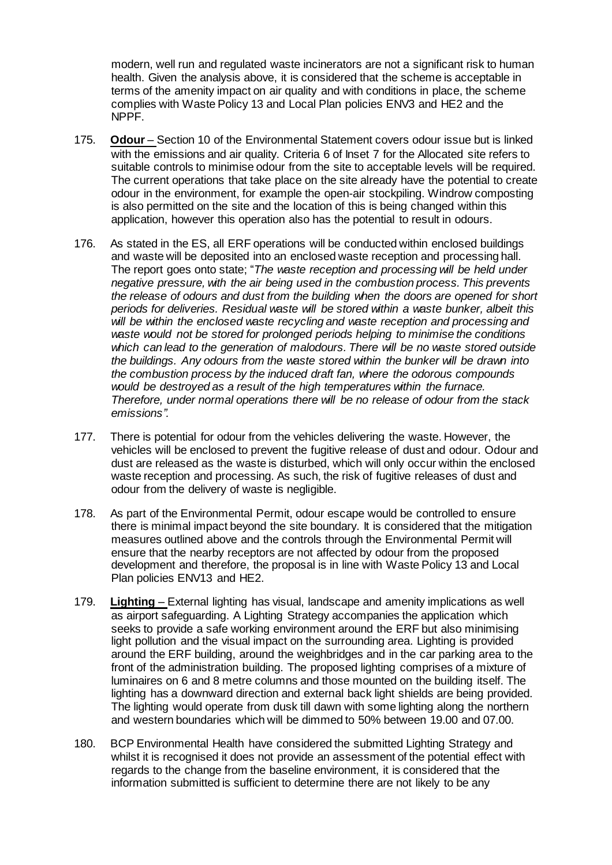modern, well run and regulated waste incinerators are not a significant risk to human health. Given the analysis above, it is considered that the scheme is acceptable in terms of the amenity impact on air quality and with conditions in place, the scheme complies with Waste Policy 13 and Local Plan policies ENV3 and HE2 and the NPPF.

- 175. **Odour** Section 10 of the Environmental Statement covers odour issue but is linked with the emissions and air quality. Criteria 6 of Inset 7 for the Allocated site refers to suitable controls to minimise odour from the site to acceptable levels will be required. The current operations that take place on the site already have the potential to create odour in the environment, for example the open-air stockpiling. Windrow composting is also permitted on the site and the location of this is being changed within this application, however this operation also has the potential to result in odours.
- 176. As stated in the ES, all ERF operations will be conducted within enclosed buildings and waste will be deposited into an enclosed waste reception and processing hall. The report goes onto state; "*The waste reception and processing will be held under negative pressure, with the air being used in the combustion process. This prevents the release of odours and dust from the building when the doors are opened for short periods for deliveries. Residual waste will be stored within a waste bunker, albeit this will be within the enclosed waste recycling and waste reception and processing and waste would not be stored for prolonged periods helping to minimise the conditions which can lead to the generation of malodours. There will be no waste stored outside the buildings. Any odours from the waste stored within the bunker will be drawn into the combustion process by the induced draft fan, where the odorous compounds would be destroyed as a result of the high temperatures within the furnace. Therefore, under normal operations there will be no release of odour from the stack emissions".*
- 177. There is potential for odour from the vehicles delivering the waste. However, the vehicles will be enclosed to prevent the fugitive release of dust and odour. Odour and dust are released as the waste is disturbed, which will only occur within the enclosed waste reception and processing. As such, the risk of fugitive releases of dust and odour from the delivery of waste is negligible.
- 178. As part of the Environmental Permit, odour escape would be controlled to ensure there is minimal impact beyond the site boundary. It is considered that the mitigation measures outlined above and the controls through the Environmental Permit will ensure that the nearby receptors are not affected by odour from the proposed development and therefore, the proposal is in line with Waste Policy 13 and Local Plan policies ENV13 and HE2.
- 179. **Lighting** External lighting has visual, landscape and amenity implications as well as airport safeguarding. A Lighting Strategy accompanies the application which seeks to provide a safe working environment around the ERF but also minimising light pollution and the visual impact on the surrounding area. Lighting is provided around the ERF building, around the weighbridges and in the car parking area to the front of the administration building. The proposed lighting comprises of a mixture of luminaires on 6 and 8 metre columns and those mounted on the building itself. The lighting has a downward direction and external back light shields are being provided. The lighting would operate from dusk till dawn with some lighting along the northern and western boundaries which will be dimmed to 50% between 19.00 and 07.00.
- 180. BCP Environmental Health have considered the submitted Lighting Strategy and whilst it is recognised it does not provide an assessment of the potential effect with regards to the change from the baseline environment, it is considered that the information submitted is sufficient to determine there are not likely to be any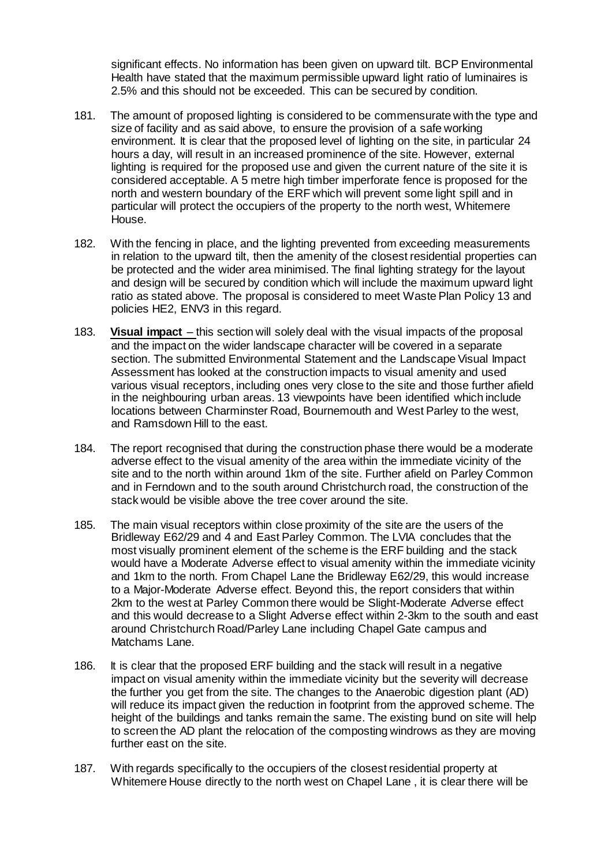significant effects. No information has been given on upward tilt. BCP Environmental Health have stated that the maximum permissible upward light ratio of luminaires is 2.5% and this should not be exceeded. This can be secured by condition.

- 181. The amount of proposed lighting is considered to be commensurate with the type and size of facility and as said above, to ensure the provision of a safe working environment. It is clear that the proposed level of lighting on the site, in particular 24 hours a day, will result in an increased prominence of the site. However, external lighting is required for the proposed use and given the current nature of the site it is considered acceptable. A 5 metre high timber imperforate fence is proposed for the north and western boundary of the ERF which will prevent some light spill and in particular will protect the occupiers of the property to the north west, Whitemere House.
- 182. With the fencing in place, and the lighting prevented from exceeding measurements in relation to the upward tilt, then the amenity of the closest residential properties can be protected and the wider area minimised. The final lighting strategy for the layout and design will be secured by condition which will include the maximum upward light ratio as stated above. The proposal is considered to meet Waste Plan Policy 13 and policies HE2, ENV3 in this regard.
- 183. **Visual impact** this section will solely deal with the visual impacts of the proposal and the impact on the wider landscape character will be covered in a separate section. The submitted Environmental Statement and the Landscape Visual Impact Assessment has looked at the construction impacts to visual amenity and used various visual receptors, including ones very close to the site and those further afield in the neighbouring urban areas. 13 viewpoints have been identified which include locations between Charminster Road, Bournemouth and West Parley to the west, and Ramsdown Hill to the east.
- 184. The report recognised that during the construction phase there would be a moderate adverse effect to the visual amenity of the area within the immediate vicinity of the site and to the north within around 1km of the site. Further afield on Parley Common and in Ferndown and to the south around Christchurch road, the construction of the stack would be visible above the tree cover around the site.
- 185. The main visual receptors within close proximity of the site are the users of the Bridleway E62/29 and 4 and East Parley Common. The LVIA concludes that the most visually prominent element of the scheme is the ERF building and the stack would have a Moderate Adverse effect to visual amenity within the immediate vicinity and 1km to the north. From Chapel Lane the Bridleway E62/29, this would increase to a Major-Moderate Adverse effect. Beyond this, the report considers that within 2km to the west at Parley Common there would be Slight-Moderate Adverse effect and this would decrease to a Slight Adverse effect within 2-3km to the south and east around Christchurch Road/Parley Lane including Chapel Gate campus and Matchams Lane.
- 186. It is clear that the proposed ERF building and the stack will result in a negative impact on visual amenity within the immediate vicinity but the severity will decrease the further you get from the site. The changes to the Anaerobic digestion plant (AD) will reduce its impact given the reduction in footprint from the approved scheme. The height of the buildings and tanks remain the same. The existing bund on site will help to screen the AD plant the relocation of the composting windrows as they are moving further east on the site.
- 187. With regards specifically to the occupiers of the closest residential property at Whitemere House directly to the north west on Chapel Lane , it is clear there will be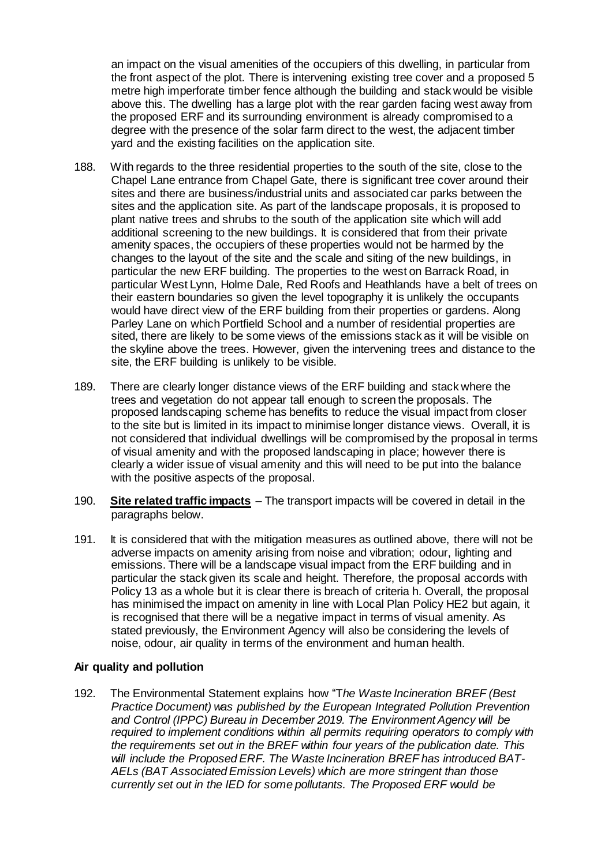an impact on the visual amenities of the occupiers of this dwelling, in particular from the front aspect of the plot. There is intervening existing tree cover and a proposed 5 metre high imperforate timber fence although the building and stack would be visible above this. The dwelling has a large plot with the rear garden facing west away from the proposed ERF and its surrounding environment is already compromised to a degree with the presence of the solar farm direct to the west, the adjacent timber yard and the existing facilities on the application site.

- 188. With regards to the three residential properties to the south of the site, close to the Chapel Lane entrance from Chapel Gate, there is significant tree cover around their sites and there are business/industrial units and associated car parks between the sites and the application site. As part of the landscape proposals, it is proposed to plant native trees and shrubs to the south of the application site which will add additional screening to the new buildings. It is considered that from their private amenity spaces, the occupiers of these properties would not be harmed by the changes to the layout of the site and the scale and siting of the new buildings, in particular the new ERF building. The properties to the west on Barrack Road, in particular West Lynn, Holme Dale, Red Roofs and Heathlands have a belt of trees on their eastern boundaries so given the level topography it is unlikely the occupants would have direct view of the ERF building from their properties or gardens. Along Parley Lane on which Portfield School and a number of residential properties are sited, there are likely to be some views of the emissions stack as it will be visible on the skyline above the trees. However, given the intervening trees and distance to the site, the ERF building is unlikely to be visible.
- 189. There are clearly longer distance views of the ERF building and stack where the trees and vegetation do not appear tall enough to screen the proposals. The proposed landscaping scheme has benefits to reduce the visual impact from closer to the site but is limited in its impact to minimise longer distance views. Overall, it is not considered that individual dwellings will be compromised by the proposal in terms of visual amenity and with the proposed landscaping in place; however there is clearly a wider issue of visual amenity and this will need to be put into the balance with the positive aspects of the proposal.
- 190. **Site related traffic impacts** The transport impacts will be covered in detail in the paragraphs below.
- 191. It is considered that with the mitigation measures as outlined above, there will not be adverse impacts on amenity arising from noise and vibration; odour, lighting and emissions. There will be a landscape visual impact from the ERF building and in particular the stack given its scale and height. Therefore, the proposal accords with Policy 13 as a whole but it is clear there is breach of criteria h. Overall, the proposal has minimised the impact on amenity in line with Local Plan Policy HE2 but again, it is recognised that there will be a negative impact in terms of visual amenity. As stated previously, the Environment Agency will also be considering the levels of noise, odour, air quality in terms of the environment and human health.

## **Air quality and pollution**

192. The Environmental Statement explains how "T*he Waste Incineration BREF (Best Practice Document) was published by the European Integrated Pollution Prevention and Control (IPPC) Bureau in December 2019. The Environment Agency will be required to implement conditions within all permits requiring operators to comply with the requirements set out in the BREF within four years of the publication date. This will include the Proposed ERF. The Waste Incineration BREF has introduced BAT-AELs (BAT Associated Emission Levels) which are more stringent than those currently set out in the IED for some pollutants. The Proposed ERF would be*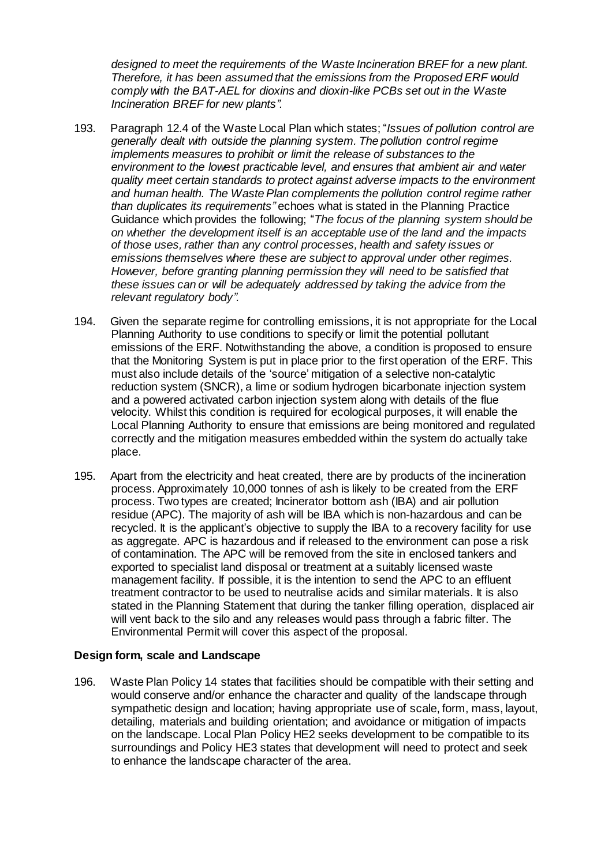*designed to meet the requirements of the Waste Incineration BREF for a new plant. Therefore, it has been assumed that the emissions from the Proposed ERF would comply with the BAT-AEL for dioxins and dioxin-like PCBs set out in the Waste Incineration BREF for new plants".*

- 193. Paragraph 12.4 of the Waste Local Plan which states; "*Issues of pollution control are generally dealt with outside the planning system. The pollution control regime implements measures to prohibit or limit the release of substances to the environment to the lowest practicable level, and ensures that ambient air and water quality meet certain standards to protect against adverse impacts to the environment and human health. The Waste Plan complements the pollution control regime rather than duplicates its requirements"* echoes what is stated in the Planning Practice Guidance which provides the following; "*The focus of the planning system should be on whether the development itself is an acceptable use of the land and the impacts of those uses, rather than any control processes, health and safety issues or emissions themselves where these are subject to approval under other regimes. However, before granting planning permission they will need to be satisfied that these issues can or will be adequately addressed by taking the advice from the relevant regulatory body".*
- 194. Given the separate regime for controlling emissions, it is not appropriate for the Local Planning Authority to use conditions to specify or limit the potential pollutant emissions of the ERF. Notwithstanding the above, a condition is proposed to ensure that the Monitoring System is put in place prior to the first operation of the ERF. This must also include details of the 'source' mitigation of a selective non-catalytic reduction system (SNCR), a lime or sodium hydrogen bicarbonate injection system and a powered activated carbon injection system along with details of the flue velocity. Whilst this condition is required for ecological purposes, it will enable the Local Planning Authority to ensure that emissions are being monitored and regulated correctly and the mitigation measures embedded within the system do actually take place.
- 195. Apart from the electricity and heat created, there are by products of the incineration process. Approximately 10,000 tonnes of ash is likely to be created from the ERF process. Two types are created; Incinerator bottom ash (IBA) and air pollution residue (APC). The majority of ash will be IBA which is non-hazardous and can be recycled. It is the applicant's objective to supply the IBA to a recovery facility for use as aggregate. APC is hazardous and if released to the environment can pose a risk of contamination. The APC will be removed from the site in enclosed tankers and exported to specialist land disposal or treatment at a suitably licensed waste management facility. If possible, it is the intention to send the APC to an effluent treatment contractor to be used to neutralise acids and similar materials. It is also stated in the Planning Statement that during the tanker filling operation, displaced air will vent back to the silo and any releases would pass through a fabric filter. The Environmental Permit will cover this aspect of the proposal.

#### **Design form, scale and Landscape**

196. Waste Plan Policy 14 states that facilities should be compatible with their setting and would conserve and/or enhance the character and quality of the landscape through sympathetic design and location; having appropriate use of scale, form, mass, layout, detailing, materials and building orientation; and avoidance or mitigation of impacts on the landscape. Local Plan Policy HE2 seeks development to be compatible to its surroundings and Policy HE3 states that development will need to protect and seek to enhance the landscape character of the area.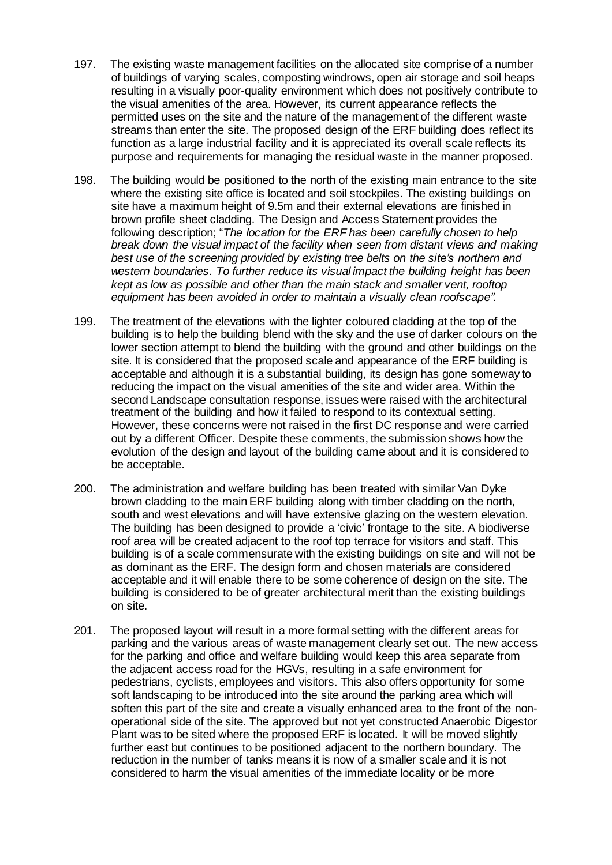- 197. The existing waste management facilities on the allocated site comprise of a number of buildings of varying scales, composting windrows, open air storage and soil heaps resulting in a visually poor-quality environment which does not positively contribute to the visual amenities of the area. However, its current appearance reflects the permitted uses on the site and the nature of the management of the different waste streams than enter the site. The proposed design of the ERF building does reflect its function as a large industrial facility and it is appreciated its overall scale reflects its purpose and requirements for managing the residual waste in the manner proposed.
- 198. The building would be positioned to the north of the existing main entrance to the site where the existing site office is located and soil stockpiles. The existing buildings on site have a maximum height of 9.5m and their external elevations are finished in brown profile sheet cladding. The Design and Access Statement provides the following description; "*The location for the ERF has been carefully chosen to help break down the visual impact of the facility when seen from distant views and making best use of the screening provided by existing tree belts on the site's northern and western boundaries. To further reduce its visual impact the building height has been kept as low as possible and other than the main stack and smaller vent, rooftop equipment has been avoided in order to maintain a visually clean roofscape".*
- 199. The treatment of the elevations with the lighter coloured cladding at the top of the building is to help the building blend with the sky and the use of darker colours on the lower section attempt to blend the building with the ground and other buildings on the site. It is considered that the proposed scale and appearance of the ERF building is acceptable and although it is a substantial building, its design has gone someway to reducing the impact on the visual amenities of the site and wider area. Within the second Landscape consultation response, issues were raised with the architectural treatment of the building and how it failed to respond to its contextual setting. However, these concerns were not raised in the first DC response and were carried out by a different Officer. Despite these comments, the submission shows how the evolution of the design and layout of the building came about and it is considered to be acceptable.
- 200. The administration and welfare building has been treated with similar Van Dyke brown cladding to the main ERF building along with timber cladding on the north, south and west elevations and will have extensive glazing on the western elevation. The building has been designed to provide a 'civic' frontage to the site. A biodiverse roof area will be created adjacent to the roof top terrace for visitors and staff. This building is of a scale commensurate with the existing buildings on site and will not be as dominant as the ERF. The design form and chosen materials are considered acceptable and it will enable there to be some coherence of design on the site. The building is considered to be of greater architectural merit than the existing buildings on site.
- 201. The proposed layout will result in a more formal setting with the different areas for parking and the various areas of waste management clearly set out. The new access for the parking and office and welfare building would keep this area separate from the adjacent access road for the HGVs, resulting in a safe environment for pedestrians, cyclists, employees and visitors. This also offers opportunity for some soft landscaping to be introduced into the site around the parking area which will soften this part of the site and create a visually enhanced area to the front of the nonoperational side of the site. The approved but not yet constructed Anaerobic Digestor Plant was to be sited where the proposed ERF is located. It will be moved slightly further east but continues to be positioned adjacent to the northern boundary. The reduction in the number of tanks means it is now of a smaller scale and it is not considered to harm the visual amenities of the immediate locality or be more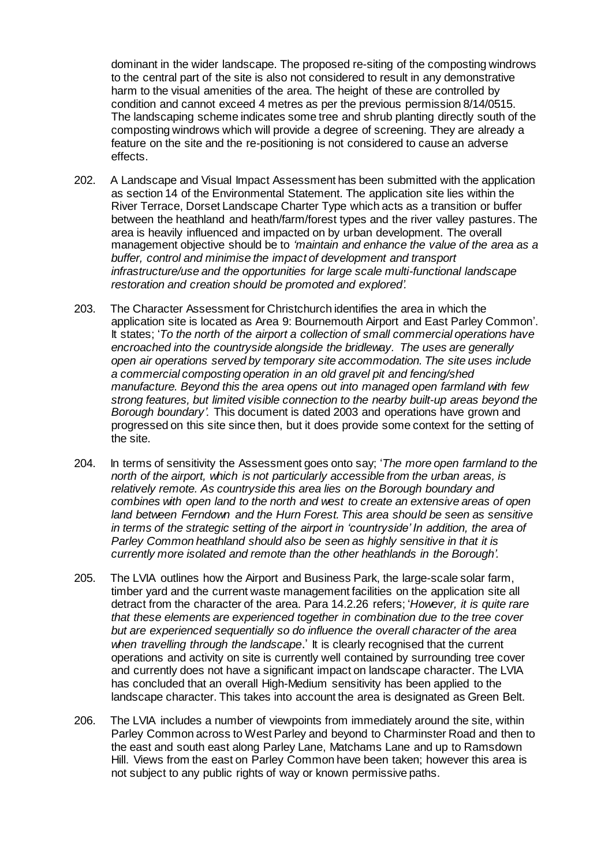dominant in the wider landscape. The proposed re-siting of the composting windrows to the central part of the site is also not considered to result in any demonstrative harm to the visual amenities of the area. The height of these are controlled by condition and cannot exceed 4 metres as per the previous permission 8/14/0515. The landscaping scheme indicates some tree and shrub planting directly south of the composting windrows which will provide a degree of screening. They are already a feature on the site and the re-positioning is not considered to cause an adverse effects.

- 202. A Landscape and Visual Impact Assessment has been submitted with the application as section 14 of the Environmental Statement. The application site lies within the River Terrace, Dorset Landscape Charter Type which acts as a transition or buffer between the heathland and heath/farm/forest types and the river valley pastures. The area is heavily influenced and impacted on by urban development. The overall management objective should be to *'maintain and enhance the value of the area as a buffer, control and minimise the impact of development and transport infrastructure/use and the opportunities for large scale multi-functional landscape restoration and creation should be promoted and explored'.*
- 203. The Character Assessment for Christchurch identifies the area in which the application site is located as Area 9: Bournemouth Airport and East Parley Common'. It states; '*To the north of the airport a collection of small commercial operations have encroached into the countryside alongside the bridleway. The uses are generally open air operations served by temporary site accommodation. The site uses include a commercial composting operation in an old gravel pit and fencing/shed manufacture. Beyond this the area opens out into managed open farmland with few strong features, but limited visible connection to the nearby built-up areas beyond the Borough boundary'.* This document is dated 2003 and operations have grown and progressed on this site since then, but it does provide some context for the setting of the site.
- 204. In terms of sensitivity the Assessment goes onto say; '*The more open farmland to the north of the airport, which is not particularly accessible from the urban areas, is relatively remote. As countryside this area lies on the Borough boundary and combines with open land to the north and west to create an extensive areas of open land between Ferndown and the Hurn Forest. This area should be seen as sensitive in terms of the strategic setting of the airport in 'countryside' In addition, the area of Parley Common heathland should also be seen as highly sensitive in that it is currently more isolated and remote than the other heathlands in the Borough'.*
- 205. The LVIA outlines how the Airport and Business Park, the large-scale solar farm, timber yard and the current waste management facilities on the application site all detract from the character of the area. Para 14.2.26 refers; '*However, it is quite rare that these elements are experienced together in combination due to the tree cover but are experienced sequentially so do influence the overall character of the area when travelling through the landscape*.' It is clearly recognised that the current operations and activity on site is currently well contained by surrounding tree cover and currently does not have a significant impact on landscape character. The LVIA has concluded that an overall High-Medium sensitivity has been applied to the landscape character. This takes into account the area is designated as Green Belt.
- 206. The LVIA includes a number of viewpoints from immediately around the site, within Parley Common across to West Parley and beyond to Charminster Road and then to the east and south east along Parley Lane, Matchams Lane and up to Ramsdown Hill. Views from the east on Parley Common have been taken; however this area is not subject to any public rights of way or known permissive paths.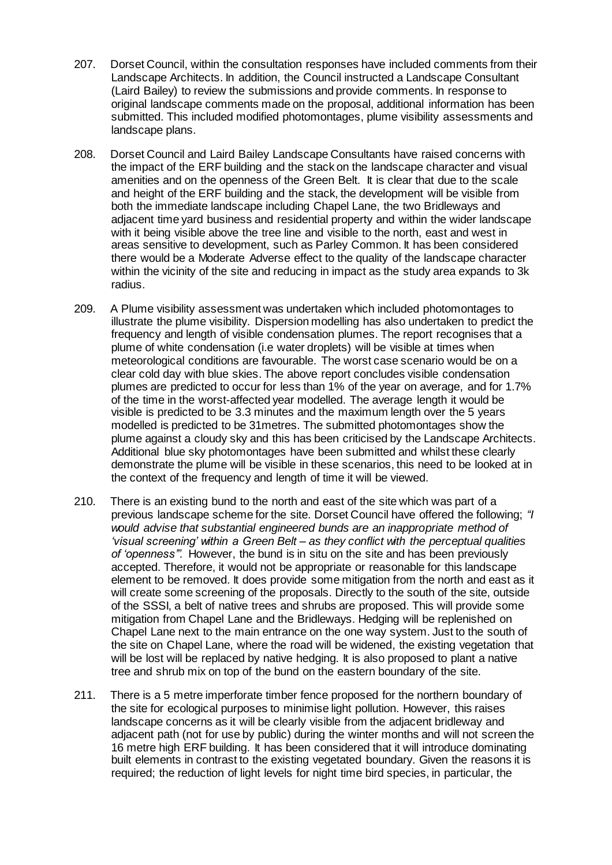- 207. Dorset Council, within the consultation responses have included comments from their Landscape Architects. In addition, the Council instructed a Landscape Consultant (Laird Bailey) to review the submissions and provide comments. In response to original landscape comments made on the proposal, additional information has been submitted. This included modified photomontages, plume visibility assessments and landscape plans.
- 208. Dorset Council and Laird Bailey Landscape Consultants have raised concerns with the impact of the ERF building and the stack on the landscape character and visual amenities and on the openness of the Green Belt. It is clear that due to the scale and height of the ERF building and the stack, the development will be visible from both the immediate landscape including Chapel Lane, the two Bridleways and adjacent time yard business and residential property and within the wider landscape with it being visible above the tree line and visible to the north, east and west in areas sensitive to development, such as Parley Common. It has been considered there would be a Moderate Adverse effect to the quality of the landscape character within the vicinity of the site and reducing in impact as the study area expands to 3k radius.
- 209. A Plume visibility assessment was undertaken which included photomontages to illustrate the plume visibility. Dispersion modelling has also undertaken to predict the frequency and length of visible condensation plumes. The report recognises that a plume of white condensation (i.e water droplets) will be visible at times when meteorological conditions are favourable. The worst case scenario would be on a clear cold day with blue skies. The above report concludes visible condensation plumes are predicted to occur for less than 1% of the year on average, and for 1.7% of the time in the worst-affected year modelled. The average length it would be visible is predicted to be 3.3 minutes and the maximum length over the 5 years modelled is predicted to be 31metres. The submitted photomontages show the plume against a cloudy sky and this has been criticised by the Landscape Architects. Additional blue sky photomontages have been submitted and whilst these clearly demonstrate the plume will be visible in these scenarios, this need to be looked at in the context of the frequency and length of time it will be viewed.
- 210. There is an existing bund to the north and east of the site which was part of a previous landscape scheme for the site. Dorset Council have offered the following; *"I would advise that substantial engineered bunds are an inappropriate method of 'visual screening' within a Green Belt – as they conflict with the perceptual qualities of 'openness'".* However, the bund is in situ on the site and has been previously accepted. Therefore, it would not be appropriate or reasonable for this landscape element to be removed. It does provide some mitigation from the north and east as it will create some screening of the proposals. Directly to the south of the site, outside of the SSSI, a belt of native trees and shrubs are proposed. This will provide some mitigation from Chapel Lane and the Bridleways. Hedging will be replenished on Chapel Lane next to the main entrance on the one way system. Just to the south of the site on Chapel Lane, where the road will be widened, the existing vegetation that will be lost will be replaced by native hedging. It is also proposed to plant a native tree and shrub mix on top of the bund on the eastern boundary of the site.
- 211. There is a 5 metre imperforate timber fence proposed for the northern boundary of the site for ecological purposes to minimise light pollution. However, this raises landscape concerns as it will be clearly visible from the adjacent bridleway and adjacent path (not for use by public) during the winter months and will not screen the 16 metre high ERF building. It has been considered that it will introduce dominating built elements in contrast to the existing vegetated boundary. Given the reasons it is required; the reduction of light levels for night time bird species, in particular, the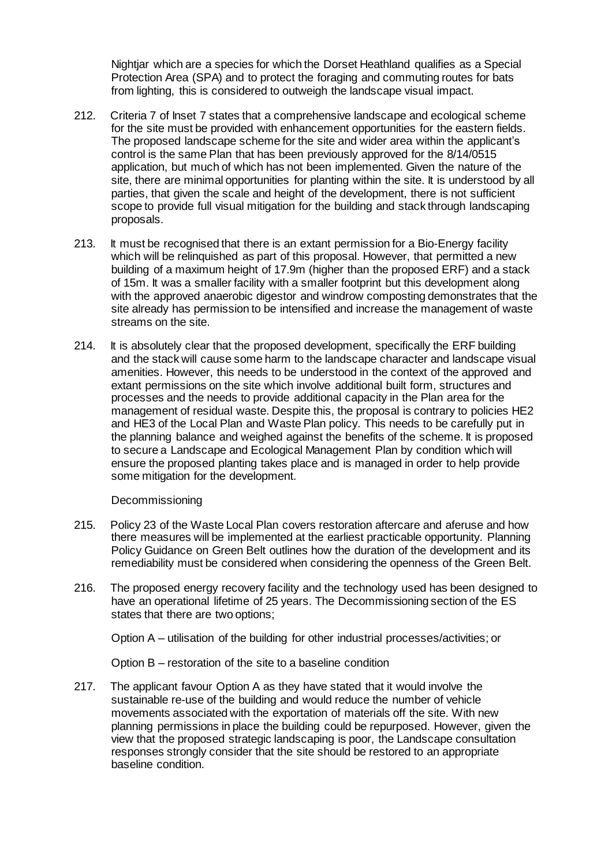Nightjar which are a species for which the Dorset Heathland qualifies as a Special Protection Area (SPA) and to protect the foraging and commuting routes for bats from lighting, this is considered to outweigh the landscape visual impact.

- 212. Criteria 7 of Inset 7 states that a comprehensive landscape and ecological scheme for the site must be provided with enhancement opportunities for the eastern fields. The proposed landscape scheme for the site and wider area within the applicant's control is the same Plan that has been previously approved for the 8/14/0515 application, but much of which has not been implemented. Given the nature of the site, there are minimal opportunities for planting within the site. It is understood by all parties, that given the scale and height of the development, there is not sufficient scope to provide full visual mitigation for the building and stack through landscaping proposals.
- 213. It must be recognised that there is an extant permission for a Bio-Energy facility which will be relinquished as part of this proposal. However, that permitted a new building of a maximum height of 17.9m (higher than the proposed ERF) and a stack of 15m. It was a smaller facility with a smaller footprint but this development along with the approved anaerobic digestor and windrow composting demonstrates that the site already has permission to be intensified and increase the management of waste streams on the site.
- 214. It is absolutely clear that the proposed development, specifically the ERF building and the stack will cause some harm to the landscape character and landscape visual amenities. However, this needs to be understood in the context of the approved and extant permissions on the site which involve additional built form, structures and processes and the needs to provide additional capacity in the Plan area for the management of residual waste. Despite this, the proposal is contrary to policies HE2 and HE3 of the Local Plan and Waste Plan policy. This needs to be carefully put in the planning balance and weighed against the benefits of the scheme. It is proposed to secure a Landscape and Ecological Management Plan by condition which will ensure the proposed planting takes place and is managed in order to help provide some mitigation for the development.

Decommissioning

- 215. Policy 23 of the Waste Local Plan covers restoration aftercare and aferuse and how there measures will be implemented at the earliest practicable opportunity. Planning Policy Guidance on Green Belt outlines how the duration of the development and its remediability must be considered when considering the openness of the Green Belt.
- 216. The proposed energy recovery facility and the technology used has been designed to have an operational lifetime of 25 years. The Decommissioning section of the ES states that there are two options;

Option A – utilisation of the building for other industrial processes/activities; or

Option B – restoration of the site to a baseline condition

217. The applicant favour Option A as they have stated that it would involve the sustainable re-use of the building and would reduce the number of vehicle movements associated with the exportation of materials off the site. With new planning permissions in place the building could be repurposed. However, given the view that the proposed strategic landscaping is poor, the Landscape consultation responses strongly consider that the site should be restored to an appropriate baseline condition.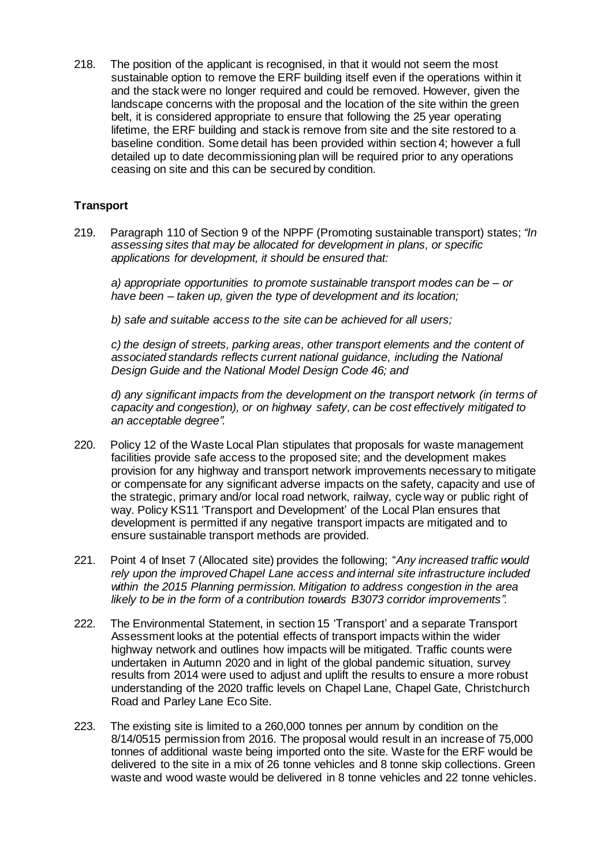218. The position of the applicant is recognised, in that it would not seem the most sustainable option to remove the ERF building itself even if the operations within it and the stack were no longer required and could be removed. However, given the landscape concerns with the proposal and the location of the site within the green belt, it is considered appropriate to ensure that following the 25 year operating lifetime, the ERF building and stack is remove from site and the site restored to a baseline condition. Some detail has been provided within section 4; however a full detailed up to date decommissioning plan will be required prior to any operations ceasing on site and this can be secured by condition.

# **Transport**

219. Paragraph 110 of Section 9 of the NPPF (Promoting sustainable transport) states; *"In assessing sites that may be allocated for development in plans, or specific applications for development, it should be ensured that:*

*a) appropriate opportunities to promote sustainable transport modes can be – or have been – taken up, given the type of development and its location;*

*b) safe and suitable access to the site can be achieved for all users;* 

*c) the design of streets, parking areas, other transport elements and the content of associated standards reflects current national guidance, including the National Design Guide and the National Model Design Code 46; and* 

*d) any significant impacts from the development on the transport network (in terms of capacity and congestion), or on highway safety, can be cost effectively mitigated to an acceptable degree".*

- 220. Policy 12 of the Waste Local Plan stipulates that proposals for waste management facilities provide safe access to the proposed site; and the development makes provision for any highway and transport network improvements necessary to mitigate or compensate for any significant adverse impacts on the safety, capacity and use of the strategic, primary and/or local road network, railway, cycle way or public right of way. Policy KS11 'Transport and Development' of the Local Plan ensures that development is permitted if any negative transport impacts are mitigated and to ensure sustainable transport methods are provided.
- 221. Point 4 of Inset 7 (Allocated site) provides the following; "*Any increased traffic would rely upon the improved Chapel Lane access and internal site infrastructure included within the 2015 Planning permission. Mitigation to address congestion in the area*  likely to be in the form of a contribution towards B3073 corridor *improvements*".
- 222. The Environmental Statement, in section 15 'Transport' and a separate Transport Assessment looks at the potential effects of transport impacts within the wider highway network and outlines how impacts will be mitigated. Traffic counts were undertaken in Autumn 2020 and in light of the global pandemic situation, survey results from 2014 were used to adjust and uplift the results to ensure a more robust understanding of the 2020 traffic levels on Chapel Lane, Chapel Gate, Christchurch Road and Parley Lane Eco Site.
- 223. The existing site is limited to a 260,000 tonnes per annum by condition on the 8/14/0515 permission from 2016. The proposal would result in an increase of 75,000 tonnes of additional waste being imported onto the site. Waste for the ERF would be delivered to the site in a mix of 26 tonne vehicles and 8 tonne skip collections. Green waste and wood waste would be delivered in 8 tonne vehicles and 22 tonne vehicles.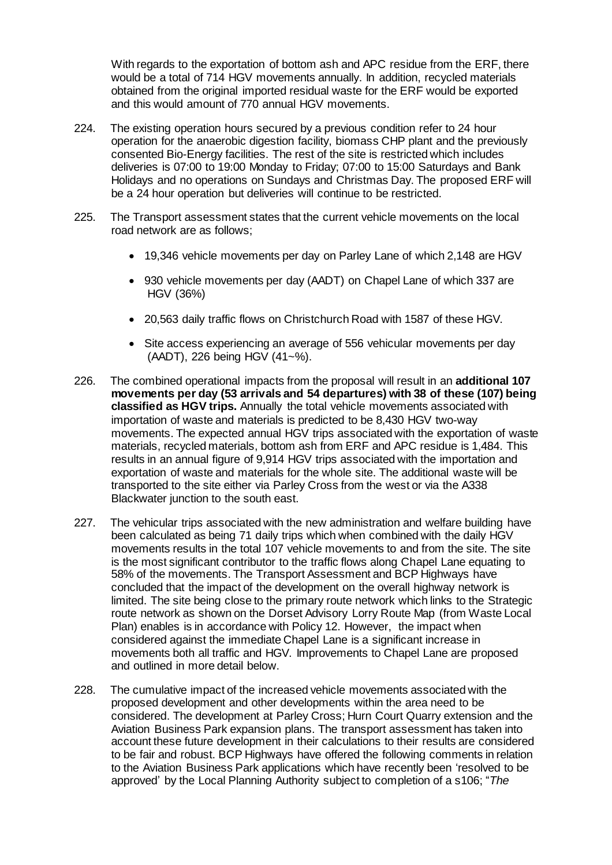With regards to the exportation of bottom ash and APC residue from the ERF, there would be a total of 714 HGV movements annually. In addition, recycled materials obtained from the original imported residual waste for the ERF would be exported and this would amount of 770 annual HGV movements.

- 224. The existing operation hours secured by a previous condition refer to 24 hour operation for the anaerobic digestion facility, biomass CHP plant and the previously consented Bio-Energy facilities. The rest of the site is restricted which includes deliveries is 07:00 to 19:00 Monday to Friday; 07:00 to 15:00 Saturdays and Bank Holidays and no operations on Sundays and Christmas Day. The proposed ERF will be a 24 hour operation but deliveries will continue to be restricted.
- 225. The Transport assessment states that the current vehicle movements on the local road network are as follows;
	- 19,346 vehicle movements per day on Parley Lane of which 2,148 are HGV
	- 930 vehicle movements per day (AADT) on Chapel Lane of which 337 are HGV (36%)
	- 20,563 daily traffic flows on Christchurch Road with 1587 of these HGV.
	- Site access experiencing an average of 556 vehicular movements per day (AADT), 226 being HGV (41~%).
- 226. The combined operational impacts from the proposal will result in an **additional 107 movements per day (53 arrivals and 54 departures) with 38 of these (107) being classified as HGV trips.** Annually the total vehicle movements associated with importation of waste and materials is predicted to be 8,430 HGV two-way movements. The expected annual HGV trips associated with the exportation of waste materials, recycled materials, bottom ash from ERF and APC residue is 1,484. This results in an annual figure of 9,914 HGV trips associated with the importation and exportation of waste and materials for the whole site. The additional waste will be transported to the site either via Parley Cross from the west or via the A338 Blackwater junction to the south east.
- 227. The vehicular trips associated with the new administration and welfare building have been calculated as being 71 daily trips which when combined with the daily HGV movements results in the total 107 vehicle movements to and from the site. The site is the most significant contributor to the traffic flows along Chapel Lane equating to 58% of the movements. The Transport Assessment and BCP Highways have concluded that the impact of the development on the overall highway network is limited. The site being close to the primary route network which links to the Strategic route network as shown on the Dorset Advisory Lorry Route Map (from Waste Local Plan) enables is in accordance with Policy 12. However, the impact when considered against the immediate Chapel Lane is a significant increase in movements both all traffic and HGV. Improvements to Chapel Lane are proposed and outlined in more detail below.
- 228. The cumulative impact of the increased vehicle movements associated with the proposed development and other developments within the area need to be considered. The development at Parley Cross; Hurn Court Quarry extension and the Aviation Business Park expansion plans. The transport assessment has taken into account these future development in their calculations to their results are considered to be fair and robust. BCP Highways have offered the following comments in relation to the Aviation Business Park applications which have recently been 'resolved to be approved' by the Local Planning Authority subject to completion of a s106; "*The*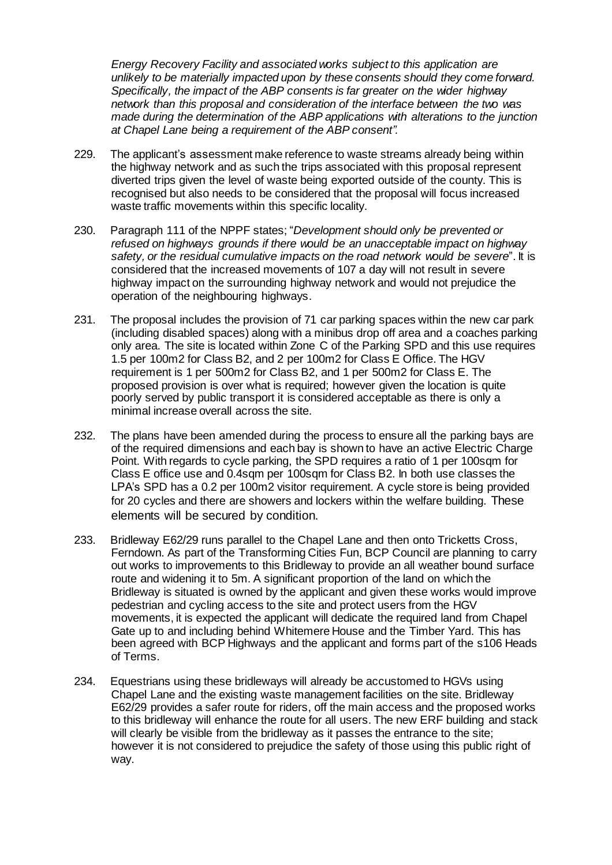*Energy Recovery Facility and associated works subject to this application are unlikely to be materially impacted upon by these consents should they come forward. Specifically, the impact of the ABP consents is far greater on the wider highway network than this proposal and consideration of the interface between the two was made during the determination of the ABP applications with alterations to the junction at Chapel Lane being a requirement of the ABP consent".* 

- 229. The applicant's assessment make reference to waste streams already being within the highway network and as such the trips associated with this proposal represent diverted trips given the level of waste being exported outside of the county. This is recognised but also needs to be considered that the proposal will focus increased waste traffic movements within this specific locality.
- 230. Paragraph 111 of the NPPF states; "*Development should only be prevented or refused on highways grounds if there would be an unacceptable impact on highway safety, or the residual cumulative impacts on the road network would be severe*". It is considered that the increased movements of 107 a day will not result in severe highway impact on the surrounding highway network and would not prejudice the operation of the neighbouring highways.
- 231. The proposal includes the provision of 71 car parking spaces within the new car park (including disabled spaces) along with a minibus drop off area and a coaches parking only area. The site is located within Zone C of the Parking SPD and this use requires 1.5 per 100m2 for Class B2, and 2 per 100m2 for Class E Office. The HGV requirement is 1 per 500m2 for Class B2, and 1 per 500m2 for Class E. The proposed provision is over what is required; however given the location is quite poorly served by public transport it is considered acceptable as there is only a minimal increase overall across the site.
- 232. The plans have been amended during the process to ensure all the parking bays are of the required dimensions and each bay is shown to have an active Electric Charge Point. With regards to cycle parking, the SPD requires a ratio of 1 per 100sqm for Class E office use and 0.4sqm per 100sqm for Class B2. In both use classes the LPA's SPD has a 0.2 per 100m2 visitor requirement. A cycle store is being provided for 20 cycles and there are showers and lockers within the welfare building. These elements will be secured by condition.
- 233. Bridleway E62/29 runs parallel to the Chapel Lane and then onto Tricketts Cross, Ferndown. As part of the Transforming Cities Fun, BCP Council are planning to carry out works to improvements to this Bridleway to provide an all weather bound surface route and widening it to 5m. A significant proportion of the land on which the Bridleway is situated is owned by the applicant and given these works would improve pedestrian and cycling access to the site and protect users from the HGV movements, it is expected the applicant will dedicate the required land from Chapel Gate up to and including behind Whitemere House and the Timber Yard. This has been agreed with BCP Highways and the applicant and forms part of the s106 Heads of Terms.
- 234. Equestrians using these bridleways will already be accustomed to HGVs using Chapel Lane and the existing waste management facilities on the site. Bridleway E62/29 provides a safer route for riders, off the main access and the proposed works to this bridleway will enhance the route for all users. The new ERF building and stack will clearly be visible from the bridleway as it passes the entrance to the site; however it is not considered to prejudice the safety of those using this public right of way.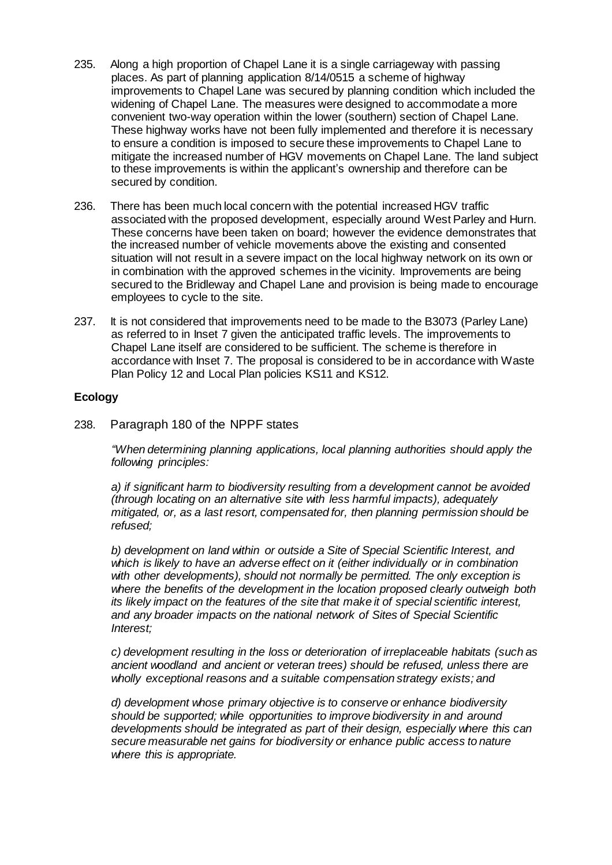- 235. Along a high proportion of Chapel Lane it is a single carriageway with passing places. As part of planning application 8/14/0515 a scheme of highway improvements to Chapel Lane was secured by planning condition which included the widening of Chapel Lane. The measures were designed to accommodate a more convenient two-way operation within the lower (southern) section of Chapel Lane. These highway works have not been fully implemented and therefore it is necessary to ensure a condition is imposed to secure these improvements to Chapel Lane to mitigate the increased number of HGV movements on Chapel Lane. The land subject to these improvements is within the applicant's ownership and therefore can be secured by condition.
- 236. There has been much local concern with the potential increased HGV traffic associated with the proposed development, especially around West Parley and Hurn. These concerns have been taken on board; however the evidence demonstrates that the increased number of vehicle movements above the existing and consented situation will not result in a severe impact on the local highway network on its own or in combination with the approved schemes in the vicinity. Improvements are being secured to the Bridleway and Chapel Lane and provision is being made to encourage employees to cycle to the site.
- 237. It is not considered that improvements need to be made to the B3073 (Parley Lane) as referred to in Inset 7 given the anticipated traffic levels. The improvements to Chapel Lane itself are considered to be sufficient. The scheme is therefore in accordance with Inset 7. The proposal is considered to be in accordance with Waste Plan Policy 12 and Local Plan policies KS11 and KS12.

## **Ecology**

238. Paragraph 180 of the NPPF states

*"When determining planning applications, local planning authorities should apply the following principles:* 

*a) if significant harm to biodiversity resulting from a development cannot be avoided (through locating on an alternative site with less harmful impacts), adequately mitigated, or, as a last resort, compensated for, then planning permission should be refused;* 

*b) development on land within or outside a Site of Special Scientific Interest, and which is likely to have an adverse effect on it (either individually or in combination with other developments), should not normally be permitted. The only exception is where the benefits of the development in the location proposed clearly outweigh both its likely impact on the features of the site that make it of special scientific interest, and any broader impacts on the national network of Sites of Special Scientific Interest;* 

*c) development resulting in the loss or deterioration of irreplaceable habitats (such as ancient woodland and ancient or veteran trees) should be refused, unless there are wholly exceptional reasons and a suitable compensation strategy exists; and* 

*d) development whose primary objective is to conserve or enhance biodiversity should be supported; while opportunities to improve biodiversity in and around developments should be integrated as part of their design, especially where this can secure measurable net gains for biodiversity or enhance public access to nature where this is appropriate.*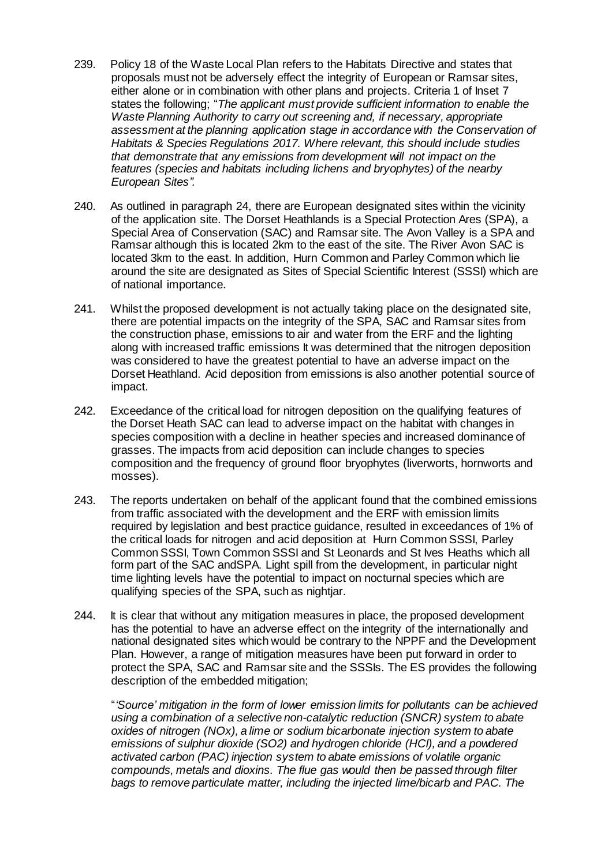- 239. Policy 18 of the Waste Local Plan refers to the Habitats Directive and states that proposals must not be adversely effect the integrity of European or Ramsar sites, either alone or in combination with other plans and projects. Criteria 1 of Inset 7 states the following; "*The applicant must provide sufficient information to enable the Waste Planning Authority to carry out screening and, if necessary, appropriate assessment at the planning application stage in accordance with the Conservation of Habitats & Species Regulations 2017. Where relevant, this should include studies that demonstrate that any emissions from development will not impact on the features (species and habitats including lichens and bryophytes) of the nearby European Sites".*
- 240. As outlined in paragraph 24, there are European designated sites within the vicinity of the application site. The Dorset Heathlands is a Special Protection Ares (SPA), a Special Area of Conservation (SAC) and Ramsar site. The Avon Valley is a SPA and Ramsar although this is located 2km to the east of the site. The River Avon SAC is located 3km to the east. In addition, Hurn Common and Parley Common which lie around the site are designated as Sites of Special Scientific Interest (SSSI) which are of national importance.
- 241. Whilst the proposed development is not actually taking place on the designated site, there are potential impacts on the integrity of the SPA, SAC and Ramsar sites from the construction phase, emissions to air and water from the ERF and the lighting along with increased traffic emissions It was determined that the nitrogen deposition was considered to have the greatest potential to have an adverse impact on the Dorset Heathland. Acid deposition from emissions is also another potential source of impact.
- 242. Exceedance of the critical load for nitrogen deposition on the qualifying features of the Dorset Heath SAC can lead to adverse impact on the habitat with changes in species composition with a decline in heather species and increased dominance of grasses. The impacts from acid deposition can include changes to species composition and the frequency of ground floor bryophytes (liverworts, hornworts and mosses).
- 243. The reports undertaken on behalf of the applicant found that the combined emissions from traffic associated with the development and the ERF with emission limits required by legislation and best practice guidance, resulted in exceedances of 1% of the critical loads for nitrogen and acid deposition at Hurn Common SSSI, Parley Common SSSI, Town Common SSSI and St Leonards and St Ives Heaths which all form part of the SAC andSPA. Light spill from the development, in particular night time lighting levels have the potential to impact on nocturnal species which are qualifying species of the SPA, such as nightjar.
- 244. It is clear that without any mitigation measures in place, the proposed development has the potential to have an adverse effect on the integrity of the internationally and national designated sites which would be contrary to the NPPF and the Development Plan. However, a range of mitigation measures have been put forward in order to protect the SPA, SAC and Ramsar site and the SSSIs. The ES provides the following description of the embedded mitigation;

"*'Source' mitigation in the form of lower emission limits for pollutants can be achieved using a combination of a selective non-catalytic reduction (SNCR) system to abate oxides of nitrogen (NOx), a lime or sodium bicarbonate injection system to abate emissions of sulphur dioxide (SO2) and hydrogen chloride (HCl), and a powdered activated carbon (PAC) injection system to abate emissions of volatile organic compounds, metals and dioxins. The flue gas would then be passed through filter bags to remove particulate matter, including the injected lime/bicarb and PAC. The*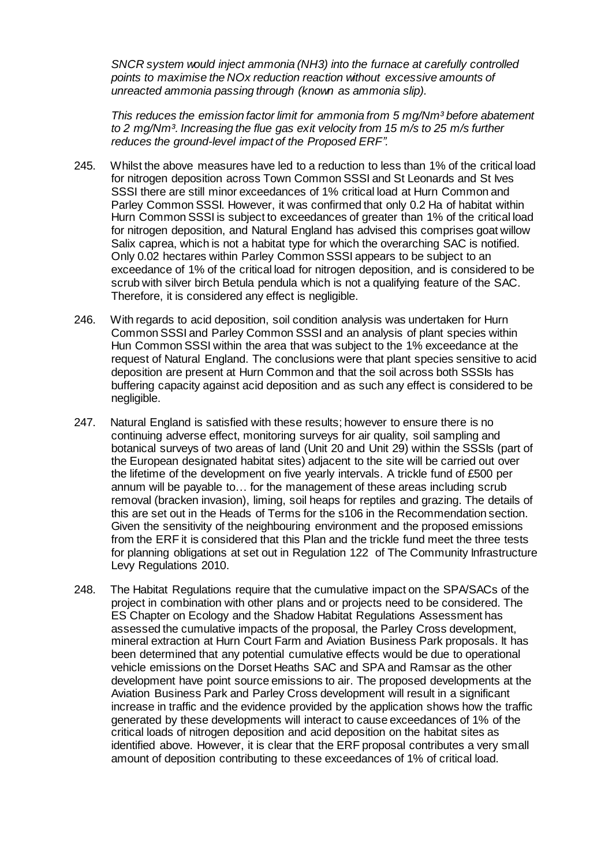*SNCR system would inject ammonia (NH3) into the furnace at carefully controlled points to maximise the NOx reduction reaction without excessive amounts of unreacted ammonia passing through (known as ammonia slip).*

*This reduces the emission factor limit for ammonia from 5 mg/Nm³ before abatement to 2 mg/Nm³. Increasing the flue gas exit velocity from 15 m/s to 25 m/s further reduces the ground-level impact of the Proposed ERF".* 

- 245. Whilst the above measures have led to a reduction to less than 1% of the critical load for nitrogen deposition across Town Common SSSI and St Leonards and St Ives SSSI there are still minor exceedances of 1% critical load at Hurn Common and Parley Common SSSI. However, it was confirmed that only 0.2 Ha of habitat within Hurn Common SSSI is subject to exceedances of greater than 1% of the critical load for nitrogen deposition, and Natural England has advised this comprises goat willow Salix caprea, which is not a habitat type for which the overarching SAC is notified. Only 0.02 hectares within Parley Common SSSI appears to be subject to an exceedance of 1% of the critical load for nitrogen deposition, and is considered to be scrub with silver birch Betula pendula which is not a qualifying feature of the SAC. Therefore, it is considered any effect is negligible.
- 246. With regards to acid deposition, soil condition analysis was undertaken for Hurn Common SSSI and Parley Common SSSI and an analysis of plant species within Hun Common SSSI within the area that was subject to the 1% exceedance at the request of Natural England. The conclusions were that plant species sensitive to acid deposition are present at Hurn Common and that the soil across both SSSIs has buffering capacity against acid deposition and as such any effect is considered to be negligible.
- 247. Natural England is satisfied with these results; however to ensure there is no continuing adverse effect, monitoring surveys for air quality, soil sampling and botanical surveys of two areas of land (Unit 20 and Unit 29) within the SSSIs (part of the European designated habitat sites) adjacent to the site will be carried out over the lifetime of the development on five yearly intervals. A trickle fund of £500 per annum will be payable to… for the management of these areas including scrub removal (bracken invasion), liming, soil heaps for reptiles and grazing. The details of this are set out in the Heads of Terms for the s106 in the Recommendation section. Given the sensitivity of the neighbouring environment and the proposed emissions from the ERF it is considered that this Plan and the trickle fund meet the three tests for planning obligations at set out in Regulation 122 of The Community Infrastructure Levy Regulations 2010.
- 248. The Habitat Regulations require that the cumulative impact on the SPA/SACs of the project in combination with other plans and or projects need to be considered. The ES Chapter on Ecology and the Shadow Habitat Regulations Assessment has assessed the cumulative impacts of the proposal, the Parley Cross development, mineral extraction at Hurn Court Farm and Aviation Business Park proposals. It has been determined that any potential cumulative effects would be due to operational vehicle emissions on the Dorset Heaths SAC and SPA and Ramsar as the other development have point source emissions to air. The proposed developments at the Aviation Business Park and Parley Cross development will result in a significant increase in traffic and the evidence provided by the application shows how the traffic generated by these developments will interact to cause exceedances of 1% of the critical loads of nitrogen deposition and acid deposition on the habitat sites as identified above. However, it is clear that the ERF proposal contributes a very small amount of deposition contributing to these exceedances of 1% of critical load.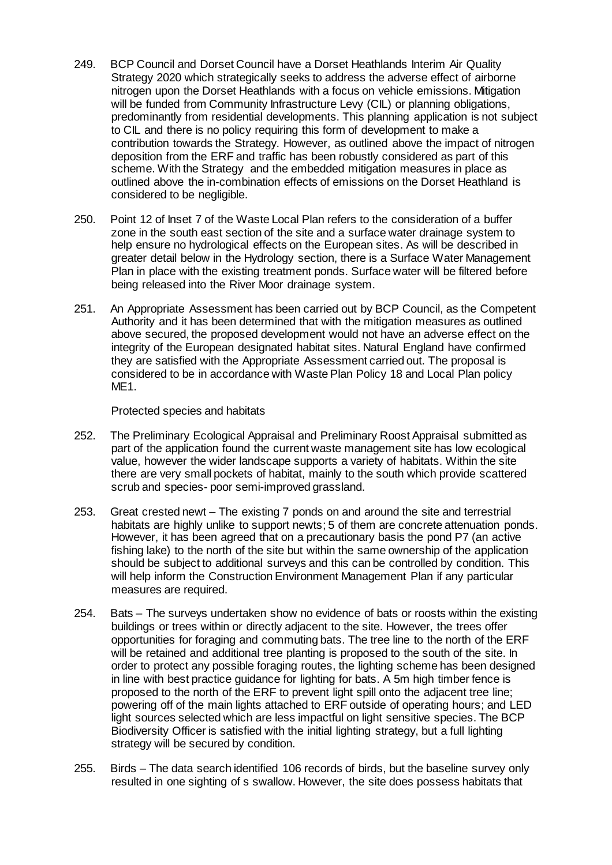- 249. BCP Council and Dorset Council have a Dorset Heathlands Interim Air Quality Strategy 2020 which strategically seeks to address the adverse effect of airborne nitrogen upon the Dorset Heathlands with a focus on vehicle emissions. Mitigation will be funded from Community Infrastructure Levy (CIL) or planning obligations, predominantly from residential developments. This planning application is not subject to CIL and there is no policy requiring this form of development to make a contribution towards the Strategy. However, as outlined above the impact of nitrogen deposition from the ERF and traffic has been robustly considered as part of this scheme. With the Strategy and the embedded mitigation measures in place as outlined above the in-combination effects of emissions on the Dorset Heathland is considered to be negligible.
- 250. Point 12 of Inset 7 of the Waste Local Plan refers to the consideration of a buffer zone in the south east section of the site and a surface water drainage system to help ensure no hydrological effects on the European sites. As will be described in greater detail below in the Hydrology section, there is a Surface Water Management Plan in place with the existing treatment ponds. Surface water will be filtered before being released into the River Moor drainage system.
- 251. An Appropriate Assessment has been carried out by BCP Council, as the Competent Authority and it has been determined that with the mitigation measures as outlined above secured, the proposed development would not have an adverse effect on the integrity of the European designated habitat sites. Natural England have confirmed they are satisfied with the Appropriate Assessment carried out. The proposal is considered to be in accordance with Waste Plan Policy 18 and Local Plan policy ME1.

Protected species and habitats

- 252. The Preliminary Ecological Appraisal and Preliminary Roost Appraisal submitted as part of the application found the current waste management site has low ecological value, however the wider landscape supports a variety of habitats. Within the site there are very small pockets of habitat, mainly to the south which provide scattered scrub and species- poor semi-improved grassland.
- 253. Great crested newt The existing 7 ponds on and around the site and terrestrial habitats are highly unlike to support newts; 5 of them are concrete attenuation ponds. However, it has been agreed that on a precautionary basis the pond P7 (an active fishing lake) to the north of the site but within the same ownership of the application should be subject to additional surveys and this can be controlled by condition. This will help inform the Construction Environment Management Plan if any particular measures are required.
- 254. Bats The surveys undertaken show no evidence of bats or roosts within the existing buildings or trees within or directly adjacent to the site. However, the trees offer opportunities for foraging and commuting bats. The tree line to the north of the ERF will be retained and additional tree planting is proposed to the south of the site. In order to protect any possible foraging routes, the lighting scheme has been designed in line with best practice guidance for lighting for bats. A 5m high timber fence is proposed to the north of the ERF to prevent light spill onto the adjacent tree line; powering off of the main lights attached to ERF outside of operating hours; and LED light sources selected which are less impactful on light sensitive species. The BCP Biodiversity Officer is satisfied with the initial lighting strategy, but a full lighting strategy will be secured by condition.
- 255. Birds The data search identified 106 records of birds, but the baseline survey only resulted in one sighting of s swallow. However, the site does possess habitats that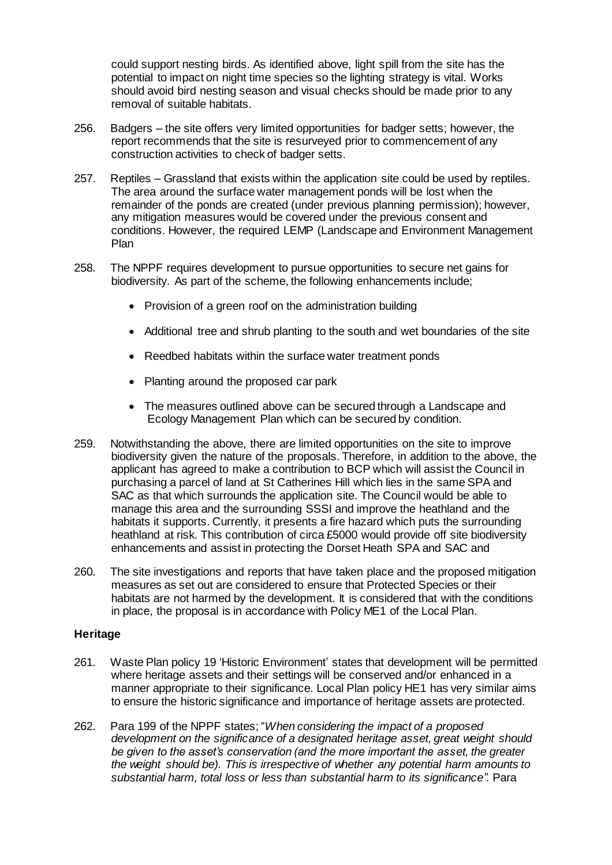could support nesting birds. As identified above, light spill from the site has the potential to impact on night time species so the lighting strategy is vital. Works should avoid bird nesting season and visual checks should be made prior to any removal of suitable habitats.

- 256. Badgers the site offers very limited opportunities for badger setts; however, the report recommends that the site is resurveyed prior to commencement of any construction activities to check of badger setts.
- 257. Reptiles Grassland that exists within the application site could be used by reptiles. The area around the surface water management ponds will be lost when the remainder of the ponds are created (under previous planning permission); however, any mitigation measures would be covered under the previous consent and conditions. However, the required LEMP (Landscape and Environment Management Plan
- 258. The NPPF requires development to pursue opportunities to secure net gains for biodiversity. As part of the scheme, the following enhancements include;
	- Provision of a green roof on the administration building
	- Additional tree and shrub planting to the south and wet boundaries of the site
	- Reedbed habitats within the surface water treatment ponds
	- Planting around the proposed car park
	- The measures outlined above can be secured through a Landscape and Ecology Management Plan which can be secured by condition.
- 259. Notwithstanding the above, there are limited opportunities on the site to improve biodiversity given the nature of the proposals. Therefore, in addition to the above, the applicant has agreed to make a contribution to BCP which will assist the Council in purchasing a parcel of land at St Catherines Hill which lies in the same SPA and SAC as that which surrounds the application site. The Council would be able to manage this area and the surrounding SSSI and improve the heathland and the habitats it supports. Currently, it presents a fire hazard which puts the surrounding heathland at risk. This contribution of circa £5000 would provide off site biodiversity enhancements and assist in protecting the Dorset Heath SPA and SAC and
- 260. The site investigations and reports that have taken place and the proposed mitigation measures as set out are considered to ensure that Protected Species or their habitats are not harmed by the development. It is considered that with the conditions in place, the proposal is in accordance with Policy ME1 of the Local Plan.

#### **Heritage**

- 261. Waste Plan policy 19 'Historic Environment' states that development will be permitted where heritage assets and their settings will be conserved and/or enhanced in a manner appropriate to their significance. Local Plan policy HE1 has very similar aims to ensure the historic significance and importance of heritage assets are protected.
- 262. Para 199 of the NPPF states; "*When considering the impact of a proposed development on the significance of a designated heritage asset, great weight should be given to the asset's conservation (and the more important the asset, the greater the weight should be). This is irrespective of whether any potential harm amounts to substantial harm, total loss or less than substantial harm to its significance".* Para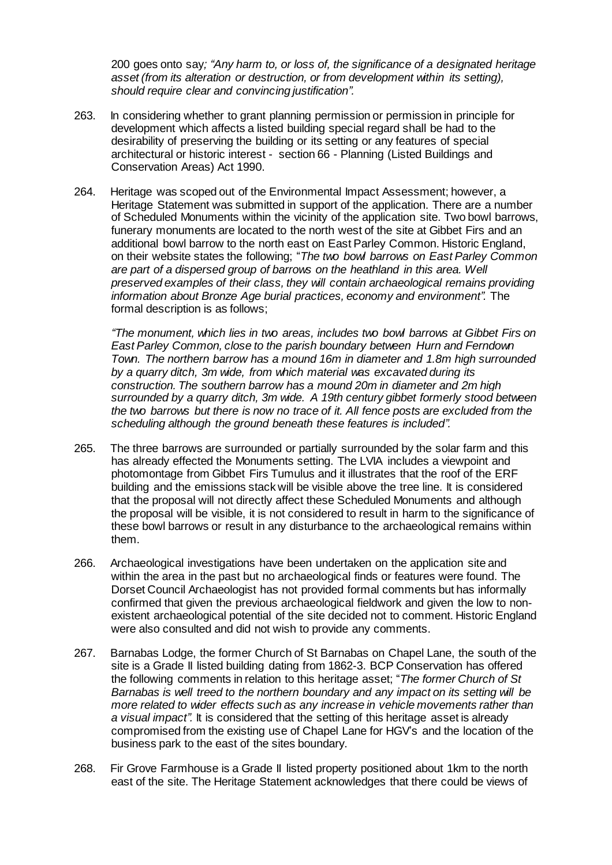200 goes onto say*; "Any harm to, or loss of, the significance of a designated heritage asset (from its alteration or destruction, or from development within its setting), should require clear and convincing justification".*

- 263. In considering whether to grant planning permission or permission in principle for development which affects a listed building special regard shall be had to the desirability of preserving the building or its setting or any features of special architectural or historic interest - section 66 - Planning (Listed Buildings and Conservation Areas) Act 1990.
- 264. Heritage was scoped out of the Environmental Impact Assessment; however, a Heritage Statement was submitted in support of the application. There are a number of Scheduled Monuments within the vicinity of the application site. Two bowl barrows, funerary monuments are located to the north west of the site at Gibbet Firs and an additional bowl barrow to the north east on East Parley Common. Historic England, on their website states the following; "*The two bowl barrows on East Parley Common are part of a dispersed group of barrows on the heathland in this area. Well preserved examples of their class, they will contain archaeological remains providing information about Bronze Age burial practices, economy and environment".* The formal description is as follows;

*"The monument, which lies in two areas, includes two bowl barrows at Gibbet Firs on East Parley Common, close to the parish boundary between Hurn and Ferndown Town. The northern barrow has a mound 16m in diameter and 1.8m high surrounded by a quarry ditch, 3m wide, from which material was excavated during its construction. The southern barrow has a mound 20m in diameter and 2m high surrounded by a quarry ditch, 3m wide. A 19th century gibbet formerly stood between the two barrows but there is now no trace of it. All fence posts are excluded from the scheduling although the ground beneath these features is included".*

- 265. The three barrows are surrounded or partially surrounded by the solar farm and this has already effected the Monuments setting. The LVIA includes a viewpoint and photomontage from Gibbet Firs Tumulus and it illustrates that the roof of the ERF building and the emissions stack will be visible above the tree line. It is considered that the proposal will not directly affect these Scheduled Monuments and although the proposal will be visible, it is not considered to result in harm to the significance of these bowl barrows or result in any disturbance to the archaeological remains within them.
- 266. Archaeological investigations have been undertaken on the application site and within the area in the past but no archaeological finds or features were found. The Dorset Council Archaeologist has not provided formal comments but has informally confirmed that given the previous archaeological fieldwork and given the low to nonexistent archaeological potential of the site decided not to comment. Historic England were also consulted and did not wish to provide any comments.
- 267. Barnabas Lodge, the former Church of St Barnabas on Chapel Lane, the south of the site is a Grade II listed building dating from 1862-3. BCP Conservation has offered the following comments in relation to this heritage asset; "*The former Church of St Barnabas is well treed to the northern boundary and any impact on its setting will be more related to wider effects such as any increase in vehicle movements rather than a visual impact".* It is considered that the setting of this heritage asset is already compromised from the existing use of Chapel Lane for HGV's and the location of the business park to the east of the sites boundary.
- 268. Fir Grove Farmhouse is a Grade II listed property positioned about 1km to the north east of the site. The Heritage Statement acknowledges that there could be views of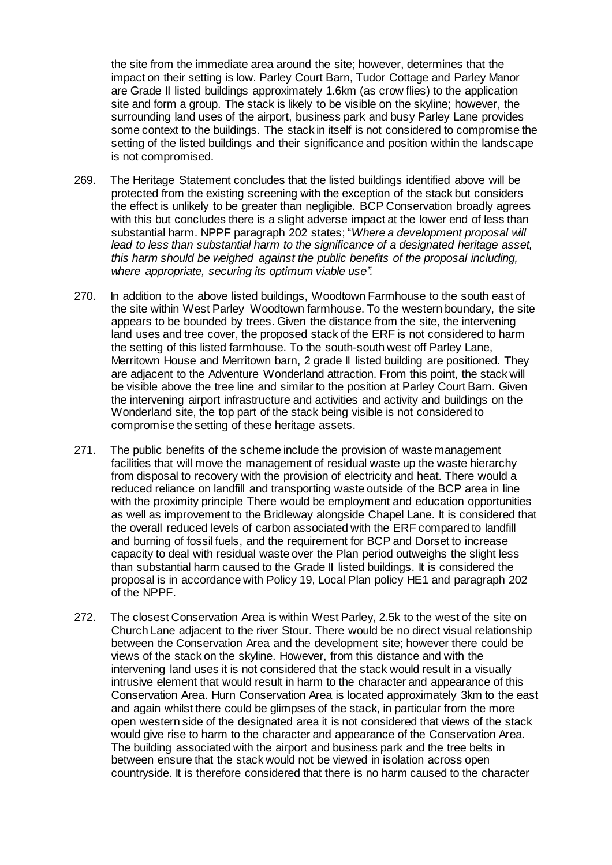the site from the immediate area around the site; however, determines that the impact on their setting is low. Parley Court Barn, Tudor Cottage and Parley Manor are Grade II listed buildings approximately 1.6km (as crow flies) to the application site and form a group. The stack is likely to be visible on the skyline; however, the surrounding land uses of the airport, business park and busy Parley Lane provides some context to the buildings. The stack in itself is not considered to compromise the setting of the listed buildings and their significance and position within the landscape is not compromised.

- 269. The Heritage Statement concludes that the listed buildings identified above will be protected from the existing screening with the exception of the stack but considers the effect is unlikely to be greater than negligible. BCP Conservation broadly agrees with this but concludes there is a slight adverse impact at the lower end of less than substantial harm. NPPF paragraph 202 states; "*Where a development proposal will lead to less than substantial harm to the significance of a designated heritage asset, this harm should be weighed against the public benefits of the proposal including, where appropriate, securing its optimum viable use".*
- 270. In addition to the above listed buildings, Woodtown Farmhouse to the south east of the site within West Parley Woodtown farmhouse. To the western boundary, the site appears to be bounded by trees. Given the distance from the site, the intervening land uses and tree cover, the proposed stack of the ERF is not considered to harm the setting of this listed farmhouse. To the south-south west off Parley Lane, Merritown House and Merritown barn, 2 grade II listed building are positioned. They are adjacent to the Adventure Wonderland attraction. From this point, the stack will be visible above the tree line and similar to the position at Parley Court Barn. Given the intervening airport infrastructure and activities and activity and buildings on the Wonderland site, the top part of the stack being visible is not considered to compromise the setting of these heritage assets.
- 271. The public benefits of the scheme include the provision of waste management facilities that will move the management of residual waste up the waste hierarchy from disposal to recovery with the provision of electricity and heat. There would a reduced reliance on landfill and transporting waste outside of the BCP area in line with the proximity principle There would be employment and education opportunities as well as improvement to the Bridleway alongside Chapel Lane. It is considered that the overall reduced levels of carbon associated with the ERF compared to landfill and burning of fossil fuels, and the requirement for BCP and Dorset to increase capacity to deal with residual waste over the Plan period outweighs the slight less than substantial harm caused to the Grade II listed buildings. It is considered the proposal is in accordance with Policy 19, Local Plan policy HE1 and paragraph 202 of the NPPF.
- 272. The closest Conservation Area is within West Parley, 2.5k to the west of the site on Church Lane adjacent to the river Stour. There would be no direct visual relationship between the Conservation Area and the development site; however there could be views of the stack on the skyline. However, from this distance and with the intervening land uses it is not considered that the stack would result in a visually intrusive element that would result in harm to the character and appearance of this Conservation Area. Hurn Conservation Area is located approximately 3km to the east and again whilst there could be glimpses of the stack, in particular from the more open western side of the designated area it is not considered that views of the stack would give rise to harm to the character and appearance of the Conservation Area. The building associated with the airport and business park and the tree belts in between ensure that the stack would not be viewed in isolation across open countryside. It is therefore considered that there is no harm caused to the character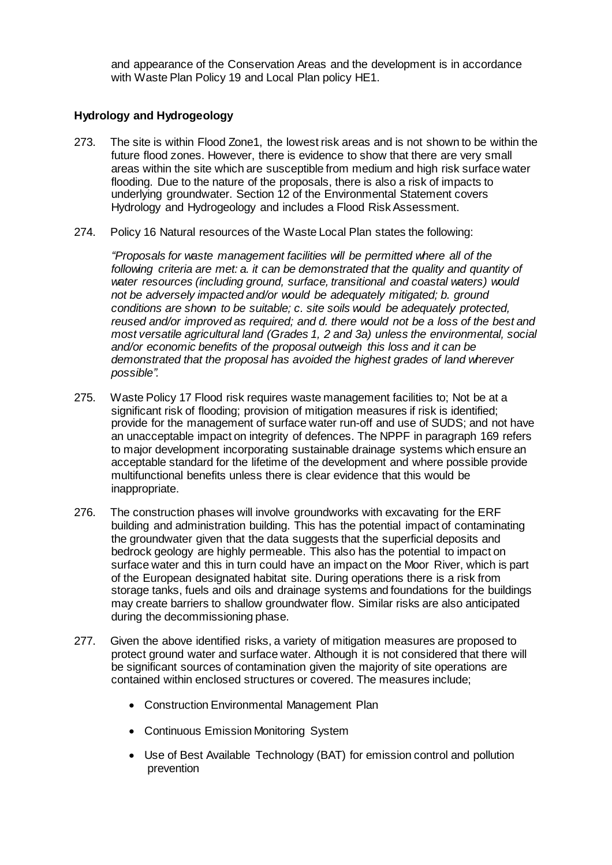and appearance of the Conservation Areas and the development is in accordance with Waste Plan Policy 19 and Local Plan policy HE1.

## **Hydrology and Hydrogeology**

- 273. The site is within Flood Zone1, the lowest risk areas and is not shown to be within the future flood zones. However, there is evidence to show that there are very small areas within the site which are susceptible from medium and high risk surface water flooding. Due to the nature of the proposals, there is also a risk of impacts to underlying groundwater. Section 12 of the Environmental Statement covers Hydrology and Hydrogeology and includes a Flood Risk Assessment.
- 274. Policy 16 Natural resources of the Waste Local Plan states the following:

*"Proposals for waste management facilities will be permitted where all of the* following criteria are met: a. it can be demonstrated that the quality and quantity of *water resources (including ground, surface, transitional and coastal waters) would not be adversely impacted and/or would be adequately mitigated; b. ground conditions are shown to be suitable; c. site soils would be adequately protected, reused and/or improved as required; and d. there would not be a loss of the best and most versatile agricultural land (Grades 1, 2 and 3a) unless the environmental, social and/or economic benefits of the proposal outweigh this loss and it can be demonstrated that the proposal has avoided the highest grades of land wherever possible".*

- 275. Waste Policy 17 Flood risk requires waste management facilities to; Not be at a significant risk of flooding; provision of mitigation measures if risk is identified; provide for the management of surface water run-off and use of SUDS; and not have an unacceptable impact on integrity of defences. The NPPF in paragraph 169 refers to major development incorporating sustainable drainage systems which ensure an acceptable standard for the lifetime of the development and where possible provide multifunctional benefits unless there is clear evidence that this would be inappropriate.
- 276. The construction phases will involve groundworks with excavating for the ERF building and administration building. This has the potential impact of contaminating the groundwater given that the data suggests that the superficial deposits and bedrock geology are highly permeable. This also has the potential to impact on surface water and this in turn could have an impact on the Moor River, which is part of the European designated habitat site. During operations there is a risk from storage tanks, fuels and oils and drainage systems and foundations for the buildings may create barriers to shallow groundwater flow. Similar risks are also anticipated during the decommissioning phase.
- 277. Given the above identified risks, a variety of mitigation measures are proposed to protect ground water and surface water. Although it is not considered that there will be significant sources of contamination given the majority of site operations are contained within enclosed structures or covered. The measures include;
	- Construction Environmental Management Plan
	- Continuous Emission Monitoring System
	- Use of Best Available Technology (BAT) for emission control and pollution prevention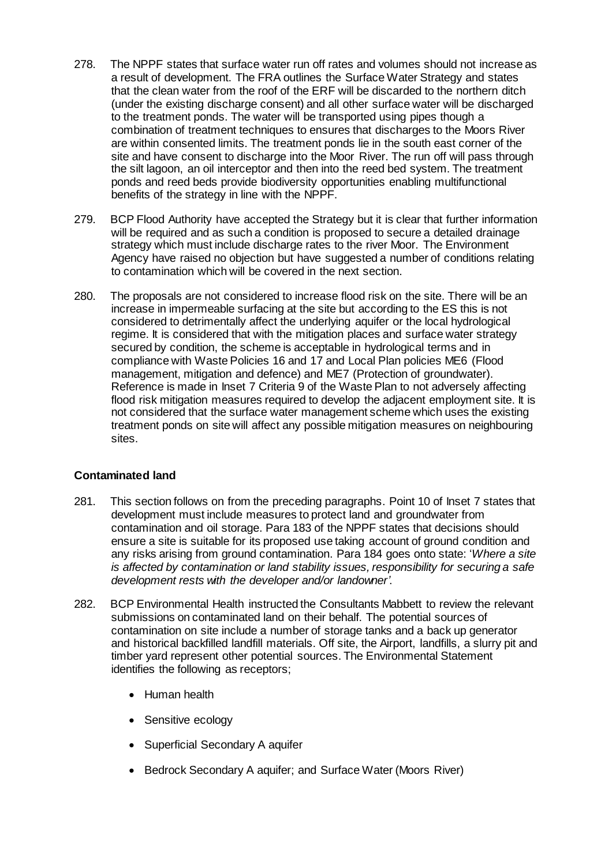- 278. The NPPF states that surface water run off rates and volumes should not increase as a result of development. The FRA outlines the Surface Water Strategy and states that the clean water from the roof of the ERF will be discarded to the northern ditch (under the existing discharge consent) and all other surface water will be discharged to the treatment ponds. The water will be transported using pipes though a combination of treatment techniques to ensures that discharges to the Moors River are within consented limits. The treatment ponds lie in the south east corner of the site and have consent to discharge into the Moor River. The run off will pass through the silt lagoon, an oil interceptor and then into the reed bed system. The treatment ponds and reed beds provide biodiversity opportunities enabling multifunctional benefits of the strategy in line with the NPPF.
- 279. BCP Flood Authority have accepted the Strategy but it is clear that further information will be required and as such a condition is proposed to secure a detailed drainage strategy which must include discharge rates to the river Moor. The Environment Agency have raised no objection but have suggested a number of conditions relating to contamination which will be covered in the next section.
- 280. The proposals are not considered to increase flood risk on the site. There will be an increase in impermeable surfacing at the site but according to the ES this is not considered to detrimentally affect the underlying aquifer or the local hydrological regime. It is considered that with the mitigation places and surface water strategy secured by condition, the scheme is acceptable in hydrological terms and in compliance with Waste Policies 16 and 17 and Local Plan policies ME6 (Flood management, mitigation and defence) and ME7 (Protection of groundwater). Reference is made in Inset 7 Criteria 9 of the Waste Plan to not adversely affecting flood risk mitigation measures required to develop the adjacent employment site. It is not considered that the surface water management scheme which uses the existing treatment ponds on site will affect any possible mitigation measures on neighbouring sites.

## **Contaminated land**

- 281. This section follows on from the preceding paragraphs. Point 10 of Inset 7 states that development must include measures to protect land and groundwater from contamination and oil storage. Para 183 of the NPPF states that decisions should ensure a site is suitable for its proposed use taking account of ground condition and any risks arising from ground contamination. Para 184 goes onto state: '*Where a site is affected by contamination or land stability issues, responsibility for securing a safe development rests with the developer and/or landowner'*.
- 282. BCP Environmental Health instructed the Consultants Mabbett to review the relevant submissions on contaminated land on their behalf. The potential sources of contamination on site include a number of storage tanks and a back up generator and historical backfilled landfill materials. Off site, the Airport, landfills, a slurry pit and timber yard represent other potential sources. The Environmental Statement identifies the following as receptors;
	- Human health
	- Sensitive ecology
	- Superficial Secondary A aquifer
	- Bedrock Secondary A aquifer; and Surface Water (Moors River)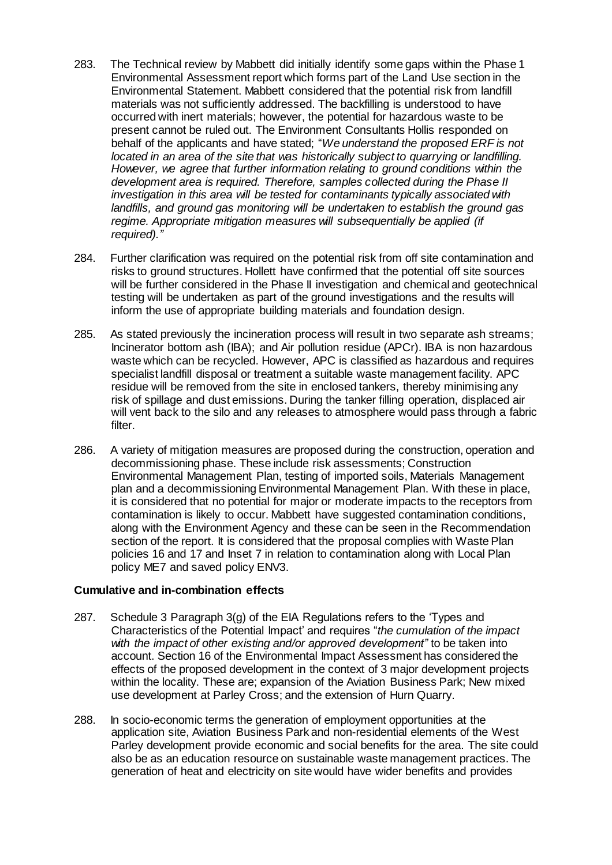- 283. The Technical review by Mabbett did initially identify some gaps within the Phase 1 Environmental Assessment report which forms part of the Land Use section in the Environmental Statement. Mabbett considered that the potential risk from landfill materials was not sufficiently addressed. The backfilling is understood to have occurred with inert materials; however, the potential for hazardous waste to be present cannot be ruled out. The Environment Consultants Hollis responded on behalf of the applicants and have stated; "*We understand the proposed ERF is not located in an area of the site that was historically subject to quarrying or landfilling. However, we agree that further information relating to ground conditions within the development area is required. Therefore, samples collected during the Phase II investigation in this area will be tested for contaminants typically associated with landfills, and ground gas monitoring will be undertaken to establish the ground gas regime. Appropriate mitigation measures will subsequentially be applied (if required)."*
- 284. Further clarification was required on the potential risk from off site contamination and risks to ground structures. Hollett have confirmed that the potential off site sources will be further considered in the Phase II investigation and chemical and geotechnical testing will be undertaken as part of the ground investigations and the results will inform the use of appropriate building materials and foundation design.
- 285. As stated previously the incineration process will result in two separate ash streams; Incinerator bottom ash (IBA); and Air pollution residue (APCr). IBA is non hazardous waste which can be recycled. However, APC is classified as hazardous and requires specialist landfill disposal or treatment a suitable waste management facility. APC residue will be removed from the site in enclosed tankers, thereby minimising any risk of spillage and dust emissions. During the tanker filling operation, displaced air will vent back to the silo and any releases to atmosphere would pass through a fabric filter.
- 286. A variety of mitigation measures are proposed during the construction, operation and decommissioning phase. These include risk assessments; Construction Environmental Management Plan, testing of imported soils, Materials Management plan and a decommissioning Environmental Management Plan. With these in place, it is considered that no potential for major or moderate impacts to the receptors from contamination is likely to occur. Mabbett have suggested contamination conditions, along with the Environment Agency and these can be seen in the Recommendation section of the report. It is considered that the proposal complies with Waste Plan policies 16 and 17 and Inset 7 in relation to contamination along with Local Plan policy ME7 and saved policy ENV3.

## **Cumulative and in-combination effects**

- 287. Schedule 3 Paragraph 3(g) of the EIA Regulations refers to the 'Types and Characteristics of the Potential Impact' and requires "*the cumulation of the impact with the impact of other existing and/or approved development"* to be taken into account. Section 16 of the Environmental Impact Assessment has considered the effects of the proposed development in the context of 3 major development projects within the locality. These are; expansion of the Aviation Business Park; New mixed use development at Parley Cross; and the extension of Hurn Quarry.
- 288. In socio-economic terms the generation of employment opportunities at the application site, Aviation Business Park and non-residential elements of the West Parley development provide economic and social benefits for the area. The site could also be as an education resource on sustainable waste management practices. The generation of heat and electricity on site would have wider benefits and provides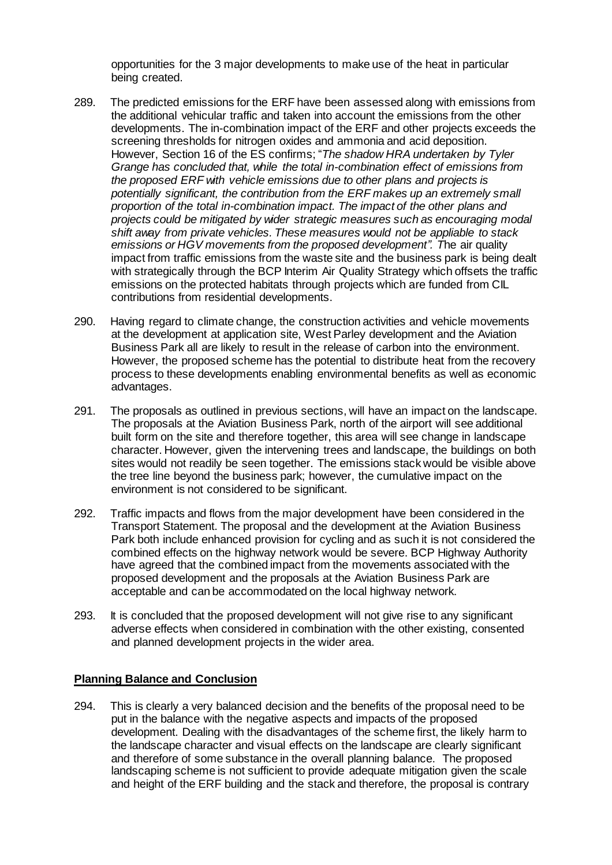opportunities for the 3 major developments to make use of the heat in particular being created.

- 289. The predicted emissions for the ERF have been assessed along with emissions from the additional vehicular traffic and taken into account the emissions from the other developments. The in-combination impact of the ERF and other projects exceeds the screening thresholds for nitrogen oxides and ammonia and acid deposition. However, Section 16 of the ES confirms; "*The shadow HRA undertaken by Tyler Grange has concluded that, while the total in-combination effect of emissions from the proposed ERF with vehicle emissions due to other plans and projects is potentially significant, the contribution from the ERF makes up an extremely small proportion of the total in-combination impact. The impact of the other plans and projects could be mitigated by wider strategic measures such as encouraging modal shift away from private vehicles. These measures would not be appliable to stack emissions or HGV movements from the proposed development". T*he air quality impact from traffic emissions from the waste site and the business park is being dealt with strategically through the BCP Interim Air Quality Strategy which offsets the traffic emissions on the protected habitats through projects which are funded from CIL contributions from residential developments.
- 290. Having regard to climate change, the construction activities and vehicle movements at the development at application site, West Parley development and the Aviation Business Park all are likely to result in the release of carbon into the environment. However, the proposed scheme has the potential to distribute heat from the recovery process to these developments enabling environmental benefits as well as economic advantages.
- 291. The proposals as outlined in previous sections, will have an impact on the landscape. The proposals at the Aviation Business Park, north of the airport will see additional built form on the site and therefore together, this area will see change in landscape character. However, given the intervening trees and landscape, the buildings on both sites would not readily be seen together. The emissions stack would be visible above the tree line beyond the business park; however, the cumulative impact on the environment is not considered to be significant.
- 292. Traffic impacts and flows from the major development have been considered in the Transport Statement. The proposal and the development at the Aviation Business Park both include enhanced provision for cycling and as such it is not considered the combined effects on the highway network would be severe. BCP Highway Authority have agreed that the combined impact from the movements associated with the proposed development and the proposals at the Aviation Business Park are acceptable and can be accommodated on the local highway network.
- 293. It is concluded that the proposed development will not give rise to any significant adverse effects when considered in combination with the other existing, consented and planned development projects in the wider area.

## **Planning Balance and Conclusion**

294. This is clearly a very balanced decision and the benefits of the proposal need to be put in the balance with the negative aspects and impacts of the proposed development. Dealing with the disadvantages of the scheme first, the likely harm to the landscape character and visual effects on the landscape are clearly significant and therefore of some substance in the overall planning balance. The proposed landscaping scheme is not sufficient to provide adequate mitigation given the scale and height of the ERF building and the stack and therefore, the proposal is contrary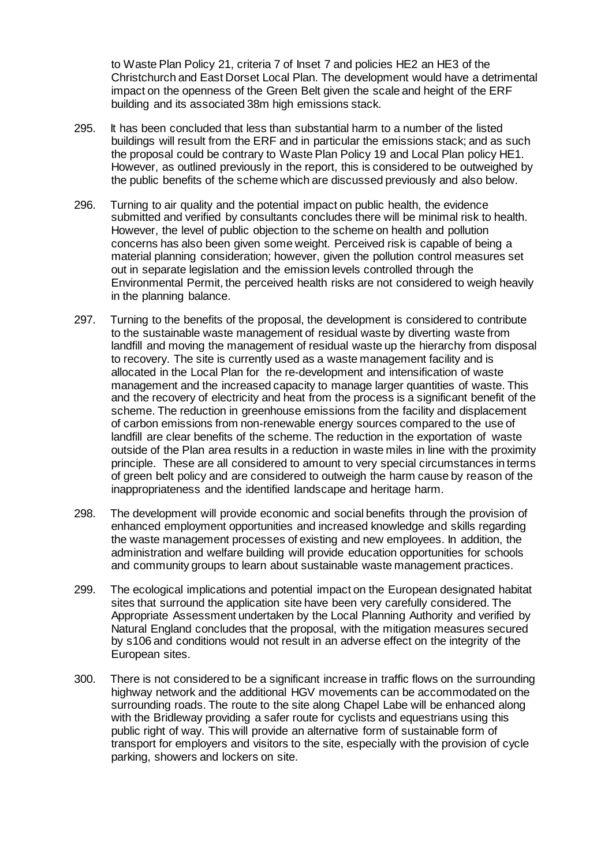to Waste Plan Policy 21, criteria 7 of Inset 7 and policies HE2 an HE3 of the Christchurch and East Dorset Local Plan. The development would have a detrimental impact on the openness of the Green Belt given the scale and height of the ERF building and its associated 38m high emissions stack.

- 295. It has been concluded that less than substantial harm to a number of the listed buildings will result from the ERF and in particular the emissions stack; and as such the proposal could be contrary to Waste Plan Policy 19 and Local Plan policy HE1. However, as outlined previously in the report, this is considered to be outweighed by the public benefits of the scheme which are discussed previously and also below.
- 296. Turning to air quality and the potential impact on public health, the evidence submitted and verified by consultants concludes there will be minimal risk to health. However, the level of public objection to the scheme on health and pollution concerns has also been given some weight. Perceived risk is capable of being a material planning consideration; however, given the pollution control measures set out in separate legislation and the emission levels controlled through the Environmental Permit, the perceived health risks are not considered to weigh heavily in the planning balance.
- 297. Turning to the benefits of the proposal, the development is considered to contribute to the sustainable waste management of residual waste by diverting waste from landfill and moving the management of residual waste up the hierarchy from disposal to recovery. The site is currently used as a waste management facility and is allocated in the Local Plan for the re-development and intensification of waste management and the increased capacity to manage larger quantities of waste. This and the recovery of electricity and heat from the process is a significant benefit of the scheme. The reduction in greenhouse emissions from the facility and displacement of carbon emissions from non-renewable energy sources compared to the use of landfill are clear benefits of the scheme. The reduction in the exportation of waste outside of the Plan area results in a reduction in waste miles in line with the proximity principle. These are all considered to amount to very special circumstances in terms of green belt policy and are considered to outweigh the harm cause by reason of the inappropriateness and the identified landscape and heritage harm.
- 298. The development will provide economic and social benefits through the provision of enhanced employment opportunities and increased knowledge and skills regarding the waste management processes of existing and new employees. In addition, the administration and welfare building will provide education opportunities for schools and community groups to learn about sustainable waste management practices.
- 299. The ecological implications and potential impact on the European designated habitat sites that surround the application site have been very carefully considered. The Appropriate Assessment undertaken by the Local Planning Authority and verified by Natural England concludes that the proposal, with the mitigation measures secured by s106 and conditions would not result in an adverse effect on the integrity of the European sites.
- 300. There is not considered to be a significant increase in traffic flows on the surrounding highway network and the additional HGV movements can be accommodated on the surrounding roads. The route to the site along Chapel Labe will be enhanced along with the Bridleway providing a safer route for cyclists and equestrians using this public right of way. This will provide an alternative form of sustainable form of transport for employers and visitors to the site, especially with the provision of cycle parking, showers and lockers on site.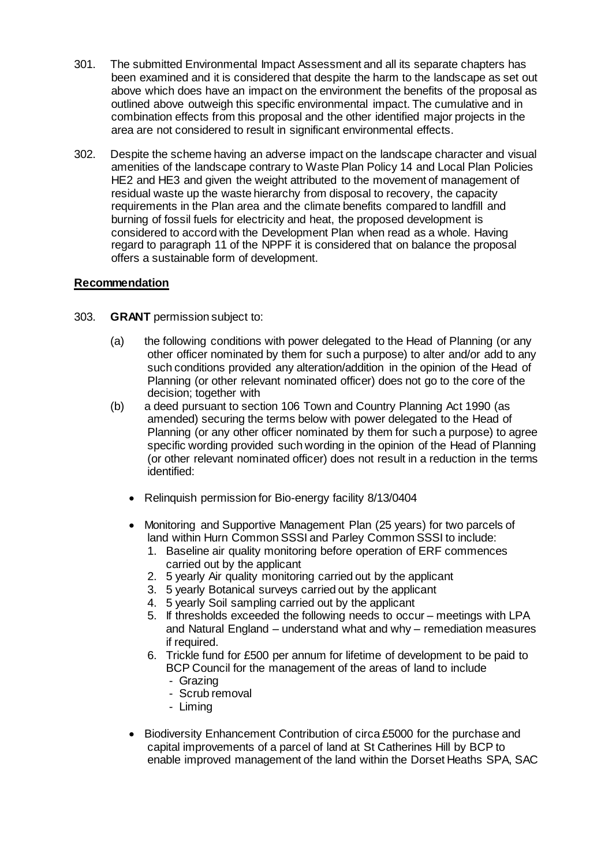- 301. The submitted Environmental Impact Assessment and all its separate chapters has been examined and it is considered that despite the harm to the landscape as set out above which does have an impact on the environment the benefits of the proposal as outlined above outweigh this specific environmental impact. The cumulative and in combination effects from this proposal and the other identified major projects in the area are not considered to result in significant environmental effects.
- 302. Despite the scheme having an adverse impact on the landscape character and visual amenities of the landscape contrary to Waste Plan Policy 14 and Local Plan Policies HE2 and HE3 and given the weight attributed to the movement of management of residual waste up the waste hierarchy from disposal to recovery, the capacity requirements in the Plan area and the climate benefits compared to landfill and burning of fossil fuels for electricity and heat, the proposed development is considered to accord with the Development Plan when read as a whole. Having regard to paragraph 11 of the NPPF it is considered that on balance the proposal offers a sustainable form of development.

## **Recommendation**

- 303. **GRANT** permission subject to:
	- (a) the following conditions with power delegated to the Head of Planning (or any other officer nominated by them for such a purpose) to alter and/or add to any such conditions provided any alteration/addition in the opinion of the Head of Planning (or other relevant nominated officer) does not go to the core of the decision; together with
	- (b) a deed pursuant to section 106 Town and Country Planning Act 1990 (as amended) securing the terms below with power delegated to the Head of Planning (or any other officer nominated by them for such a purpose) to agree specific wording provided such wording in the opinion of the Head of Planning (or other relevant nominated officer) does not result in a reduction in the terms identified:
		- Relinquish permission for Bio-energy facility 8/13/0404
		- Monitoring and Supportive Management Plan (25 years) for two parcels of land within Hurn Common SSSI and Parley Common SSSI to include:
			- 1. Baseline air quality monitoring before operation of ERF commences carried out by the applicant
			- 2. 5 yearly Air quality monitoring carried out by the applicant
			- 3. 5 yearly Botanical surveys carried out by the applicant
			- 4. 5 yearly Soil sampling carried out by the applicant
			- 5. If thresholds exceeded the following needs to occur meetings with LPA and Natural England – understand what and why – remediation measures if required.
			- 6. Trickle fund for £500 per annum for lifetime of development to be paid to BCP Council for the management of the areas of land to include
				- Grazing
				- Scrub removal
				- Liming
		- Biodiversity Enhancement Contribution of circa £5000 for the purchase and capital improvements of a parcel of land at St Catherines Hill by BCP to enable improved management of the land within the Dorset Heaths SPA, SAC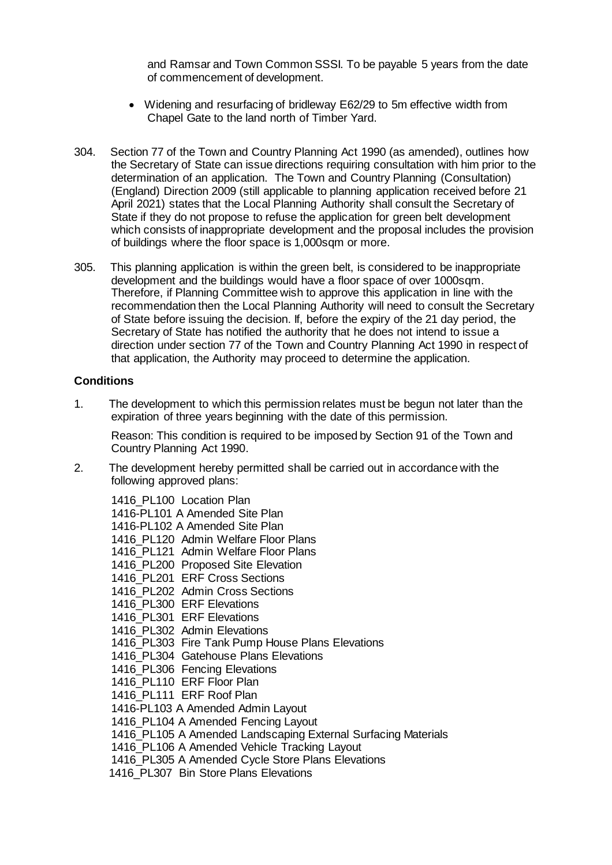and Ramsar and Town Common SSSI. To be payable 5 years from the date of commencement of development.

- Widening and resurfacing of bridleway E62/29 to 5m effective width from Chapel Gate to the land north of Timber Yard.
- 304. Section 77 of the Town and Country Planning Act 1990 (as amended), outlines how the Secretary of State can issue directions requiring consultation with him prior to the determination of an application. The Town and Country Planning (Consultation) (England) Direction 2009 (still applicable to planning application received before 21 April 2021) states that the Local Planning Authority shall consult the Secretary of State if they do not propose to refuse the application for green belt development which consists of inappropriate development and the proposal includes the provision of buildings where the floor space is 1,000sqm or more.
- 305. This planning application is within the green belt, is considered to be inappropriate development and the buildings would have a floor space of over 1000sqm. Therefore, if Planning Committee wish to approve this application in line with the recommendation then the Local Planning Authority will need to consult the Secretary of State before issuing the decision. If, before the expiry of the 21 day period, the Secretary of State has notified the authority that he does not intend to issue a direction under section 77 of the Town and Country Planning Act 1990 in respect of that application, the Authority may proceed to determine the application.

### **Conditions**

1. The development to which this permission relates must be begun not later than the expiration of three years beginning with the date of this permission.

Reason: This condition is required to be imposed by Section 91 of the Town and Country Planning Act 1990.

2. The development hereby permitted shall be carried out in accordance with the following approved plans:

1416\_PL100 Location Plan 1416-PL101 A Amended Site Plan 1416-PL102 A Amended Site Plan 1416 PL120 Admin Welfare Floor Plans 1416\_PL121 Admin Welfare Floor Plans 1416\_PL200 Proposed Site Elevation 1416\_PL201 ERF Cross Sections 1416 PL202 Admin Cross Sections 1416 PL300 ERF Elevations 1416\_PL301 ERF Elevations 1416\_PL302 Admin Elevations 1416\_PL303 Fire Tank Pump House Plans Elevations 1416 PL304 Gatehouse Plans Elevations 1416 PL306 Fencing Elevations 1416 PL110 ERF Floor Plan 1416\_PL111 ERF Roof Plan 1416-PL103 A Amended Admin Layout 1416 PL104 A Amended Fencing Layout 1416 PL105 A Amended Landscaping External Surfacing Materials 1416\_PL106 A Amended Vehicle Tracking Layout 1416 PL305 A Amended Cycle Store Plans Elevations 1416 PL307 Bin Store Plans Elevations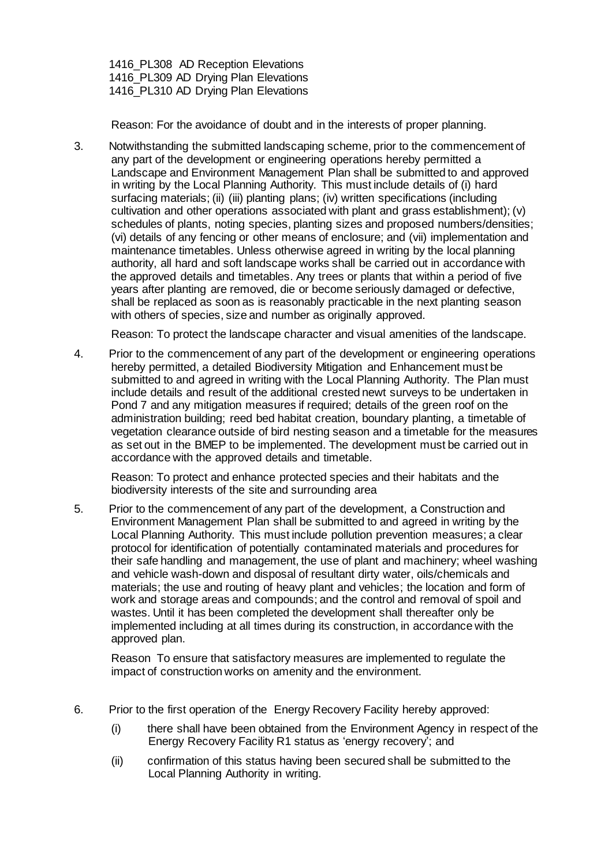1416 PL308 AD Reception Elevations 1416 PL309 AD Drving Plan Elevations 1416 PL310 AD Drying Plan Elevations

Reason: For the avoidance of doubt and in the interests of proper planning.

3. Notwithstanding the submitted landscaping scheme, prior to the commencement of any part of the development or engineering operations hereby permitted a Landscape and Environment Management Plan shall be submitted to and approved in writing by the Local Planning Authority. This must include details of (i) hard surfacing materials; (ii) (iii) planting plans; (iv) written specifications (including cultivation and other operations associated with plant and grass establishment); (v) schedules of plants, noting species, planting sizes and proposed numbers/densities; (vi) details of any fencing or other means of enclosure; and (vii) implementation and maintenance timetables. Unless otherwise agreed in writing by the local planning authority, all hard and soft landscape works shall be carried out in accordance with the approved details and timetables. Any trees or plants that within a period of five years after planting are removed, die or become seriously damaged or defective, shall be replaced as soon as is reasonably practicable in the next planting season with others of species, size and number as originally approved.

Reason: To protect the landscape character and visual amenities of the landscape.

4. Prior to the commencement of any part of the development or engineering operations hereby permitted, a detailed Biodiversity Mitigation and Enhancement must be submitted to and agreed in writing with the Local Planning Authority. The Plan must include details and result of the additional crested newt surveys to be undertaken in Pond 7 and any mitigation measures if required; details of the green roof on the administration building; reed bed habitat creation, boundary planting, a timetable of vegetation clearance outside of bird nesting season and a timetable for the measures as set out in the BMEP to be implemented. The development must be carried out in accordance with the approved details and timetable.

Reason: To protect and enhance protected species and their habitats and the biodiversity interests of the site and surrounding area

5. Prior to the commencement of any part of the development, a Construction and Environment Management Plan shall be submitted to and agreed in writing by the Local Planning Authority. This must include pollution prevention measures; a clear protocol for identification of potentially contaminated materials and procedures for their safe handling and management, the use of plant and machinery; wheel washing and vehicle wash-down and disposal of resultant dirty water, oils/chemicals and materials; the use and routing of heavy plant and vehicles; the location and form of work and storage areas and compounds; and the control and removal of spoil and wastes. Until it has been completed the development shall thereafter only be implemented including at all times during its construction, in accordance with the approved plan.

Reason To ensure that satisfactory measures are implemented to regulate the impact of construction works on amenity and the environment.

- 6. Prior to the first operation of the Energy Recovery Facility hereby approved:
	- (i) there shall have been obtained from the Environment Agency in respect of the Energy Recovery Facility R1 status as 'energy recovery'; and
	- (ii) confirmation of this status having been secured shall be submitted to the Local Planning Authority in writing.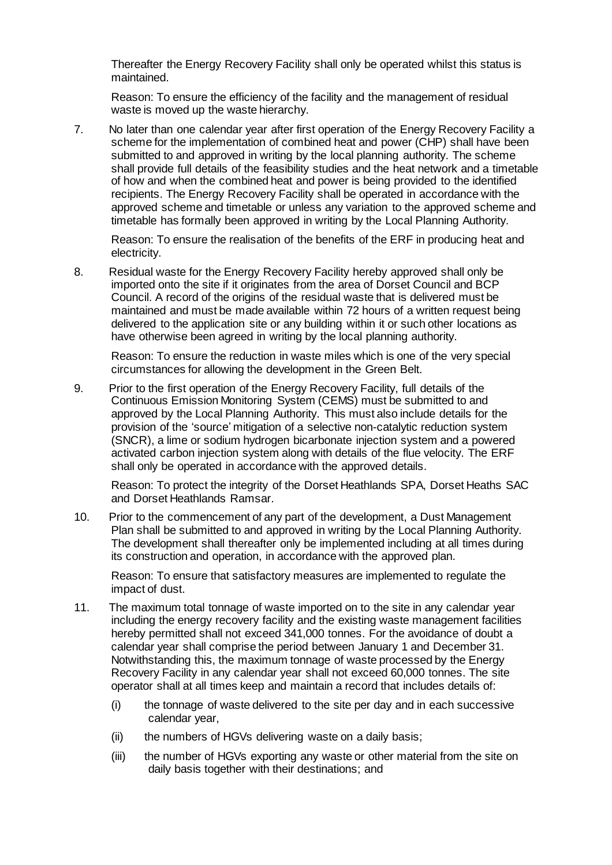Thereafter the Energy Recovery Facility shall only be operated whilst this status is maintained.

Reason: To ensure the efficiency of the facility and the management of residual waste is moved up the waste hierarchy.

7. No later than one calendar year after first operation of the Energy Recovery Facility a scheme for the implementation of combined heat and power (CHP) shall have been submitted to and approved in writing by the local planning authority. The scheme shall provide full details of the feasibility studies and the heat network and a timetable of how and when the combined heat and power is being provided to the identified recipients. The Energy Recovery Facility shall be operated in accordance with the approved scheme and timetable or unless any variation to the approved scheme and timetable has formally been approved in writing by the Local Planning Authority.

Reason: To ensure the realisation of the benefits of the ERF in producing heat and electricity.

8. Residual waste for the Energy Recovery Facility hereby approved shall only be imported onto the site if it originates from the area of Dorset Council and BCP Council. A record of the origins of the residual waste that is delivered must be maintained and must be made available within 72 hours of a written request being delivered to the application site or any building within it or such other locations as have otherwise been agreed in writing by the local planning authority.

Reason: To ensure the reduction in waste miles which is one of the very special circumstances for allowing the development in the Green Belt.

9. Prior to the first operation of the Energy Recovery Facility, full details of the Continuous Emission Monitoring System (CEMS) must be submitted to and approved by the Local Planning Authority. This must also include details for the provision of the 'source' mitigation of a selective non-catalytic reduction system (SNCR), a lime or sodium hydrogen bicarbonate injection system and a powered activated carbon injection system along with details of the flue velocity. The ERF shall only be operated in accordance with the approved details.

Reason: To protect the integrity of the Dorset Heathlands SPA, Dorset Heaths SAC and Dorset Heathlands Ramsar.

10. Prior to the commencement of any part of the development, a Dust Management Plan shall be submitted to and approved in writing by the Local Planning Authority. The development shall thereafter only be implemented including at all times during its construction and operation, in accordance with the approved plan.

Reason: To ensure that satisfactory measures are implemented to regulate the impact of dust.

- 11. The maximum total tonnage of waste imported on to the site in any calendar year including the energy recovery facility and the existing waste management facilities hereby permitted shall not exceed 341,000 tonnes. For the avoidance of doubt a calendar year shall comprise the period between January 1 and December 31. Notwithstanding this, the maximum tonnage of waste processed by the Energy Recovery Facility in any calendar year shall not exceed 60,000 tonnes. The site operator shall at all times keep and maintain a record that includes details of:
	- (i) the tonnage of waste delivered to the site per day and in each successive calendar year,
	- (ii) the numbers of HGVs delivering waste on a daily basis;
	- (iii) the number of HGVs exporting any waste or other material from the site on daily basis together with their destinations; and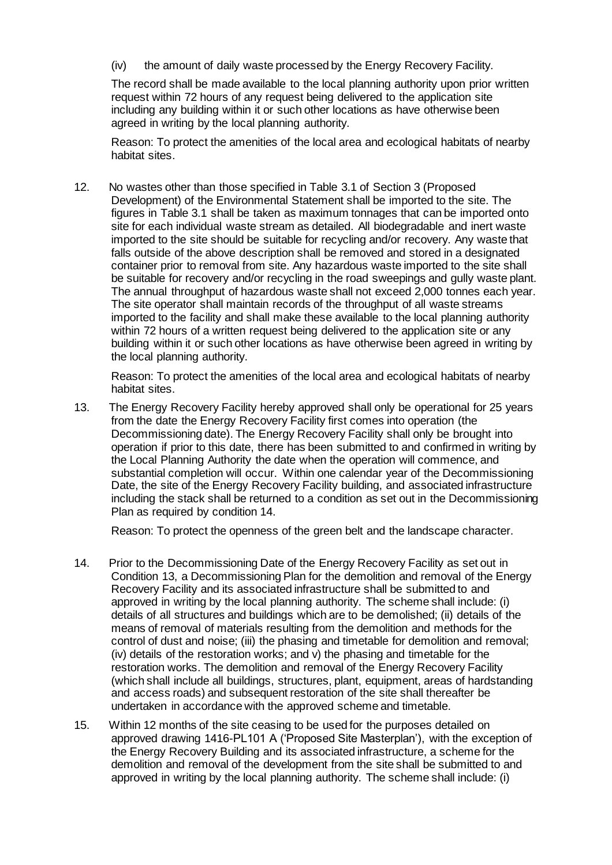(iv) the amount of daily waste processed by the Energy Recovery Facility.

The record shall be made available to the local planning authority upon prior written request within 72 hours of any request being delivered to the application site including any building within it or such other locations as have otherwise been agreed in writing by the local planning authority.

Reason: To protect the amenities of the local area and ecological habitats of nearby habitat sites.

12. No wastes other than those specified in Table 3.1 of Section 3 (Proposed Development) of the Environmental Statement shall be imported to the site. The figures in Table 3.1 shall be taken as maximum tonnages that can be imported onto site for each individual waste stream as detailed. All biodegradable and inert waste imported to the site should be suitable for recycling and/or recovery. Any waste that falls outside of the above description shall be removed and stored in a designated container prior to removal from site. Any hazardous waste imported to the site shall be suitable for recovery and/or recycling in the road sweepings and gully waste plant. The annual throughput of hazardous waste shall not exceed 2,000 tonnes each year. The site operator shall maintain records of the throughput of all waste streams imported to the facility and shall make these available to the local planning authority within 72 hours of a written request being delivered to the application site or any building within it or such other locations as have otherwise been agreed in writing by the local planning authority.

Reason: To protect the amenities of the local area and ecological habitats of nearby habitat sites.

13. The Energy Recovery Facility hereby approved shall only be operational for 25 years from the date the Energy Recovery Facility first comes into operation (the Decommissioning date). The Energy Recovery Facility shall only be brought into operation if prior to this date, there has been submitted to and confirmed in writing by the Local Planning Authority the date when the operation will commence, and substantial completion will occur. Within one calendar year of the Decommissioning Date, the site of the Energy Recovery Facility building, and associated infrastructure including the stack shall be returned to a condition as set out in the Decommissioning Plan as required by condition 14.

Reason: To protect the openness of the green belt and the landscape character.

- 14. Prior to the Decommissioning Date of the Energy Recovery Facility as set out in Condition 13, a Decommissioning Plan for the demolition and removal of the Energy Recovery Facility and its associated infrastructure shall be submitted to and approved in writing by the local planning authority. The scheme shall include: (i) details of all structures and buildings which are to be demolished; (ii) details of the means of removal of materials resulting from the demolition and methods for the control of dust and noise; (iii) the phasing and timetable for demolition and removal; (iv) details of the restoration works; and v) the phasing and timetable for the restoration works. The demolition and removal of the Energy Recovery Facility (which shall include all buildings, structures, plant, equipment, areas of hardstanding and access roads) and subsequent restoration of the site shall thereafter be undertaken in accordance with the approved scheme and timetable.
- 15. Within 12 months of the site ceasing to be used for the purposes detailed on approved drawing 1416-PL101 A ('Proposed Site Masterplan'), with the exception of the Energy Recovery Building and its associated infrastructure, a scheme for the demolition and removal of the development from the site shall be submitted to and approved in writing by the local planning authority. The scheme shall include: (i)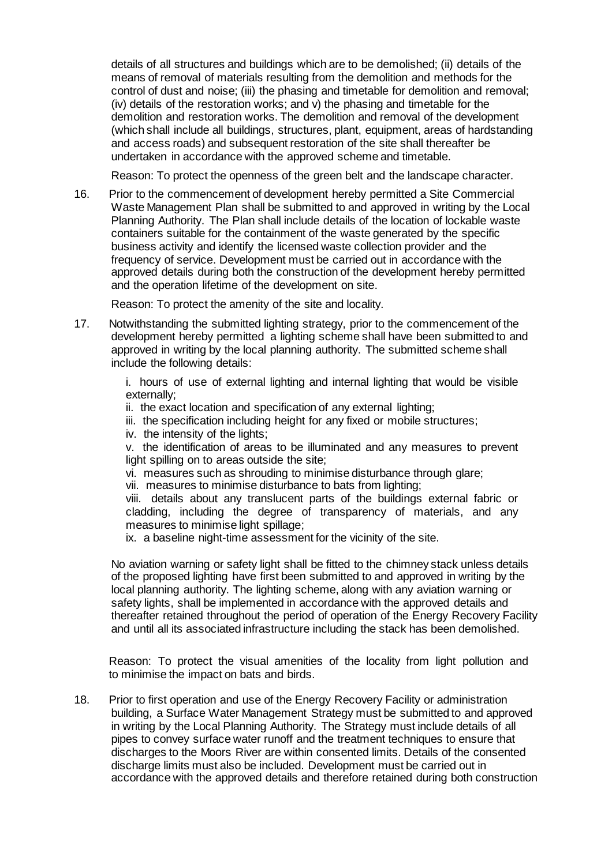details of all structures and buildings which are to be demolished; (ii) details of the means of removal of materials resulting from the demolition and methods for the control of dust and noise; (iii) the phasing and timetable for demolition and removal; (iv) details of the restoration works; and v) the phasing and timetable for the demolition and restoration works. The demolition and removal of the development (which shall include all buildings, structures, plant, equipment, areas of hardstanding and access roads) and subsequent restoration of the site shall thereafter be undertaken in accordance with the approved scheme and timetable.

Reason: To protect the openness of the green belt and the landscape character.

16. Prior to the commencement of development hereby permitted a Site Commercial Waste Management Plan shall be submitted to and approved in writing by the Local Planning Authority. The Plan shall include details of the location of lockable waste containers suitable for the containment of the waste generated by the specific business activity and identify the licensed waste collection provider and the frequency of service. Development must be carried out in accordance with the approved details during both the construction of the development hereby permitted and the operation lifetime of the development on site.

Reason: To protect the amenity of the site and locality.

17. Notwithstanding the submitted lighting strategy, prior to the commencement of the development hereby permitted a lighting scheme shall have been submitted to and approved in writing by the local planning authority. The submitted scheme shall include the following details:

> i. hours of use of external lighting and internal lighting that would be visible externally;

- ii. the exact location and specification of any external lighting;
- iii. the specification including height for any fixed or mobile structures;
- iv. the intensity of the lights;

v. the identification of areas to be illuminated and any measures to prevent light spilling on to areas outside the site;

vi. measures such as shrouding to minimise disturbance through glare;

vii. measures to minimise disturbance to bats from lighting;

viii. details about any translucent parts of the buildings external fabric or cladding, including the degree of transparency of materials, and any measures to minimise light spillage;

ix. a baseline night-time assessment for the vicinity of the site.

No aviation warning or safety light shall be fitted to the chimney stack unless details of the proposed lighting have first been submitted to and approved in writing by the local planning authority. The lighting scheme, along with any aviation warning or safety lights, shall be implemented in accordance with the approved details and thereafter retained throughout the period of operation of the Energy Recovery Facility and until all its associated infrastructure including the stack has been demolished.

Reason: To protect the visual amenities of the locality from light pollution and to minimise the impact on bats and birds.

18. Prior to first operation and use of the Energy Recovery Facility or administration building, a Surface Water Management Strategy must be submitted to and approved in writing by the Local Planning Authority. The Strategy must include details of all pipes to convey surface water runoff and the treatment techniques to ensure that discharges to the Moors River are within consented limits. Details of the consented discharge limits must also be included. Development must be carried out in accordance with the approved details and therefore retained during both construction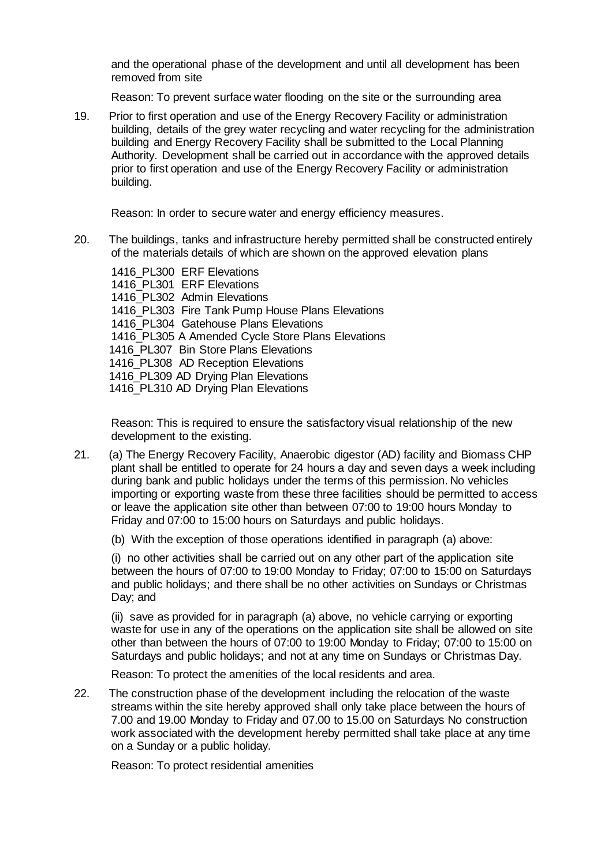and the operational phase of the development and until all development has been removed from site

Reason: To prevent surface water flooding on the site or the surrounding area

19. Prior to first operation and use of the Energy Recovery Facility or administration building, details of the grey water recycling and water recycling for the administration building and Energy Recovery Facility shall be submitted to the Local Planning Authority. Development shall be carried out in accordance with the approved details prior to first operation and use of the Energy Recovery Facility or administration building.

Reason: In order to secure water and energy efficiency measures.

20. The buildings, tanks and infrastructure hereby permitted shall be constructed entirely of the materials details of which are shown on the approved elevation plans

1416 PL300 ERF Elevations 1416\_PL301 ERF Elevations 1416 PL302 Admin Elevations 1416\_PL303 Fire Tank Pump House Plans Elevations 1416 PL304 Gatehouse Plans Elevations 1416 PL305 A Amended Cycle Store Plans Elevations 1416 PL307 Bin Store Plans Elevations 1416 PL308 AD Reception Elevations 1416\_PL309 AD Drying Plan Elevations 1416 PL310 AD Drying Plan Elevations

Reason: This is required to ensure the satisfactory visual relationship of the new development to the existing.

- 21. (a) The Energy Recovery Facility, Anaerobic digestor (AD) facility and Biomass CHP plant shall be entitled to operate for 24 hours a day and seven days a week including during bank and public holidays under the terms of this permission. No vehicles importing or exporting waste from these three facilities should be permitted to access or leave the application site other than between 07:00 to 19:00 hours Monday to Friday and 07:00 to 15:00 hours on Saturdays and public holidays.
	- (b) With the exception of those operations identified in paragraph (a) above:

(i) no other activities shall be carried out on any other part of the application site between the hours of 07:00 to 19:00 Monday to Friday; 07:00 to 15:00 on Saturdays and public holidays; and there shall be no other activities on Sundays or Christmas Day; and

(ii) save as provided for in paragraph (a) above, no vehicle carrying or exporting waste for use in any of the operations on the application site shall be allowed on site other than between the hours of 07:00 to 19:00 Monday to Friday; 07:00 to 15:00 on Saturdays and public holidays; and not at any time on Sundays or Christmas Day.

Reason: To protect the amenities of the local residents and area.

22. The construction phase of the development including the relocation of the waste streams within the site hereby approved shall only take place between the hours of 7.00 and 19.00 Monday to Friday and 07.00 to 15.00 on Saturdays No construction work associated with the development hereby permitted shall take place at any time on a Sunday or a public holiday.

Reason: To protect residential amenities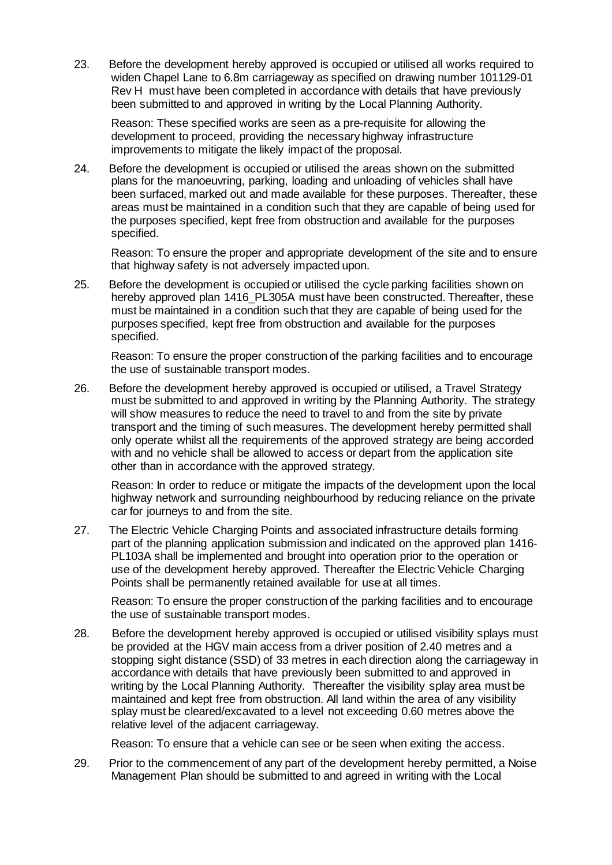23. Before the development hereby approved is occupied or utilised all works required to widen Chapel Lane to 6.8m carriageway as specified on drawing number 101129-01 Rev H must have been completed in accordance with details that have previously been submitted to and approved in writing by the Local Planning Authority.

Reason: These specified works are seen as a pre-requisite for allowing the development to proceed, providing the necessary highway infrastructure improvements to mitigate the likely impact of the proposal.

24. Before the development is occupied or utilised the areas shown on the submitted plans for the manoeuvring, parking, loading and unloading of vehicles shall have been surfaced, marked out and made available for these purposes. Thereafter, these areas must be maintained in a condition such that they are capable of being used for the purposes specified, kept free from obstruction and available for the purposes specified.

Reason: To ensure the proper and appropriate development of the site and to ensure that highway safety is not adversely impacted upon.

25. Before the development is occupied or utilised the cycle parking facilities shown on hereby approved plan 1416\_PL305A must have been constructed. Thereafter, these must be maintained in a condition such that they are capable of being used for the purposes specified, kept free from obstruction and available for the purposes specified.

Reason: To ensure the proper construction of the parking facilities and to encourage the use of sustainable transport modes.

26. Before the development hereby approved is occupied or utilised, a Travel Strategy must be submitted to and approved in writing by the Planning Authority. The strategy will show measures to reduce the need to travel to and from the site by private transport and the timing of such measures. The development hereby permitted shall only operate whilst all the requirements of the approved strategy are being accorded with and no vehicle shall be allowed to access or depart from the application site other than in accordance with the approved strategy.

Reason: In order to reduce or mitigate the impacts of the development upon the local highway network and surrounding neighbourhood by reducing reliance on the private car for journeys to and from the site.

27. The Electric Vehicle Charging Points and associated infrastructure details forming part of the planning application submission and indicated on the approved plan 1416- PL103A shall be implemented and brought into operation prior to the operation or use of the development hereby approved. Thereafter the Electric Vehicle Charging Points shall be permanently retained available for use at all times.

Reason: To ensure the proper construction of the parking facilities and to encourage the use of sustainable transport modes.

28. Before the development hereby approved is occupied or utilised visibility splays must be provided at the HGV main access from a driver position of 2.40 metres and a stopping sight distance (SSD) of 33 metres in each direction along the carriageway in accordance with details that have previously been submitted to and approved in writing by the Local Planning Authority. Thereafter the visibility splay area must be maintained and kept free from obstruction. All land within the area of any visibility splay must be cleared/excavated to a level not exceeding 0.60 metres above the relative level of the adjacent carriageway.

Reason: To ensure that a vehicle can see or be seen when exiting the access.

29. Prior to the commencement of any part of the development hereby permitted, a Noise Management Plan should be submitted to and agreed in writing with the Local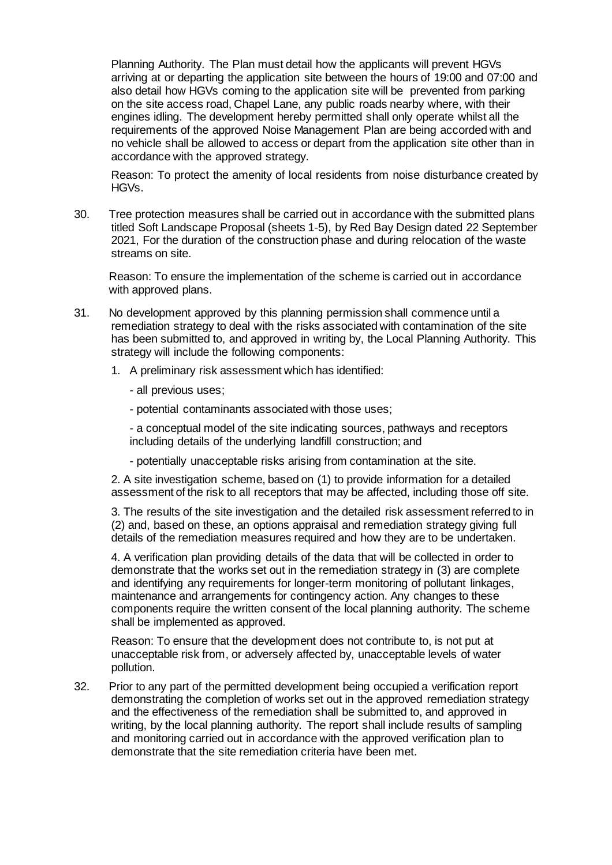Planning Authority. The Plan must detail how the applicants will prevent HGVs arriving at or departing the application site between the hours of 19:00 and 07:00 and also detail how HGVs coming to the application site will be prevented from parking on the site access road, Chapel Lane, any public roads nearby where, with their engines idling. The development hereby permitted shall only operate whilst all the requirements of the approved Noise Management Plan are being accorded with and no vehicle shall be allowed to access or depart from the application site other than in accordance with the approved strategy.

Reason: To protect the amenity of local residents from noise disturbance created by HGVs.

30. Tree protection measures shall be carried out in accordance with the submitted plans titled Soft Landscape Proposal (sheets 1-5), by Red Bay Design dated 22 September 2021, For the duration of the construction phase and during relocation of the waste streams on site.

Reason: To ensure the implementation of the scheme is carried out in accordance with approved plans.

- 31. No development approved by this planning permission shall commence until a remediation strategy to deal with the risks associated with contamination of the site has been submitted to, and approved in writing by, the Local Planning Authority. This strategy will include the following components:
	- 1. A preliminary risk assessment which has identified:
		- all previous uses;
		- potential contaminants associated with those uses;

- a conceptual model of the site indicating sources, pathways and receptors including details of the underlying landfill construction; and

- potentially unacceptable risks arising from contamination at the site.

2. A site investigation scheme, based on (1) to provide information for a detailed assessment of the risk to all receptors that may be affected, including those off site.

3. The results of the site investigation and the detailed risk assessment referred to in (2) and, based on these, an options appraisal and remediation strategy giving full details of the remediation measures required and how they are to be undertaken.

4. A verification plan providing details of the data that will be collected in order to demonstrate that the works set out in the remediation strategy in (3) are complete and identifying any requirements for longer-term monitoring of pollutant linkages, maintenance and arrangements for contingency action. Any changes to these components require the written consent of the local planning authority. The scheme shall be implemented as approved.

Reason: To ensure that the development does not contribute to, is not put at unacceptable risk from, or adversely affected by, unacceptable levels of water pollution.

32. Prior to any part of the permitted development being occupied a verification report demonstrating the completion of works set out in the approved remediation strategy and the effectiveness of the remediation shall be submitted to, and approved in writing, by the local planning authority. The report shall include results of sampling and monitoring carried out in accordance with the approved verification plan to demonstrate that the site remediation criteria have been met.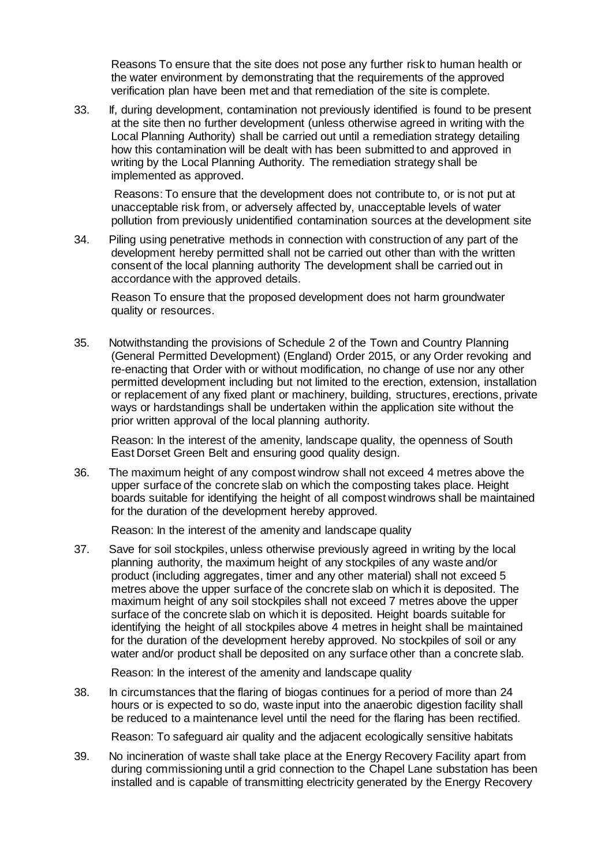Reasons To ensure that the site does not pose any further risk to human health or the water environment by demonstrating that the requirements of the approved verification plan have been met and that remediation of the site is complete.

33. If, during development, contamination not previously identified is found to be present at the site then no further development (unless otherwise agreed in writing with the Local Planning Authority) shall be carried out until a remediation strategy detailing how this contamination will be dealt with has been submitted to and approved in writing by the Local Planning Authority. The remediation strategy shall be implemented as approved.

Reasons: To ensure that the development does not contribute to, or is not put at unacceptable risk from, or adversely affected by, unacceptable levels of water pollution from previously unidentified contamination sources at the development site

34. Piling using penetrative methods in connection with construction of any part of the development hereby permitted shall not be carried out other than with the written consent of the local planning authority The development shall be carried out in accordance with the approved details.

Reason To ensure that the proposed development does not harm groundwater quality or resources.

35. Notwithstanding the provisions of Schedule 2 of the Town and Country Planning (General Permitted Development) (England) Order 2015, or any Order revoking and re-enacting that Order with or without modification, no change of use nor any other permitted development including but not limited to the erection, extension, installation or replacement of any fixed plant or machinery, building, structures, erections, private ways or hardstandings shall be undertaken within the application site without the prior written approval of the local planning authority.

Reason: In the interest of the amenity, landscape quality, the openness of South East Dorset Green Belt and ensuring good quality design.

36. The maximum height of any compost windrow shall not exceed 4 metres above the upper surface of the concrete slab on which the composting takes place. Height boards suitable for identifying the height of all compost windrows shall be maintained for the duration of the development hereby approved.

Reason: In the interest of the amenity and landscape quality

37. Save for soil stockpiles, unless otherwise previously agreed in writing by the local planning authority, the maximum height of any stockpiles of any waste and/or product (including aggregates, timer and any other material) shall not exceed 5 metres above the upper surface of the concrete slab on which it is deposited. The maximum height of any soil stockpiles shall not exceed 7 metres above the upper surface of the concrete slab on which it is deposited. Height boards suitable for identifying the height of all stockpiles above 4 metres in height shall be maintained for the duration of the development hereby approved. No stockpiles of soil or any water and/or product shall be deposited on any surface other than a concrete slab.

Reason: In the interest of the amenity and landscape quality

38. In circumstances that the flaring of biogas continues for a period of more than 24 hours or is expected to so do, waste input into the anaerobic digestion facility shall be reduced to a maintenance level until the need for the flaring has been rectified.

Reason: To safeguard air quality and the adjacent ecologically sensitive habitats

39. No incineration of waste shall take place at the Energy Recovery Facility apart from during commissioning until a grid connection to the Chapel Lane substation has been installed and is capable of transmitting electricity generated by the Energy Recovery